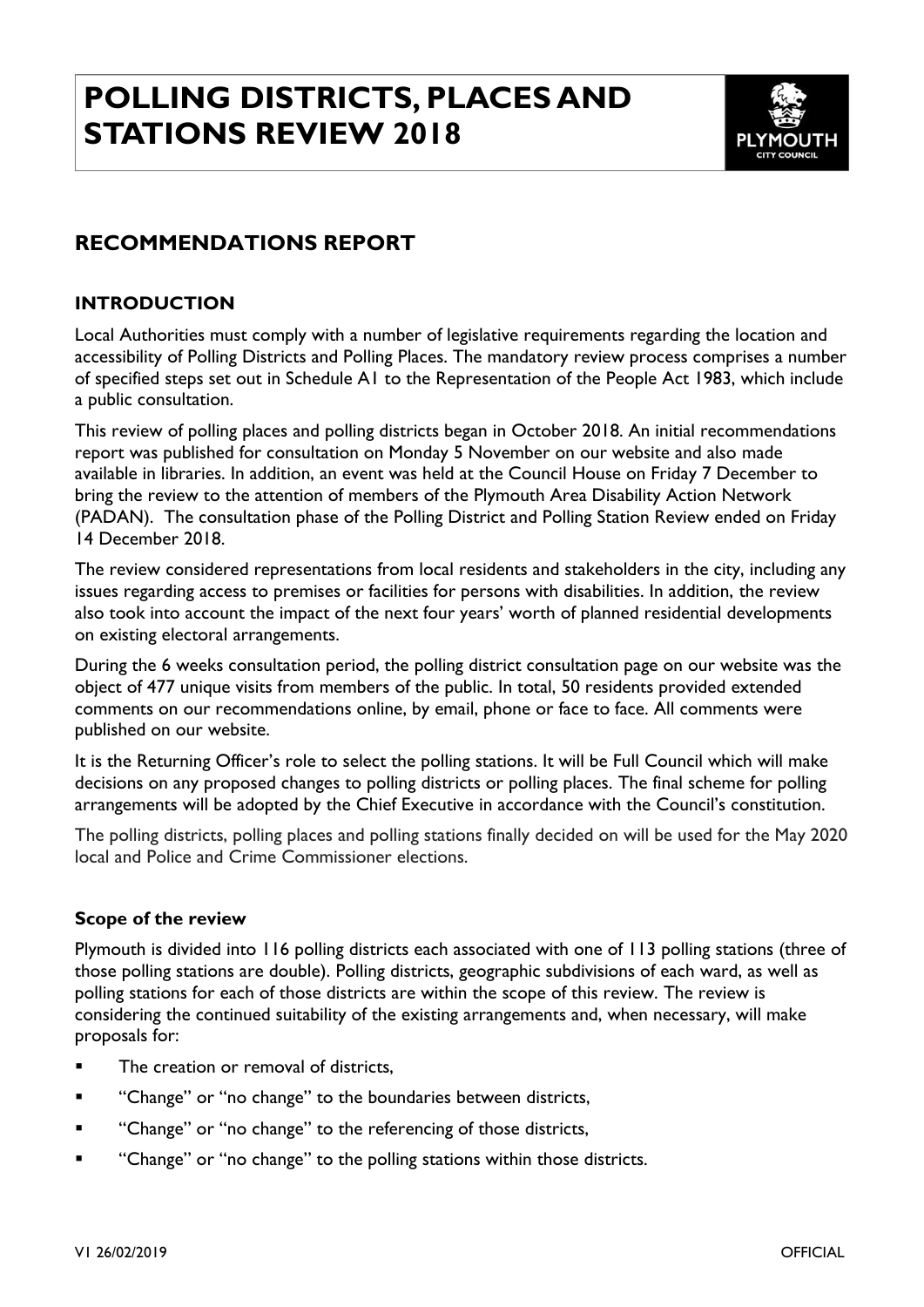# **POLLING DISTRICTS, PLACES AND STATIONS REVIEW 2018**



## <span id="page-0-0"></span>**RECOMMENDATIONS REPORT**

#### <span id="page-0-1"></span>**INTRODUCTION**

Local Authorities must comply with a number of legislative requirements regarding the location and accessibility of Polling Districts and Polling Places. The mandatory review process comprises a number of specified steps set out in Schedule A1 to the Representation of the People Act 1983, which include a public consultation.

This review of polling places and polling districts began in October 2018. An initial recommendations report was published for consultation on Monday 5 November on our website and also made available in libraries. In addition, an event was held at the Council House on Friday 7 December to bring the review to the attention of members of the Plymouth Area Disability Action Network (PADAN). The consultation phase of the Polling District and Polling Station Review ended on Friday 14 December 2018.

The review considered representations from local residents and stakeholders in the city, including any issues regarding access to premises or facilities for persons with disabilities. In addition, the review also took into account the impact of the next four years' worth of planned residential developments on existing electoral arrangements.

During the 6 weeks consultation period, the polling district consultation page on our website was the object of 477 unique visits from members of the public. In total, 50 residents provided extended comments on our recommendations online, by email, phone or face to face. All comments were published on our website.

It is the Returning Officer's role to select the polling stations. It will be Full Council which will make decisions on any proposed changes to polling districts or polling places. The final scheme for polling arrangements will be adopted by the Chief Executive in accordance with the Council's constitution.

The polling districts, polling places and polling stations finally decided on will be used for the May 2020 local and Police and Crime Commissioner elections.

#### **Scope of the review**

Plymouth is divided into 116 polling districts each associated with one of 113 polling stations (three of those polling stations are double). Polling districts, geographic subdivisions of each ward, as well as polling stations for each of those districts are within the scope of this review. The review is considering the continued suitability of the existing arrangements and, when necessary, will make proposals for:

- The creation or removal of districts,
- "Change" or "no change" to the boundaries between districts,
- "Change" or "no change" to the referencing of those districts,
- "Change" or "no change" to the polling stations within those districts.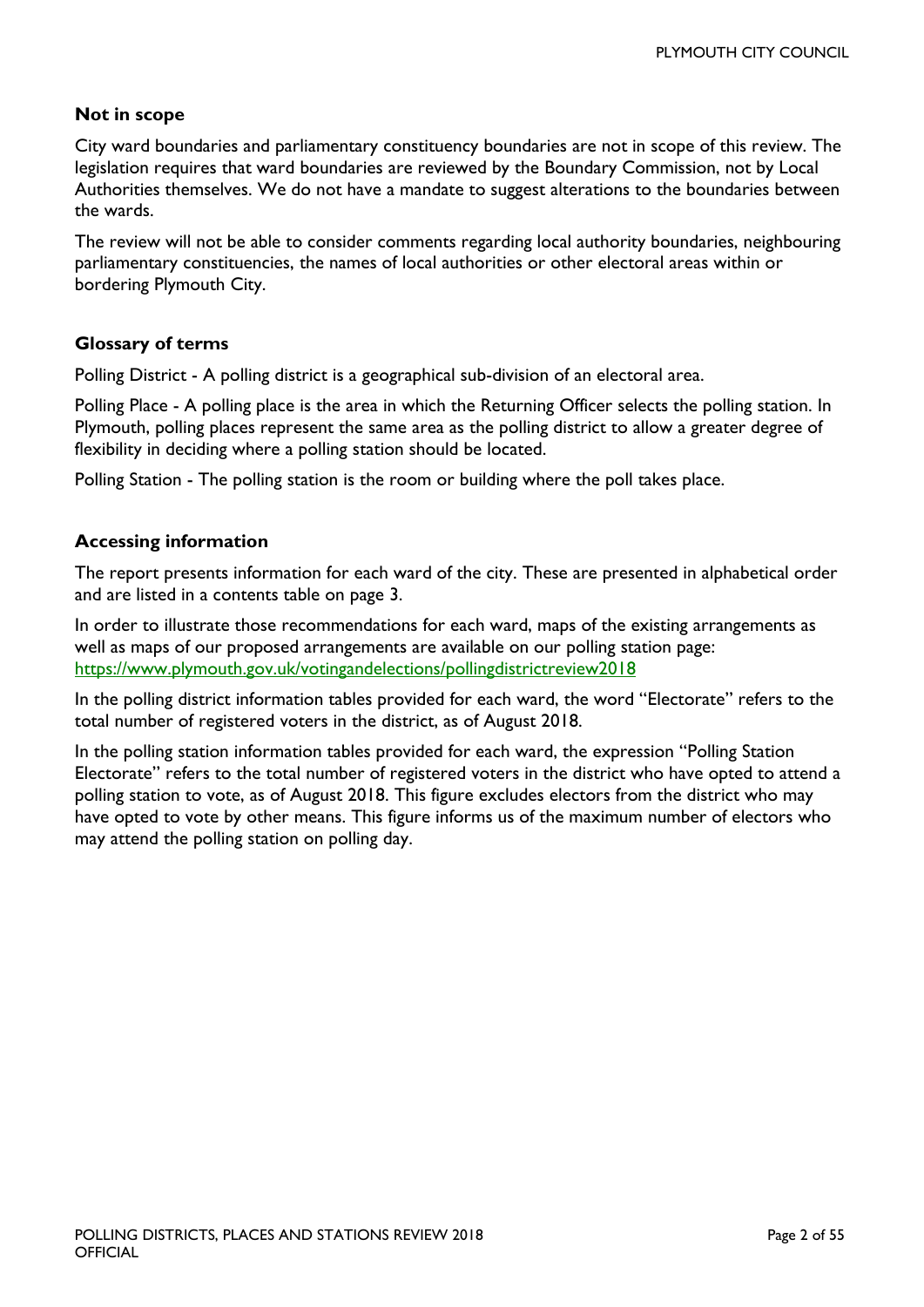#### **Not in scope**

City ward boundaries and parliamentary constituency boundaries are not in scope of this review. The legislation requires that ward boundaries are reviewed by the Boundary Commission, not by Local Authorities themselves. We do not have a mandate to suggest alterations to the boundaries between the wards.

The review will not be able to consider comments regarding local authority boundaries, neighbouring parliamentary constituencies, the names of local authorities or other electoral areas within or bordering Plymouth City.

#### **Glossary of terms**

Polling District - A polling district is a geographical sub-division of an electoral area.

Polling Place - A polling place is the area in which the Returning Officer selects the polling station. In Plymouth, polling places represent the same area as the polling district to allow a greater degree of flexibility in deciding where a polling station should be located.

Polling Station - The polling station is the room or building where the poll takes place.

#### **Accessing information**

The report presents information for each ward of the city. These are presented in alphabetical order and are listed in a contents table on page 3.

In order to illustrate those recommendations for each ward, maps of the existing arrangements as well as maps of our proposed arrangements are available on our [polling station page:](https://www.plymouth.gov.uk/votingandelections/pollingdistrictreview2018) <https://www.plymouth.gov.uk/votingandelections/pollingdistrictreview2018>

In the polling district information tables provided for each ward, the word "Electorate" refers to the total number of registered voters in the district, as of August 2018.

In the polling station information tables provided for each ward, the expression "Polling Station Electorate" refers to the total number of registered voters in the district who have opted to attend a polling station to vote, as of August 2018. This figure excludes electors from the district who may have opted to vote by other means. This figure informs us of the maximum number of electors who may attend the polling station on polling day.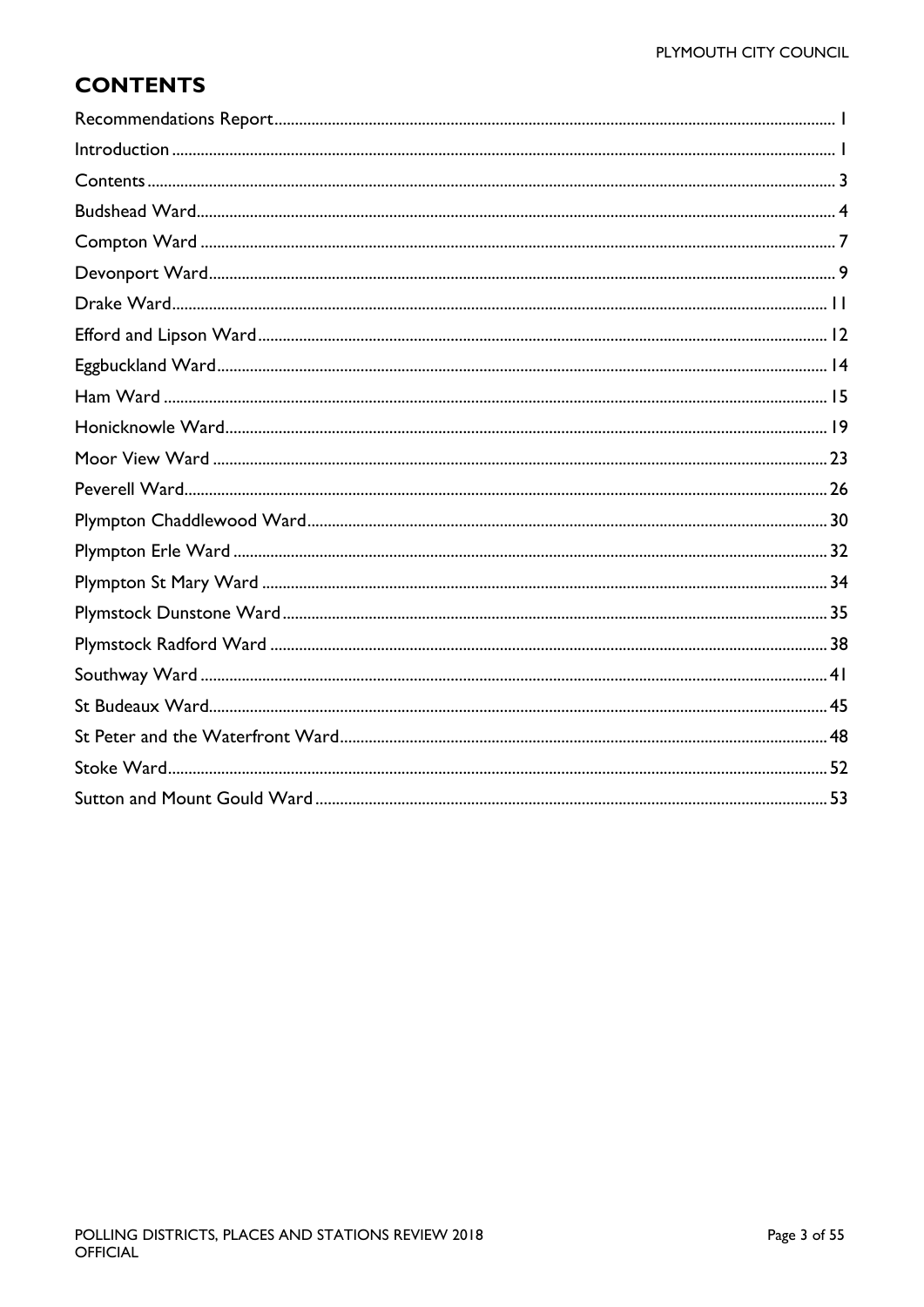# <span id="page-2-0"></span>**CONTENTS**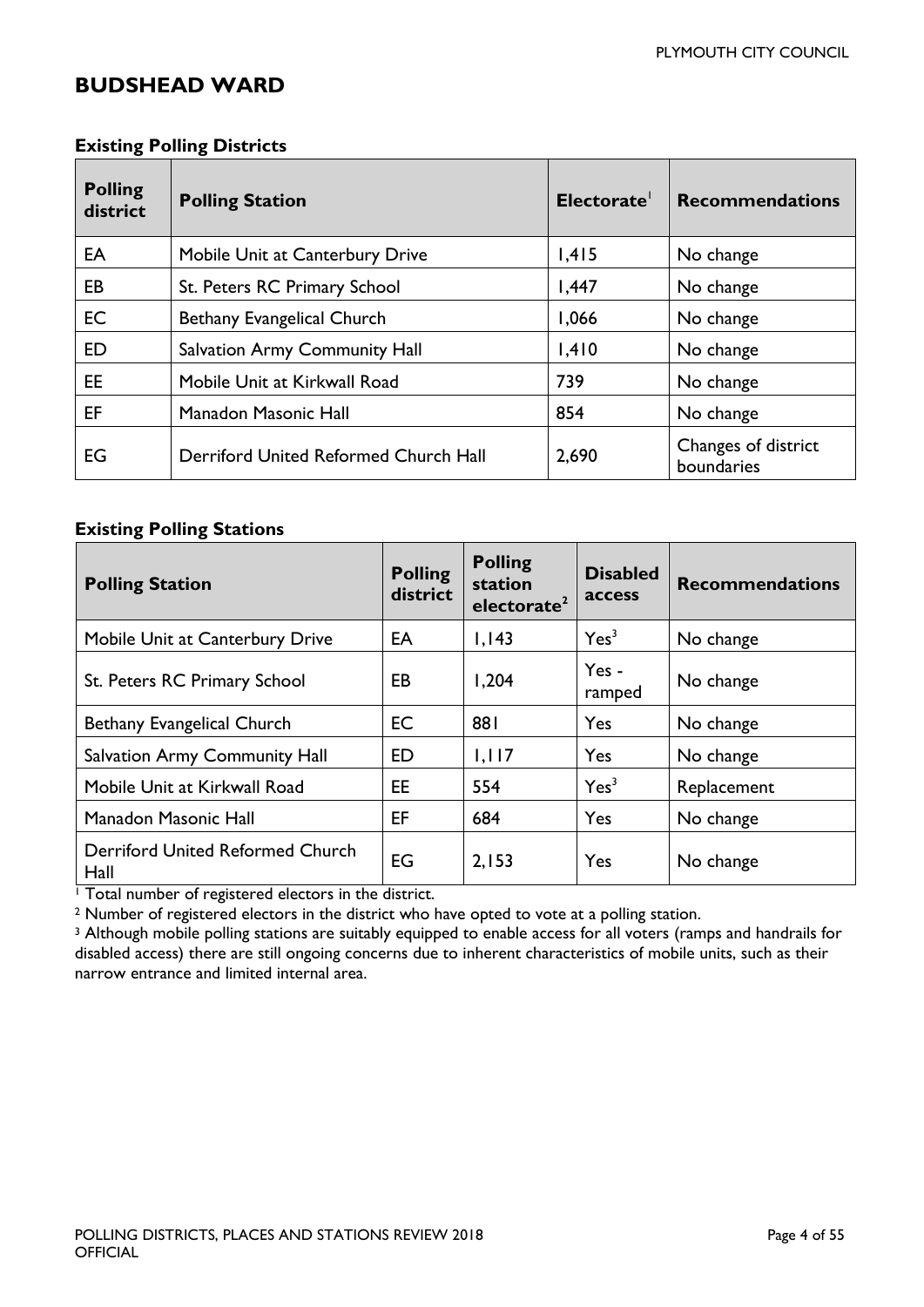### <span id="page-3-0"></span>**BUDSHEAD WARD**

| <b>Existing Polling Districts</b> |  |
|-----------------------------------|--|
|-----------------------------------|--|

| <b>Polling</b><br>district | <b>Polling Station</b>                | Electorate <sup>1</sup> | <b>Recommendations</b>            |
|----------------------------|---------------------------------------|-------------------------|-----------------------------------|
| EA                         | Mobile Unit at Canterbury Drive       | 1,415                   | No change                         |
| EB                         | St. Peters RC Primary School          | 1,447                   | No change                         |
| <b>EC</b>                  | Bethany Evangelical Church            | 1,066                   | No change                         |
| ED                         | <b>Salvation Army Community Hall</b>  | 1,410                   | No change                         |
| EE.                        | Mobile Unit at Kirkwall Road          | 739                     | No change                         |
| EF                         | Manadon Masonic Hall                  | 854                     | No change                         |
| EG                         | Derriford United Reformed Church Hall | 2,690                   | Changes of district<br>boundaries |

#### **Existing Polling Stations**

| <b>Polling Station</b>                   | <b>Polling</b><br>district | <b>Polling</b><br>station<br>electorate <sup>2</sup> | <b>Disabled</b><br><b>access</b> | <b>Recommendations</b> |
|------------------------------------------|----------------------------|------------------------------------------------------|----------------------------------|------------------------|
| Mobile Unit at Canterbury Drive          | EA                         | 1,143                                                | Yes <sup>3</sup>                 | No change              |
| St. Peters RC Primary School             | EB                         | 1,204                                                | Yes-<br>ramped                   | No change              |
| Bethany Evangelical Church               | <b>EC</b>                  | 881                                                  | Yes                              | No change              |
| <b>Salvation Army Community Hall</b>     | ED                         | 1,117                                                | Yes                              | No change              |
| Mobile Unit at Kirkwall Road             | EE                         | 554                                                  | Yes <sup>3</sup>                 | Replacement            |
| <b>Manadon Masonic Hall</b>              | EF                         | 684                                                  | Yes                              | No change              |
| Derriford United Reformed Church<br>Hall | EG                         | 2,153                                                | Yes                              | No change              |

<sup>1</sup> Total number of registered electors in the district.

<sup>2</sup> Number of registered electors in the district who have opted to vote at a polling station.

<sup>3</sup> Although mobile polling stations are suitably equipped to enable access for all voters (ramps and handrails for disabled access) there are still ongoing concerns due to inherent characteristics of mobile units, such as their narrow entrance and limited internal area.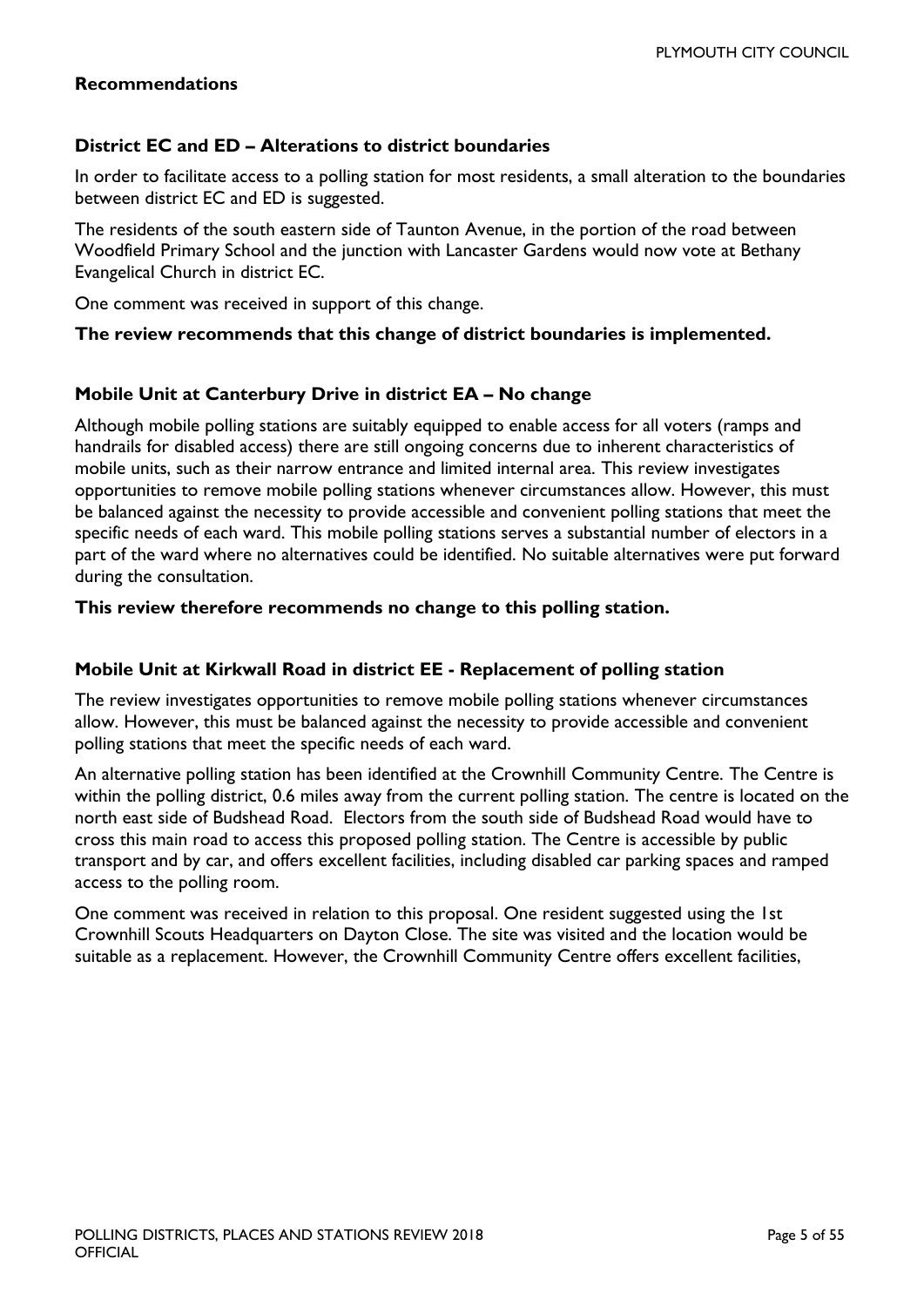#### **Recommendations**

#### **District EC and ED – Alterations to district boundaries**

In order to facilitate access to a polling station for most residents, a small alteration to the boundaries between district EC and ED is suggested.

The residents of the south eastern side of Taunton Avenue, in the portion of the road between Woodfield Primary School and the junction with Lancaster Gardens would now vote at Bethany Evangelical Church in district EC.

One comment was received in support of this change.

#### **The review recommends that this change of district boundaries is implemented.**

#### **Mobile Unit at Canterbury Drive in district EA – No change**

Although mobile polling stations are suitably equipped to enable access for all voters (ramps and handrails for disabled access) there are still ongoing concerns due to inherent characteristics of mobile units, such as their narrow entrance and limited internal area. This review investigates opportunities to remove mobile polling stations whenever circumstances allow. However, this must be balanced against the necessity to provide accessible and convenient polling stations that meet the specific needs of each ward. This mobile polling stations serves a substantial number of electors in a part of the ward where no alternatives could be identified. No suitable alternatives were put forward during the consultation.

#### **This review therefore recommends no change to this polling station.**

#### **Mobile Unit at Kirkwall Road in district EE - Replacement of polling station**

The review investigates opportunities to remove mobile polling stations whenever circumstances allow. However, this must be balanced against the necessity to provide accessible and convenient polling stations that meet the specific needs of each ward.

An alternative polling station has been identified at the Crownhill Community Centre. The Centre is within the polling district, 0.6 miles away from the current polling station. The centre is located on the north east side of Budshead Road. Electors from the south side of Budshead Road would have to cross this main road to access this proposed polling station. The Centre is accessible by public transport and by car, and offers excellent facilities, including disabled car parking spaces and ramped access to the polling room.

One comment was received in relation to this proposal. One resident suggested using the 1st Crownhill Scouts Headquarters on Dayton Close. The site was visited and the location would be suitable as a replacement. However, the Crownhill Community Centre offers excellent facilities,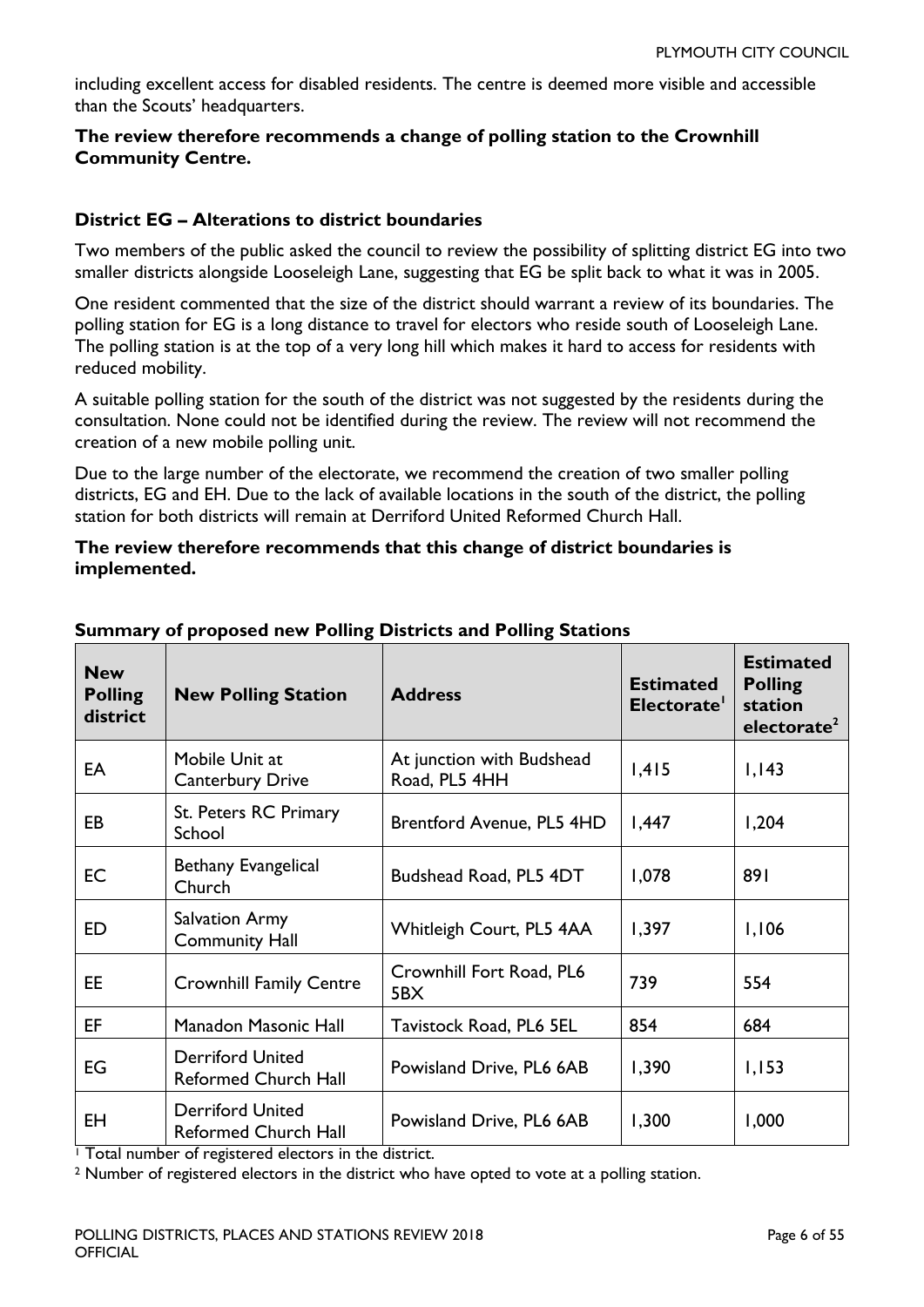including excellent access for disabled residents. The centre is deemed more visible and accessible than the Scouts' headquarters.

#### **The review therefore recommends a change of polling station to the Crownhill Community Centre.**

#### **District EG – Alterations to district boundaries**

Two members of the public asked the council to review the possibility of splitting district EG into two smaller districts alongside Looseleigh Lane, suggesting that EG be split back to what it was in 2005.

One resident commented that the size of the district should warrant a review of its boundaries. The polling station for EG is a long distance to travel for electors who reside south of Looseleigh Lane. The polling station is at the top of a very long hill which makes it hard to access for residents with reduced mobility.

A suitable polling station for the south of the district was not suggested by the residents during the consultation. None could not be identified during the review. The review will not recommend the creation of a new mobile polling unit.

Due to the large number of the electorate, we recommend the creation of two smaller polling districts, EG and EH. Due to the lack of available locations in the south of the district, the polling station for both districts will remain at Derriford United Reformed Church Hall.

#### **The review therefore recommends that this change of district boundaries is implemented.**

| <b>New</b><br><b>Polling</b><br>district | <b>New Polling Station</b>                             | <b>Address</b>                             | <b>Estimated</b><br>Electorate' | <b>Estimated</b><br><b>Polling</b><br>station<br>electorate <sup>2</sup> |
|------------------------------------------|--------------------------------------------------------|--------------------------------------------|---------------------------------|--------------------------------------------------------------------------|
| EA                                       | Mobile Unit at<br><b>Canterbury Drive</b>              | At junction with Budshead<br>Road, PL5 4HH | 1,415                           | 1,143                                                                    |
| EB                                       | St. Peters RC Primary<br>School                        | Brentford Avenue, PL5 4HD                  | 1,447                           | 1,204                                                                    |
| EC                                       | Bethany Evangelical<br>Church                          | Budshead Road, PL5 4DT                     | 1,078                           | 891                                                                      |
| ED                                       | <b>Salvation Army</b><br><b>Community Hall</b>         | Whitleigh Court, PL5 4AA                   | 1,397                           | 1,106                                                                    |
| EE.                                      | <b>Crownhill Family Centre</b>                         | Crownhill Fort Road, PL6<br>5BX            | 739                             | 554                                                                      |
| EF                                       | Manadon Masonic Hall                                   | Tavistock Road, PL6 5EL                    | 854                             | 684                                                                      |
| EG                                       | <b>Derriford United</b><br><b>Reformed Church Hall</b> | Powisland Drive, PL6 6AB                   | 1,390                           | 1,153                                                                    |
| EH                                       | <b>Derriford United</b><br><b>Reformed Church Hall</b> | Powisland Drive, PL6 6AB                   | 1,300                           | 1,000                                                                    |

#### **Summary of proposed new Polling Districts and Polling Stations**

<sup>1</sup> Total number of registered electors in the district.

<sup>2</sup> Number of registered electors in the district who have opted to vote at a polling station.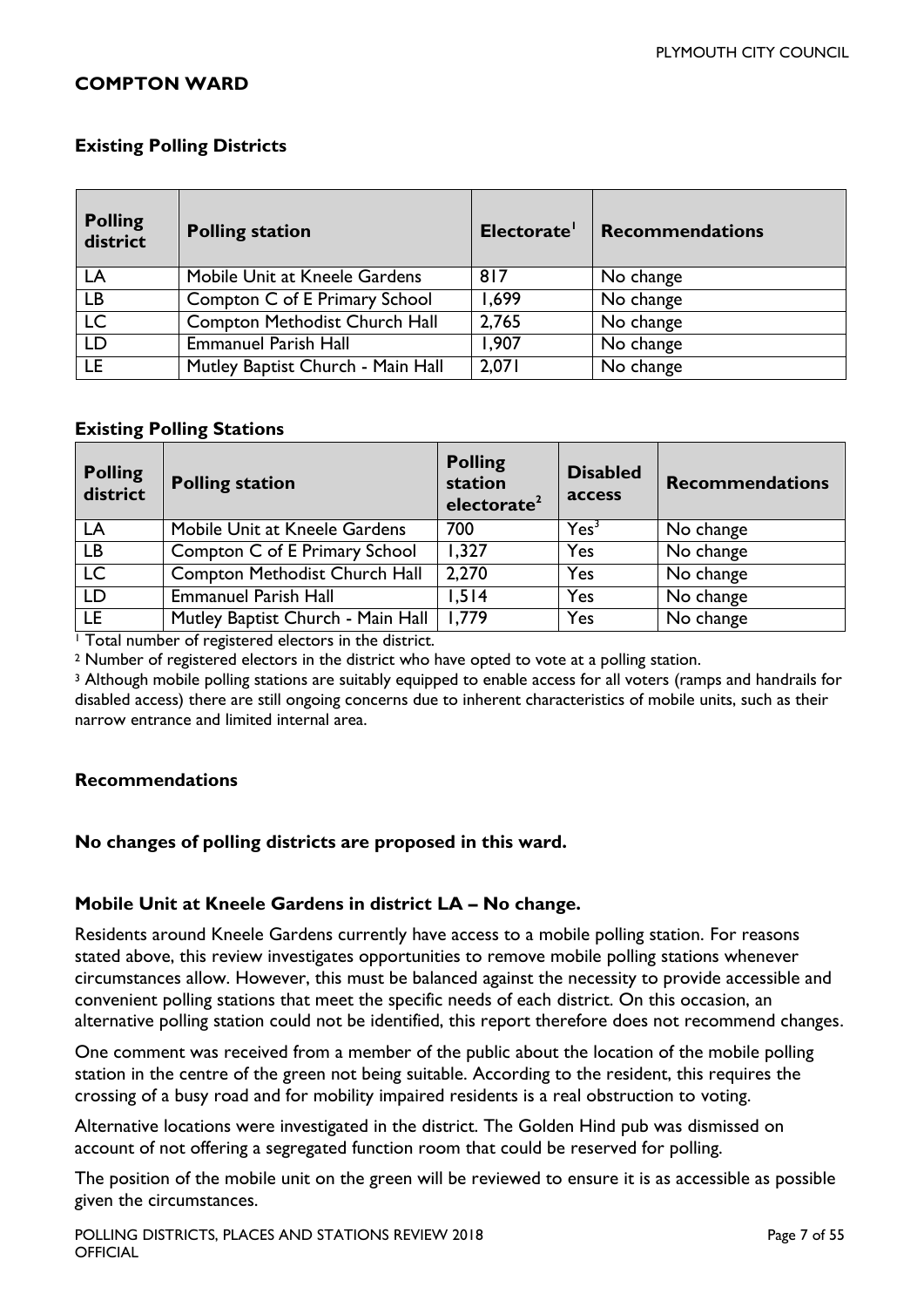#### <span id="page-6-0"></span>**COMPTON WARD**

#### **Existing Polling Districts**

| <b>Polling</b><br>district | <b>Polling station</b>            | Electorate' | <b>Recommendations</b> |
|----------------------------|-----------------------------------|-------------|------------------------|
| LA                         | Mobile Unit at Kneele Gardens     | 817         | No change              |
| <b>LB</b>                  | Compton C of E Primary School     | 1,699       | No change              |
| LC                         | Compton Methodist Church Hall     | 2,765       | No change              |
| LD                         | <b>Emmanuel Parish Hall</b>       | 1,907       | No change              |
| LE.                        | Mutley Baptist Church - Main Hall | 2,071       | No change              |

#### **Existing Polling Stations**

| <b>Polling</b><br>district | <b>Polling station</b>            | <b>Polling</b><br>station<br>electorate <sup>2</sup> | <b>Disabled</b><br>access | <b>Recommendations</b> |
|----------------------------|-----------------------------------|------------------------------------------------------|---------------------------|------------------------|
| LA                         | Mobile Unit at Kneele Gardens     | 700                                                  | Yes <sup>3</sup>          | No change              |
| LB                         | Compton C of E Primary School     | 1,327                                                | Yes                       | No change              |
| LC                         | Compton Methodist Church Hall     | 2,270                                                | Yes                       | No change              |
| LD                         | <b>Emmanuel Parish Hall</b>       | 1,514                                                | Yes                       | No change              |
| LE.                        | Mutley Baptist Church - Main Hall | 1,779                                                | Yes                       | No change              |

 $\overline{1}$  Total number of registered electors in the district.

<sup>2</sup> Number of registered electors in the district who have opted to vote at a polling station.

<sup>3</sup> Although mobile polling stations are suitably equipped to enable access for all voters (ramps and handrails for disabled access) there are still ongoing concerns due to inherent characteristics of mobile units, such as their narrow entrance and limited internal area.

#### **Recommendations**

**No changes of polling districts are proposed in this ward.**

#### **Mobile Unit at Kneele Gardens in district LA – No change.**

Residents around Kneele Gardens currently have access to a mobile polling station. For reasons stated above, this review investigates opportunities to remove mobile polling stations whenever circumstances allow. However, this must be balanced against the necessity to provide accessible and convenient polling stations that meet the specific needs of each district. On this occasion, an alternative polling station could not be identified, this report therefore does not recommend changes.

One comment was received from a member of the public about the location of the mobile polling station in the centre of the green not being suitable. According to the resident, this requires the crossing of a busy road and for mobility impaired residents is a real obstruction to voting.

Alternative locations were investigated in the district. The Golden Hind pub was dismissed on account of not offering a segregated function room that could be reserved for polling.

The position of the mobile unit on the green will be reviewed to ensure it is as accessible as possible given the circumstances.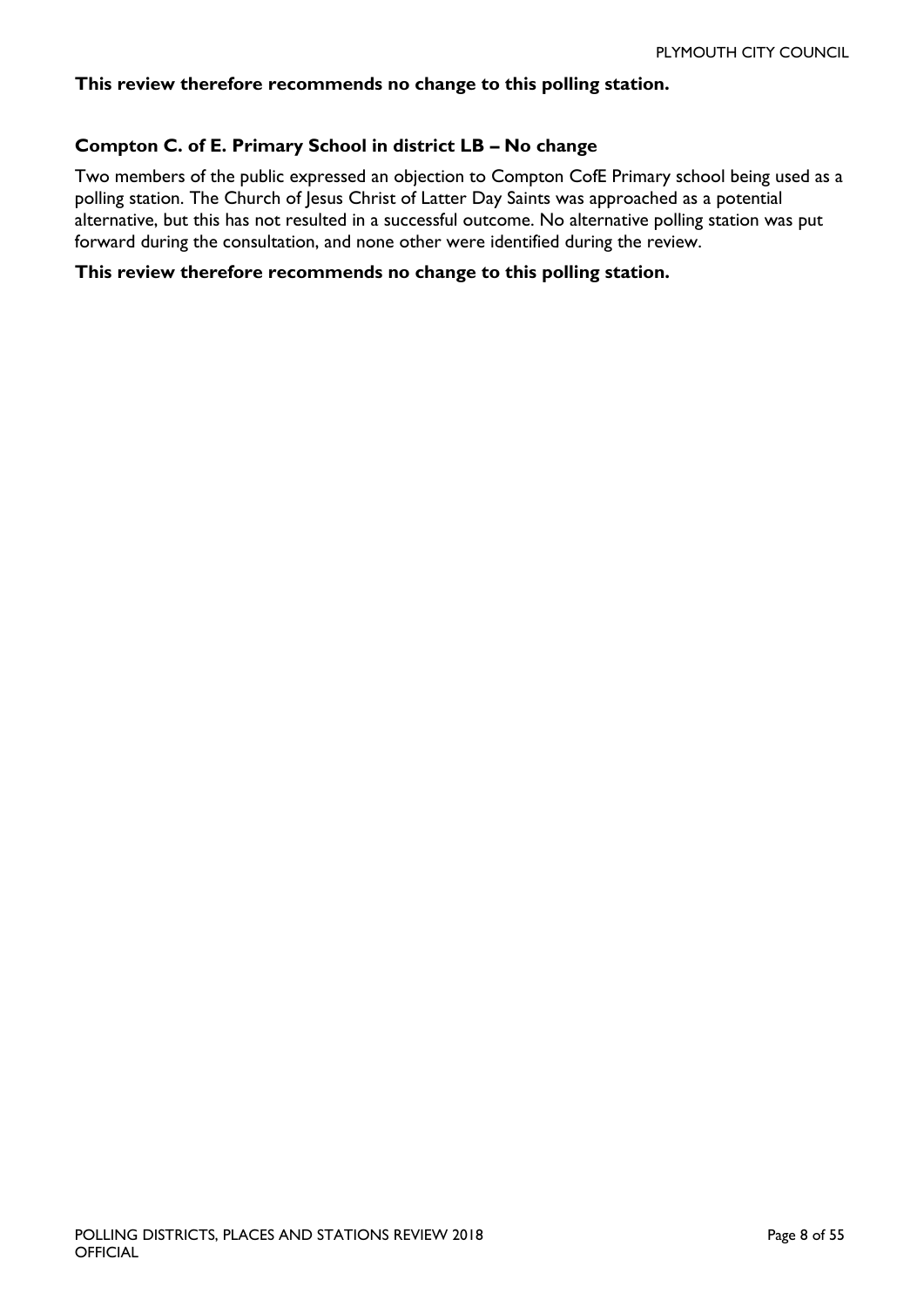#### **This review therefore recommends no change to this polling station.**

#### **Compton C. of E. Primary School in district LB – No change**

Two members of the public expressed an objection to Compton CofE Primary school being used as a polling station. The Church of Jesus Christ of Latter Day Saints was approached as a potential alternative, but this has not resulted in a successful outcome. No alternative polling station was put forward during the consultation, and none other were identified during the review.

#### **This review therefore recommends no change to this polling station.**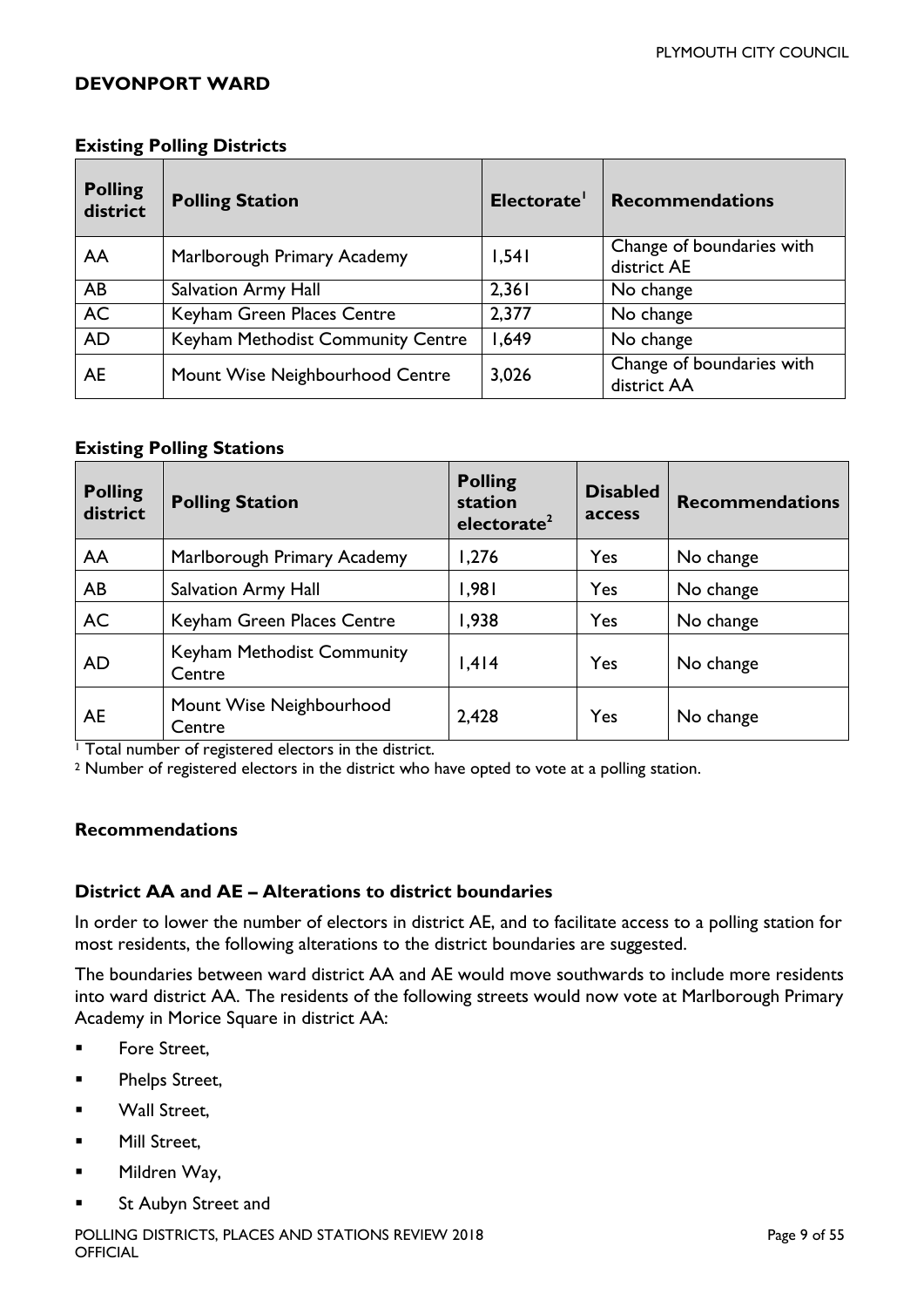#### <span id="page-8-0"></span>**DEVONPORT WARD**

#### **Existing Polling Districts**

| <b>Polling</b><br>district | <b>Polling Station</b>            | Electorate' | <b>Recommendations</b>                   |
|----------------------------|-----------------------------------|-------------|------------------------------------------|
| AA                         | Marlborough Primary Academy       | 1,541       | Change of boundaries with<br>district AE |
| AB                         | Salvation Army Hall               | 2,361       | No change                                |
| <b>AC</b>                  | Keyham Green Places Centre        | 2,377       | No change                                |
| <b>AD</b>                  | Keyham Methodist Community Centre | 1,649       | No change                                |
| <b>AE</b>                  | Mount Wise Neighbourhood Centre   | 3,026       | Change of boundaries with<br>district AA |

#### **Existing Polling Stations**

| <b>Polling</b><br>district | <b>Polling Station</b>               | <b>Polling</b><br>station<br>electorate <sup>2</sup> | <b>Disabled</b><br>access | <b>Recommendations</b> |
|----------------------------|--------------------------------------|------------------------------------------------------|---------------------------|------------------------|
| AA                         | Marlborough Primary Academy          | 1,276                                                | Yes                       | No change              |
| AB                         | <b>Salvation Army Hall</b>           | 1,981                                                | Yes                       | No change              |
| <b>AC</b>                  | Keyham Green Places Centre           | 1,938                                                | Yes                       | No change              |
| <b>AD</b>                  | Keyham Methodist Community<br>Centre | 1,414                                                | Yes                       | No change              |
| <b>AE</b>                  | Mount Wise Neighbourhood<br>Centre   | 2,428                                                | Yes                       | No change              |

<sup>1</sup> Total number of registered electors in the district.

<sup>2</sup> Number of registered electors in the district who have opted to vote at a polling station.

#### **Recommendations**

#### **District AA and AE – Alterations to district boundaries**

In order to lower the number of electors in district AE, and to facilitate access to a polling station for most residents, the following alterations to the district boundaries are suggested.

The boundaries between ward district AA and AE would move southwards to include more residents into ward district AA. The residents of the following streets would now vote at Marlborough Primary Academy in Morice Square in district AA:

- **Fore Street,**
- **Phelps Street,**
- **Wall Street.**
- **Nill Street.**
- Mildren Way,
- St Aubyn Street and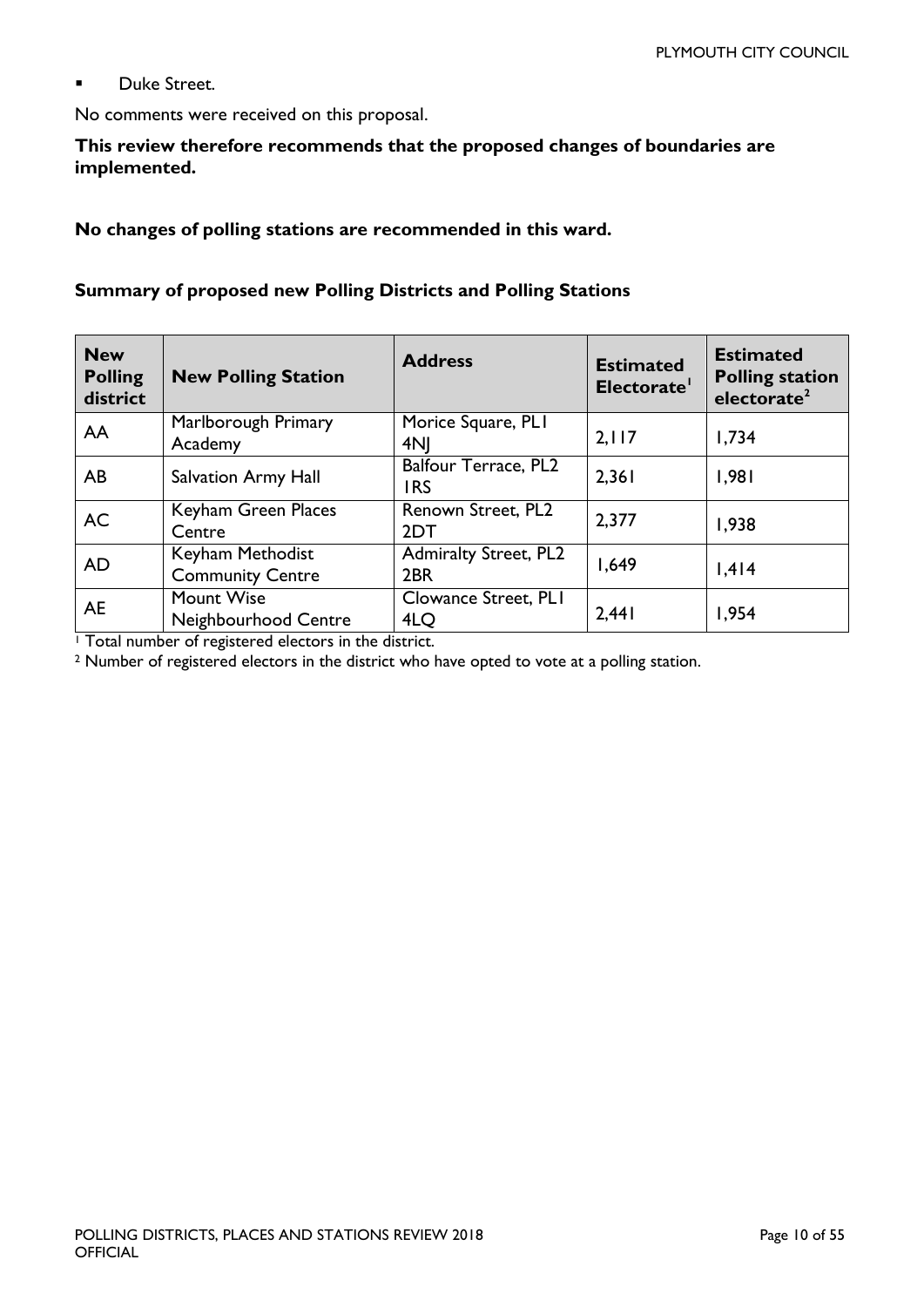**Duke Street.** 

No comments were received on this proposal.

#### **This review therefore recommends that the proposed changes of boundaries are implemented.**

**No changes of polling stations are recommended in this ward.**

#### **Summary of proposed new Polling Districts and Polling Stations**

| <b>New</b><br><b>Polling</b><br>district | <b>New Polling Station</b>                  | <b>Address</b>                      | <b>Estimated</b><br>Electorate' | <b>Estimated</b><br><b>Polling station</b><br>electorate <sup>2</sup> |
|------------------------------------------|---------------------------------------------|-------------------------------------|---------------------------------|-----------------------------------------------------------------------|
| AA                                       | Marlborough Primary<br>Academy              | Morice Square, PLI<br>4NI           | 2,117                           | 1,734                                                                 |
| AB                                       | <b>Salvation Army Hall</b>                  | Balfour Terrace, PL2<br><b>IRS</b>  | 2,361                           | 1,981                                                                 |
| <b>AC</b>                                | Keyham Green Places<br>Centre               | Renown Street, PL2<br>2DT           | 2,377                           | 1,938                                                                 |
| <b>AD</b>                                | Keyham Methodist<br><b>Community Centre</b> | <b>Admiralty Street, PL2</b><br>2BR | 1,649                           | 1,414                                                                 |
| AE                                       | Mount Wise<br>Neighbourhood Centre          | Clowance Street, PLI<br>4LQ         | 2,441                           | 1,954                                                                 |

<sup>1</sup> Total number of registered electors in the district.

<sup>2</sup> Number of registered electors in the district who have opted to vote at a polling station.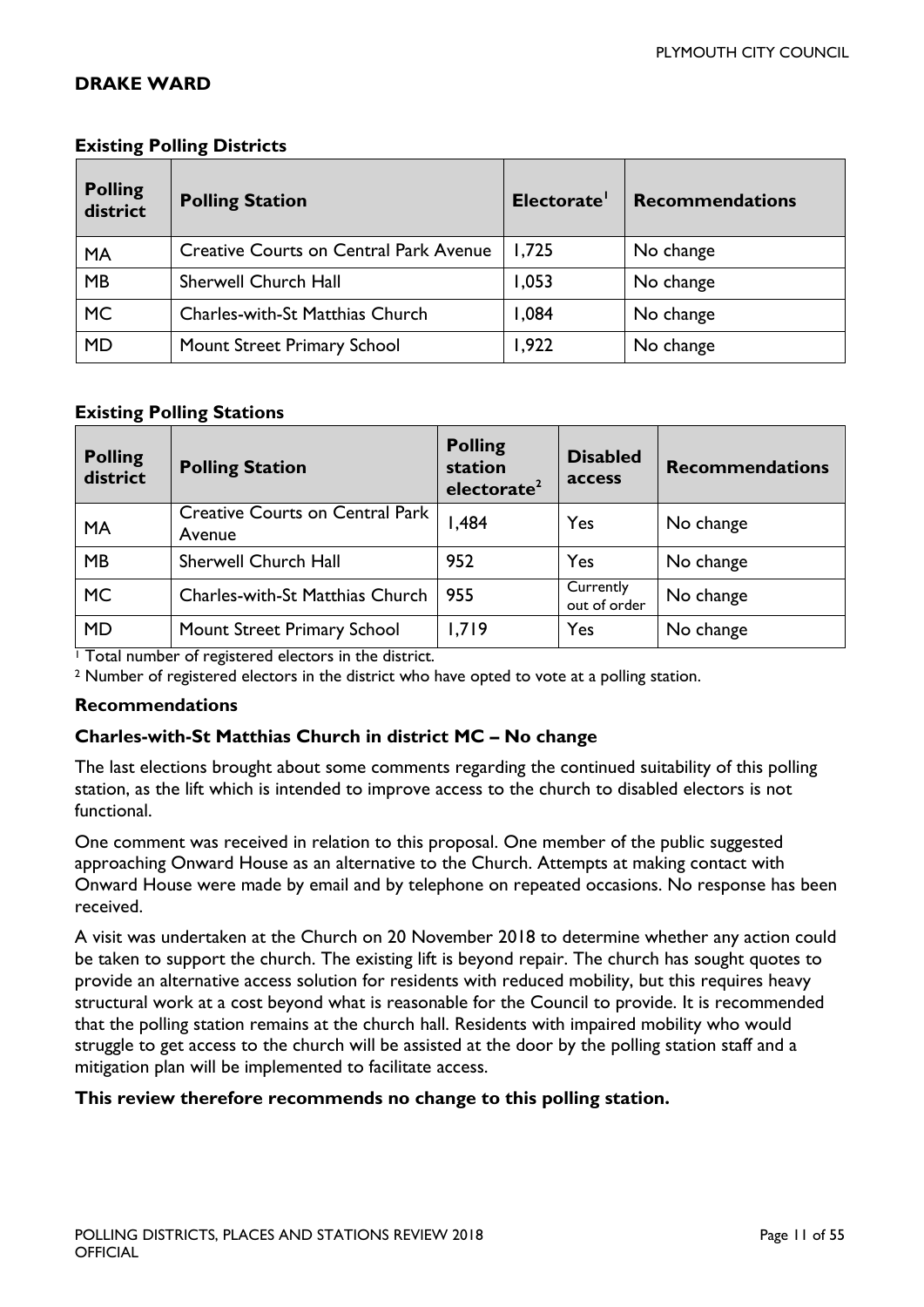#### <span id="page-10-0"></span>**DRAKE WARD**

| <b>Polling</b><br>district | <b>Polling Station</b>                        | Electorate <sup>'</sup> | <b>Recommendations</b> |
|----------------------------|-----------------------------------------------|-------------------------|------------------------|
| <b>MA</b>                  | <b>Creative Courts on Central Park Avenue</b> | 1,725                   | No change              |
| MB                         | <b>Sherwell Church Hall</b>                   | 1,053                   | No change              |
| <b>MC</b>                  | Charles-with-St Matthias Church               | 1,084                   | No change              |
| <b>MD</b>                  | Mount Street Primary School                   | 1,922                   | No change              |

#### **Existing Polling Districts**

#### **Existing Polling Stations**

| <b>Polling</b><br>district | <b>Polling Station</b>                           | <b>Polling</b><br>station<br>electorate <sup>2</sup> | <b>Disabled</b><br>access | <b>Recommendations</b> |
|----------------------------|--------------------------------------------------|------------------------------------------------------|---------------------------|------------------------|
| <b>MA</b>                  | <b>Creative Courts on Central Park</b><br>Avenue | I,484                                                | Yes                       | No change              |
| <b>MB</b>                  | Sherwell Church Hall                             | 952                                                  | Yes                       | No change              |
| <b>MC</b>                  | Charles-with-St Matthias Church                  | 955                                                  | Currently<br>out of order | No change              |
| <b>MD</b>                  | Mount Street Primary School                      | 1,719                                                | Yes                       | No change              |

<sup>1</sup> Total number of registered electors in the district.

<sup>2</sup> Number of registered electors in the district who have opted to vote at a polling station.

#### **Recommendations**

#### **Charles-with-St Matthias Church in district MC – No change**

The last elections brought about some comments regarding the continued suitability of this polling station, as the lift which is intended to improve access to the church to disabled electors is not functional.

One comment was received in relation to this proposal. One member of the public suggested approaching Onward House as an alternative to the Church. Attempts at making contact with Onward House were made by email and by telephone on repeated occasions. No response has been received.

A visit was undertaken at the Church on 20 November 2018 to determine whether any action could be taken to support the church. The existing lift is beyond repair. The church has sought quotes to provide an alternative access solution for residents with reduced mobility, but this requires heavy structural work at a cost beyond what is reasonable for the Council to provide. It is recommended that the polling station remains at the church hall. Residents with impaired mobility who would struggle to get access to the church will be assisted at the door by the polling station staff and a mitigation plan will be implemented to facilitate access.

#### <span id="page-10-1"></span>**This review therefore recommends no change to this polling station.**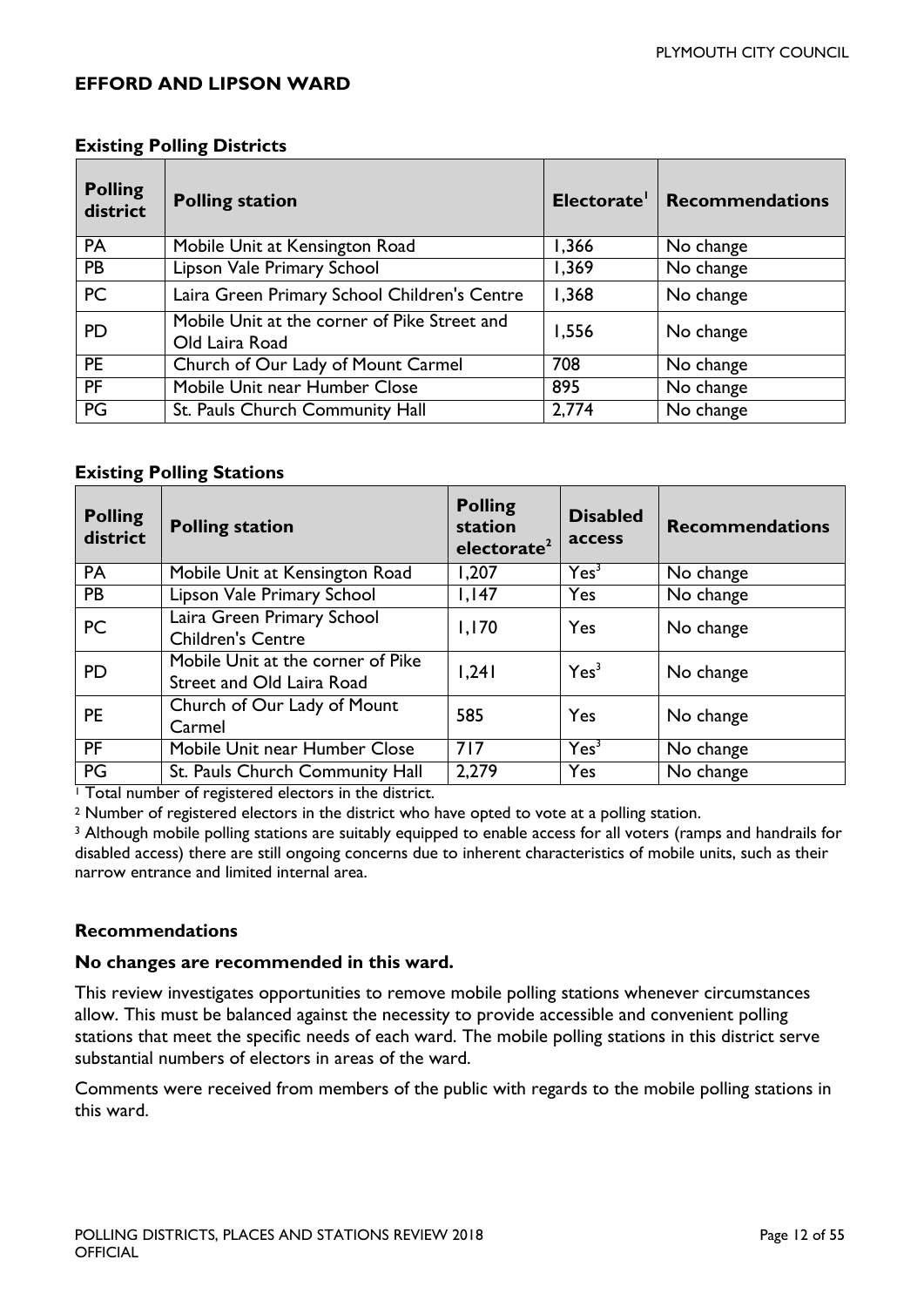#### **EFFORD AND LIPSON WARD**

| <b>Polling</b><br>district | <b>Polling station</b>                                         | Electorate' | <b>Recommendations</b> |
|----------------------------|----------------------------------------------------------------|-------------|------------------------|
| PA                         | Mobile Unit at Kensington Road                                 | 1,366       | No change              |
| <b>PB</b>                  | Lipson Vale Primary School                                     | 1,369       | No change              |
| <b>PC</b>                  | Laira Green Primary School Children's Centre                   | 1,368       | No change              |
| <b>PD</b>                  | Mobile Unit at the corner of Pike Street and<br>Old Laira Road | 1,556       | No change              |
| <b>PE</b>                  | Church of Our Lady of Mount Carmel                             | 708         | No change              |
| <b>PF</b>                  | Mobile Unit near Humber Close                                  | 895         | No change              |
| PG                         | St. Pauls Church Community Hall                                | 2,774       | No change              |

#### **Existing Polling Districts**

#### **Existing Polling Stations**

| <b>Polling</b><br>district | <b>Polling station</b>                                         | <b>Polling</b><br>station<br>electorate <sup>2</sup> | <b>Disabled</b><br>access | <b>Recommendations</b> |
|----------------------------|----------------------------------------------------------------|------------------------------------------------------|---------------------------|------------------------|
| <b>PA</b>                  | Mobile Unit at Kensington Road                                 | 1,207                                                | Yes <sup>3</sup>          | No change              |
| <b>PB</b>                  | Lipson Vale Primary School                                     | 1,147                                                | Yes                       | No change              |
| <b>PC</b>                  | Laira Green Primary School<br><b>Children's Centre</b>         | 1,170                                                | Yes                       | No change              |
| <b>PD</b>                  | Mobile Unit at the corner of Pike<br>Street and Old Laira Road | 1,241                                                | Yes <sup>3</sup>          | No change              |
| <b>PE</b>                  | Church of Our Lady of Mount<br>Carmel                          | 585                                                  | Yes                       | No change              |
| <b>PF</b>                  | Mobile Unit near Humber Close                                  | 717                                                  | Yes <sup>3</sup>          | No change              |
| PG                         | St. Pauls Church Community Hall                                | 2,279                                                | Yes                       | No change              |

<sup>1</sup> Total number of registered electors in the district.

<sup>2</sup> Number of registered electors in the district who have opted to vote at a polling station.

<sup>3</sup> Although mobile polling stations are suitably equipped to enable access for all voters (ramps and handrails for disabled access) there are still ongoing concerns due to inherent characteristics of mobile units, such as their narrow entrance and limited internal area.

#### **Recommendations**

#### **No changes are recommended in this ward.**

This review investigates opportunities to remove mobile polling stations whenever circumstances allow. This must be balanced against the necessity to provide accessible and convenient polling stations that meet the specific needs of each ward. The mobile polling stations in this district serve substantial numbers of electors in areas of the ward.

Comments were received from members of the public with regards to the mobile polling stations in this ward.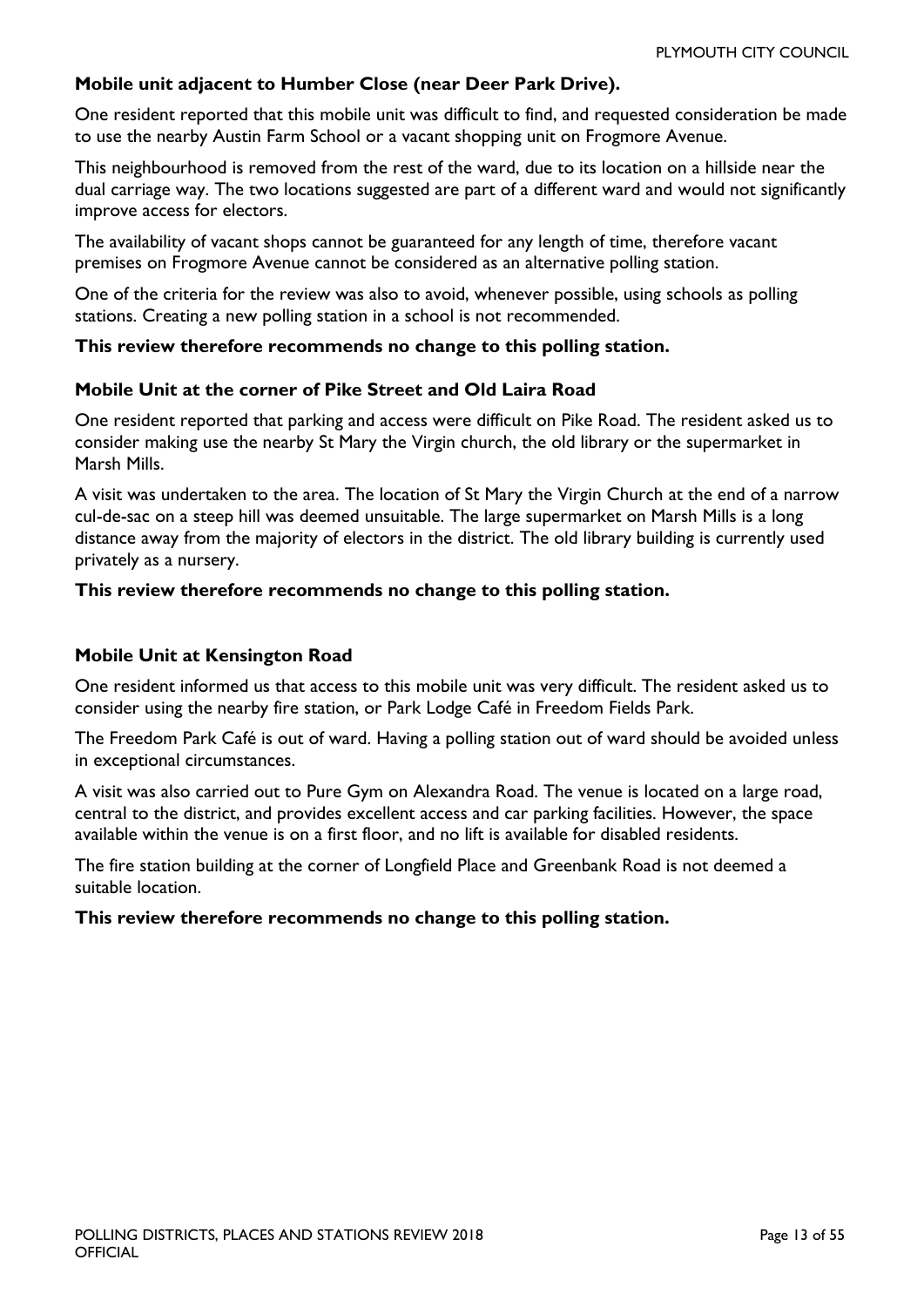#### **Mobile unit adjacent to Humber Close (near Deer Park Drive).**

One resident reported that this mobile unit was difficult to find, and requested consideration be made to use the nearby Austin Farm School or a vacant shopping unit on Frogmore Avenue.

This neighbourhood is removed from the rest of the ward, due to its location on a hillside near the dual carriage way. The two locations suggested are part of a different ward and would not significantly improve access for electors.

The availability of vacant shops cannot be guaranteed for any length of time, therefore vacant premises on Frogmore Avenue cannot be considered as an alternative polling station.

One of the criteria for the review was also to avoid, whenever possible, using schools as polling stations. Creating a new polling station in a school is not recommended.

#### **This review therefore recommends no change to this polling station.**

#### **Mobile Unit at the corner of Pike Street and Old Laira Road**

One resident reported that parking and access were difficult on Pike Road. The resident asked us to consider making use the nearby St Mary the Virgin church, the old library or the supermarket in Marsh Mills.

A visit was undertaken to the area. The location of St Mary the Virgin Church at the end of a narrow cul-de-sac on a steep hill was deemed unsuitable. The large supermarket on Marsh Mills is a long distance away from the majority of electors in the district. The old library building is currently used privately as a nursery.

#### **This review therefore recommends no change to this polling station.**

#### **Mobile Unit at Kensington Road**

One resident informed us that access to this mobile unit was very difficult. The resident asked us to consider using the nearby fire station, or Park Lodge Café in Freedom Fields Park.

The Freedom Park Café is out of ward. Having a polling station out of ward should be avoided unless in exceptional circumstances.

A visit was also carried out to Pure Gym on Alexandra Road. The venue is located on a large road, central to the district, and provides excellent access and car parking facilities. However, the space available within the venue is on a first floor, and no lift is available for disabled residents.

The fire station building at the corner of Longfield Place and Greenbank Road is not deemed a suitable location.

#### **This review therefore recommends no change to this polling station.**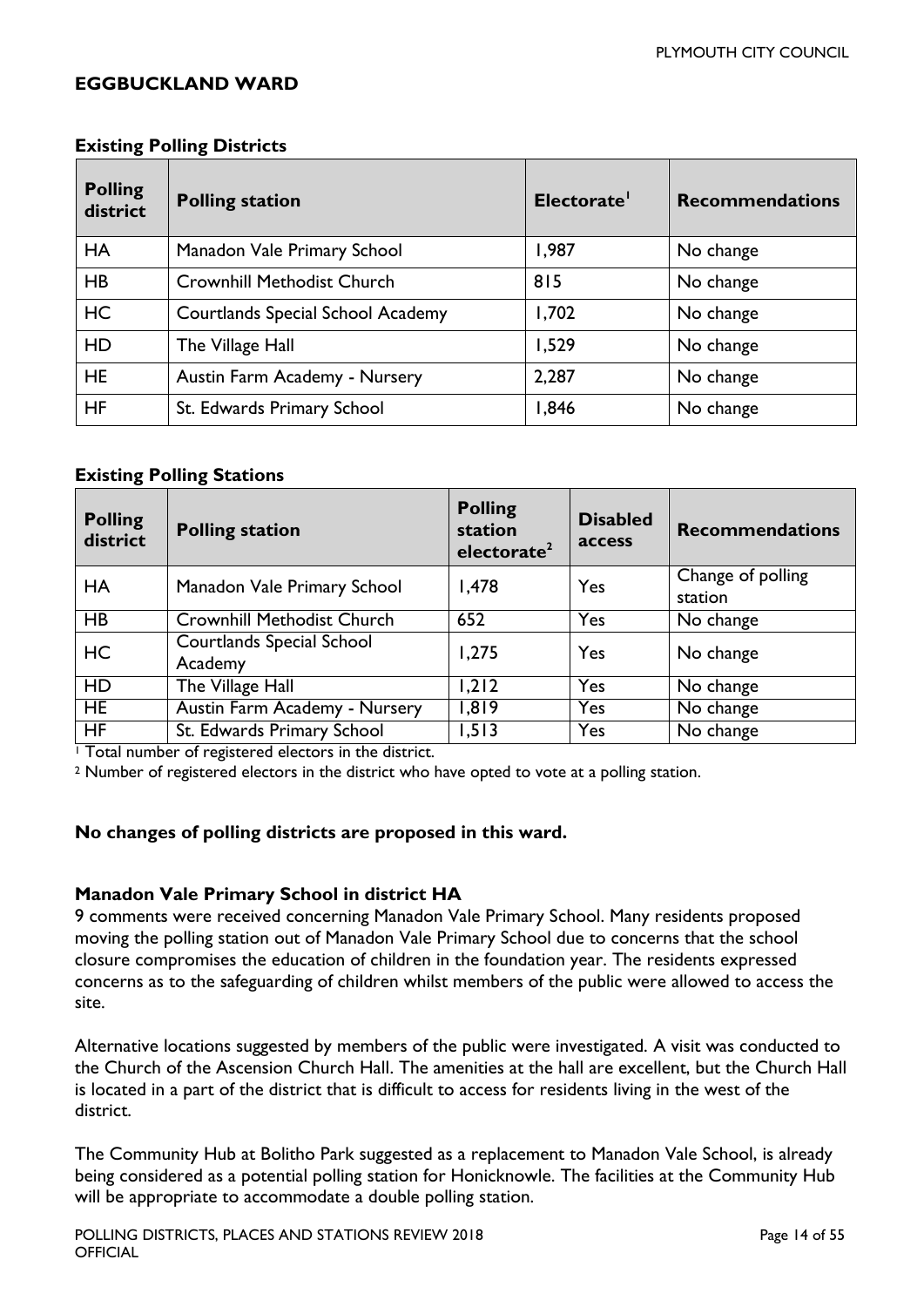#### <span id="page-13-0"></span>**EGGBUCKLAND WARD**

| <b>Polling</b><br>district | <b>Polling station</b>                   | Electorate' | <b>Recommendations</b> |
|----------------------------|------------------------------------------|-------------|------------------------|
| <b>HA</b>                  | Manadon Vale Primary School              | 1,987       | No change              |
| <b>HB</b>                  | <b>Crownhill Methodist Church</b>        | 815         | No change              |
| <b>HC</b>                  | <b>Courtlands Special School Academy</b> | 1,702       | No change              |
| HD                         | The Village Hall                         | 1,529       | No change              |
| <b>HE</b>                  | Austin Farm Academy - Nursery            | 2,287       | No change              |
| <b>HF</b>                  | St. Edwards Primary School               | 1,846       | No change              |

#### **Existing Polling Districts**

#### **Existing Polling Stations**

| <b>Polling</b><br>district | <b>Polling station</b>                      | <b>Polling</b><br>station<br>electorate <sup>2</sup> | <b>Disabled</b><br>access | <b>Recommendations</b>       |
|----------------------------|---------------------------------------------|------------------------------------------------------|---------------------------|------------------------------|
| HA                         | Manadon Vale Primary School                 | 1,478                                                | Yes                       | Change of polling<br>station |
| HB                         | <b>Crownhill Methodist Church</b>           | 652                                                  | Yes                       | No change                    |
| HC                         | <b>Courtlands Special School</b><br>Academy | 1,275                                                | Yes                       | No change                    |
| <b>HD</b>                  | The Village Hall                            | 1,212                                                | Yes                       | No change                    |
| <b>HE</b>                  | Austin Farm Academy - Nursery               | 1,819                                                | Yes                       | No change                    |
| <b>HF</b>                  | St. Edwards Primary School                  | 1,513                                                | Yes                       | No change                    |

<sup>1</sup> Total number of registered electors in the district.

<sup>2</sup> Number of registered electors in the district who have opted to vote at a polling station.

#### **No changes of polling districts are proposed in this ward.**

#### **Manadon Vale Primary School in district HA**

9 comments were received concerning Manadon Vale Primary School. Many residents proposed moving the polling station out of Manadon Vale Primary School due to concerns that the school closure compromises the education of children in the foundation year. The residents expressed concerns as to the safeguarding of children whilst members of the public were allowed to access the site.

Alternative locations suggested by members of the public were investigated. A visit was conducted to the Church of the Ascension Church Hall. The amenities at the hall are excellent, but the Church Hall is located in a part of the district that is difficult to access for residents living in the west of the district.

The Community Hub at Bolitho Park suggested as a replacement to Manadon Vale School, is already being considered as a potential polling station for Honicknowle. The facilities at the Community Hub will be appropriate to accommodate a double polling station.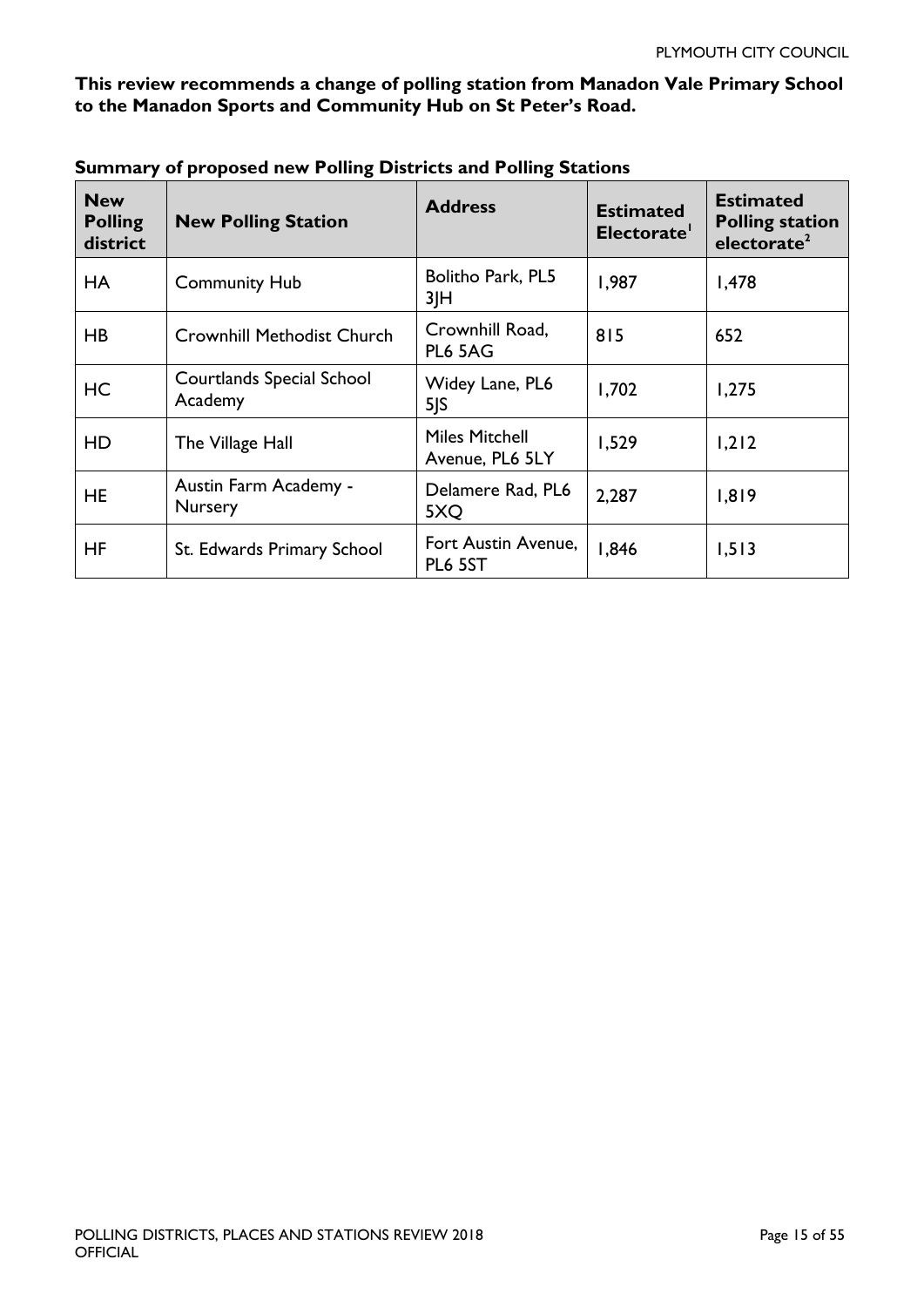#### **This review recommends a change of polling station from Manadon Vale Primary School to the Manadon Sports and Community Hub on St Peter's Road.**

| <b>New</b><br><b>Polling</b><br>district | <b>New Polling Station</b>                  | <b>Address</b>                           | <b>Estimated</b><br>Electorate' | <b>Estimated</b><br><b>Polling station</b><br>electorate <sup>2</sup> |
|------------------------------------------|---------------------------------------------|------------------------------------------|---------------------------------|-----------------------------------------------------------------------|
| <b>HA</b>                                | <b>Community Hub</b>                        | Bolitho Park, PL5<br>3 H                 | 1,987                           | 1,478                                                                 |
| HB                                       | <b>Crownhill Methodist Church</b>           | Crownhill Road,<br>PL6 5AG               | 815                             | 652                                                                   |
| HC                                       | <b>Courtlands Special School</b><br>Academy | Widey Lane, PL6<br>5 S                   | 1,702                           | 1,275                                                                 |
| HD                                       | The Village Hall                            | <b>Miles Mitchell</b><br>Avenue, PL6 5LY | 1,529                           | 1,212                                                                 |
| <b>HE</b>                                | Austin Farm Academy -<br>Nursery            | Delamere Rad, PL6<br>5XQ                 | 2,287                           | 1,819                                                                 |
| HF                                       | St. Edwards Primary School                  | Fort Austin Avenue,<br>PL6 5ST           | 1,846                           | 1,513                                                                 |

<span id="page-14-0"></span>**Summary of proposed new Polling Districts and Polling Stations**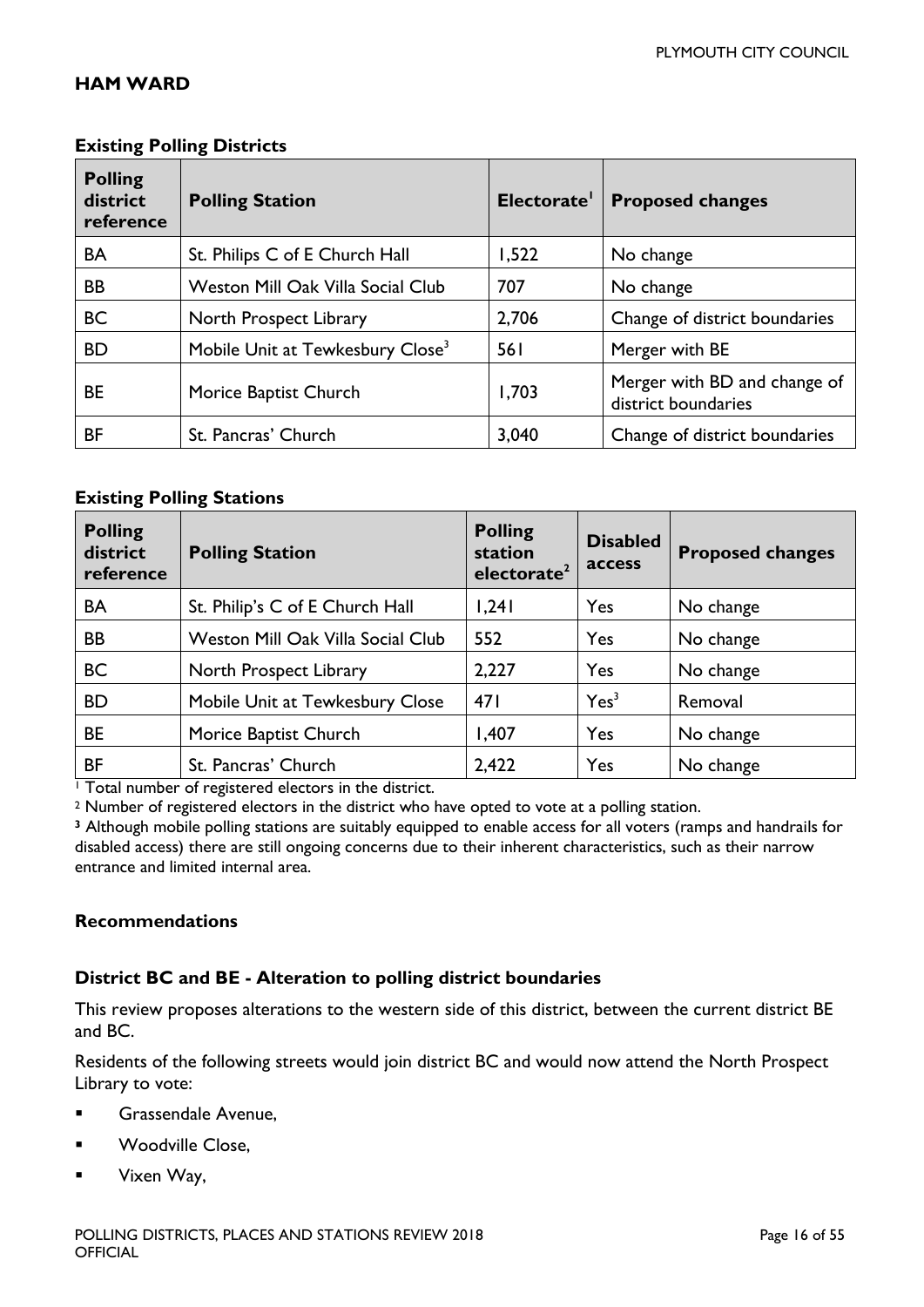#### **HAM WARD**

| <b>Existing Polling Districts</b>       |                                              |             |                                                     |  |
|-----------------------------------------|----------------------------------------------|-------------|-----------------------------------------------------|--|
| <b>Polling</b><br>district<br>reference | <b>Polling Station</b>                       | Electorate' | <b>Proposed changes</b>                             |  |
| BA                                      | St. Philips C of E Church Hall               | 1,522       | No change                                           |  |
| <b>BB</b>                               | <b>Weston Mill Oak Villa Social Club</b>     | 707         | No change                                           |  |
| <b>BC</b>                               | North Prospect Library                       | 2,706       | Change of district boundaries                       |  |
| <b>BD</b>                               | Mobile Unit at Tewkesbury Close <sup>3</sup> | 561         | Merger with BE                                      |  |
| <b>BE</b>                               | Morice Baptist Church                        | 1,703       | Merger with BD and change of<br>district boundaries |  |
| <b>BF</b>                               | St. Pancras' Church                          | 3,040       | Change of district boundaries                       |  |

#### **Existing Polling Stations**

| <b>Polling</b><br>district<br>reference | <b>Polling Station</b>            | <b>Polling</b><br>station<br>electorate <sup>2</sup> | <b>Disabled</b><br>access | <b>Proposed changes</b> |
|-----------------------------------------|-----------------------------------|------------------------------------------------------|---------------------------|-------------------------|
| <b>BA</b>                               | St. Philip's C of E Church Hall   | 1,241                                                | Yes                       | No change               |
| <b>BB</b>                               | Weston Mill Oak Villa Social Club | 552                                                  | Yes                       | No change               |
| <b>BC</b>                               | North Prospect Library            | 2,227                                                | Yes                       | No change               |
| <b>BD</b>                               | Mobile Unit at Tewkesbury Close   | 471                                                  | Yes <sup>3</sup>          | Removal                 |
| <b>BE</b>                               | Morice Baptist Church             | 1,407                                                | Yes                       | No change               |
| ΒF                                      | St. Pancras' Church               | 2,422                                                | Yes                       | No change               |

<sup>1</sup> Total number of registered electors in the district.

<sup>2</sup> Number of registered electors in the district who have opted to vote at a polling station.

**<sup>3</sup>** Although mobile polling stations are suitably equipped to enable access for all voters (ramps and handrails for disabled access) there are still ongoing concerns due to their inherent characteristics, such as their narrow entrance and limited internal area.

#### **Recommendations**

#### **District BC and BE - Alteration to polling district boundaries**

This review proposes alterations to the western side of this district, between the current district BE and BC.

Residents of the following streets would join district BC and would now attend the North Prospect Library to vote:

- **Grassendale Avenue,**
- **Noodville Close,**
- **Vixen Way,**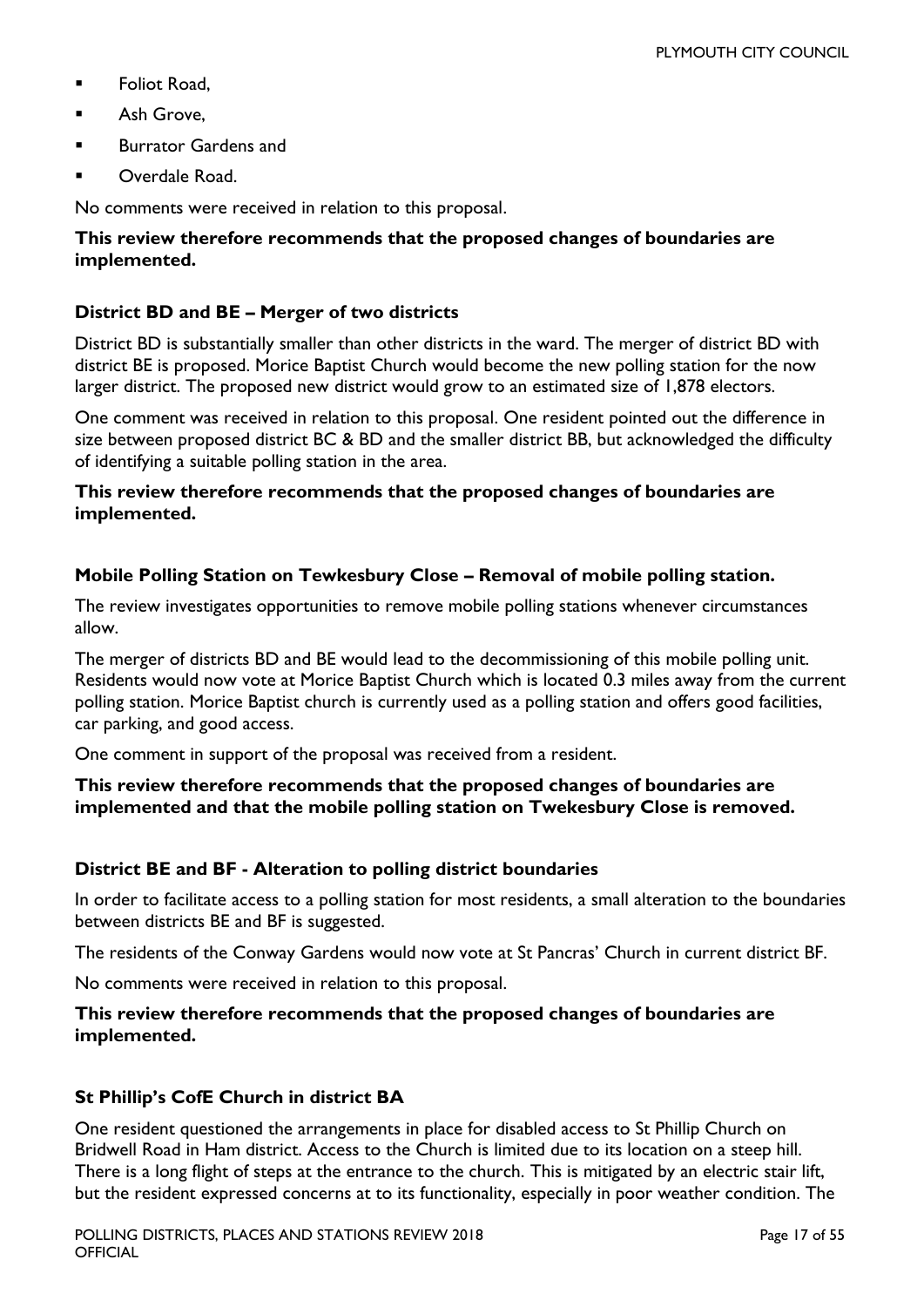- **Foliot Road.**
- **Ash Grove.**
- Burrator Gardens and
- Overdale Road.

No comments were received in relation to this proposal.

#### **This review therefore recommends that the proposed changes of boundaries are implemented.**

#### **District BD and BE – Merger of two districts**

District BD is substantially smaller than other districts in the ward. The merger of district BD with district BE is proposed. Morice Baptist Church would become the new polling station for the now larger district. The proposed new district would grow to an estimated size of 1,878 electors.

One comment was received in relation to this proposal. One resident pointed out the difference in size between proposed district BC & BD and the smaller district BB, but acknowledged the difficulty of identifying a suitable polling station in the area.

#### **This review therefore recommends that the proposed changes of boundaries are implemented.**

#### **Mobile Polling Station on Tewkesbury Close – Removal of mobile polling station.**

The review investigates opportunities to remove mobile polling stations whenever circumstances allow.

The merger of districts BD and BE would lead to the decommissioning of this mobile polling unit. Residents would now vote at Morice Baptist Church which is located 0.3 miles away from the current polling station. Morice Baptist church is currently used as a polling station and offers good facilities, car parking, and good access.

One comment in support of the proposal was received from a resident.

#### **This review therefore recommends that the proposed changes of boundaries are implemented and that the mobile polling station on Twekesbury Close is removed.**

#### **District BE and BF - Alteration to polling district boundaries**

In order to facilitate access to a polling station for most residents, a small alteration to the boundaries between districts BE and BF is suggested.

The residents of the Conway Gardens would now vote at St Pancras' Church in current district BF.

No comments were received in relation to this proposal.

#### **This review therefore recommends that the proposed changes of boundaries are implemented.**

#### **St Phillip's CofE Church in district BA**

One resident questioned the arrangements in place for disabled access to St Phillip Church on Bridwell Road in Ham district. Access to the Church is limited due to its location on a steep hill. There is a long flight of steps at the entrance to the church. This is mitigated by an electric stair lift, but the resident expressed concerns at to its functionality, especially in poor weather condition. The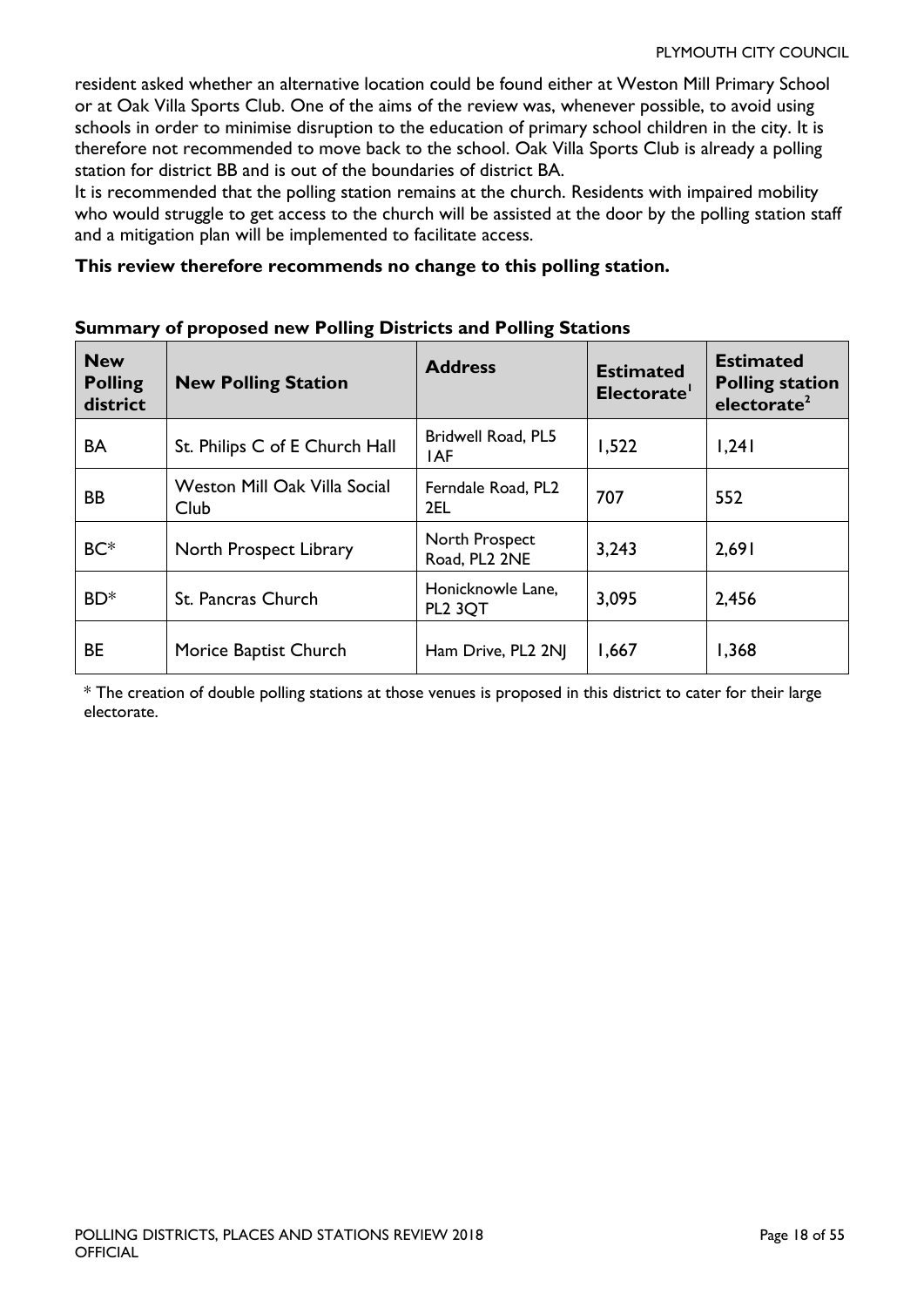resident asked whether an alternative location could be found either at Weston Mill Primary School or at Oak Villa Sports Club. One of the aims of the review was, whenever possible, to avoid using schools in order to minimise disruption to the education of primary school children in the city. It is therefore not recommended to move back to the school. Oak Villa Sports Club is already a polling station for district BB and is out of the boundaries of district BA.

It is recommended that the polling station remains at the church. Residents with impaired mobility who would struggle to get access to the church will be assisted at the door by the polling station staff and a mitigation plan will be implemented to facilitate access.

#### **This review therefore recommends no change to this polling station.**

| <b>New</b><br><b>Polling</b><br>district | <b>New Polling Station</b>           | <b>Address</b>                           | <b>Estimated</b><br>Electorate' | <b>Estimated</b><br><b>Polling station</b><br>electorate <sup>2</sup> |
|------------------------------------------|--------------------------------------|------------------------------------------|---------------------------------|-----------------------------------------------------------------------|
| <b>BA</b>                                | St. Philips C of E Church Hall       | Bridwell Road, PL5<br><b>IAF</b>         | 1,522                           | 1,241                                                                 |
| BB                                       | Weston Mill Oak Villa Social<br>Club | Ferndale Road, PL2<br>2EL                | 707                             | 552                                                                   |
| BC <sup>*</sup>                          | North Prospect Library               | North Prospect<br>Road, PL2 2NE          | 3,243                           | 2,691                                                                 |
| BD <sup>*</sup>                          | St. Pancras Church                   | Honicknowle Lane,<br>PL <sub>2</sub> 3QT | 3,095                           | 2,456                                                                 |
| <b>BE</b>                                | Morice Baptist Church                | Ham Drive, PL2 2NJ                       | 1,667                           | 1,368                                                                 |

#### **Summary of proposed new Polling Districts and Polling Stations**

\* The creation of double polling stations at those venues is proposed in this district to cater for their large electorate.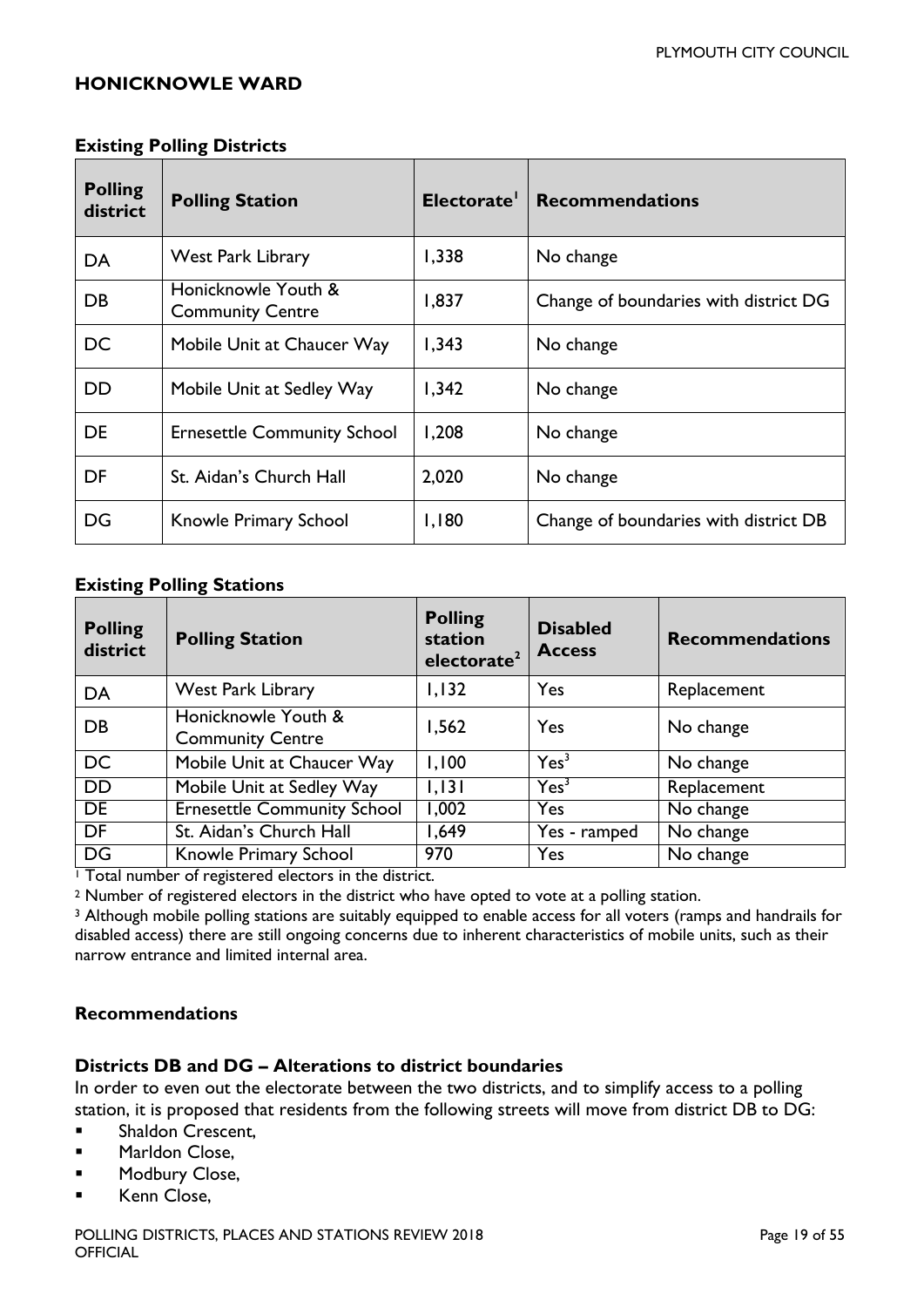#### <span id="page-18-0"></span>**HONICKNOWLE WARD**

#### **Existing Polling Districts**

| <b>Polling</b><br>district | <b>Polling Station</b>                         | Electorate <sup>1</sup> | <b>Recommendations</b>                |
|----------------------------|------------------------------------------------|-------------------------|---------------------------------------|
| DA                         | <b>West Park Library</b>                       | 1,338                   | No change                             |
| DB                         | Honicknowle Youth &<br><b>Community Centre</b> | 1,837                   | Change of boundaries with district DG |
| <b>DC</b>                  | Mobile Unit at Chaucer Way                     | 1,343                   | No change                             |
| <b>DD</b>                  | Mobile Unit at Sedley Way                      | 1,342                   | No change                             |
| <b>DE</b>                  | <b>Ernesettle Community School</b>             | 1,208                   | No change                             |
| DF                         | St. Aidan's Church Hall                        | 2,020                   | No change                             |
| DG                         | Knowle Primary School                          | 1,180                   | Change of boundaries with district DB |

#### **Existing Polling Stations**

| <b>Polling</b><br>district | <b>Polling Station</b>                         | <b>Polling</b><br>station<br>electorate <sup>2</sup> | <b>Disabled</b><br><b>Access</b> | <b>Recommendations</b> |
|----------------------------|------------------------------------------------|------------------------------------------------------|----------------------------------|------------------------|
| DA                         | West Park Library                              | 1,132                                                | Yes                              | Replacement            |
| DB                         | Honicknowle Youth &<br><b>Community Centre</b> | 1,562                                                | Yes                              | No change              |
| <b>DC</b>                  | Mobile Unit at Chaucer Way                     | 1,100                                                | Yes <sup>3</sup>                 | No change              |
| <b>DD</b>                  | Mobile Unit at Sedley Way                      | 1,131                                                | Yes <sup>3</sup>                 | Replacement            |
| DE                         | <b>Ernesettle Community School</b>             | 1,002                                                | Yes                              | No change              |
| DF                         | St. Aidan's Church Hall                        | 649, ا                                               | Yes - ramped                     | No change              |
| DG                         | Knowle Primary School                          | 970                                                  | Yes                              | $\overline{No}$ change |

<sup>1</sup> Total number of registered electors in the district.

<sup>2</sup> Number of registered electors in the district who have opted to vote at a polling station.

<sup>3</sup> Although mobile polling stations are suitably equipped to enable access for all voters (ramps and handrails for disabled access) there are still ongoing concerns due to inherent characteristics of mobile units, such as their narrow entrance and limited internal area.

#### **Recommendations**

#### **Districts DB and DG – Alterations to district boundaries**

In order to even out the electorate between the two districts, and to simplify access to a polling station, it is proposed that residents from the following streets will move from district DB to DG:

- **Shaldon Crescent.**
- **Marldon Close,**
- **Modbury Close,**
- **Kenn Close,**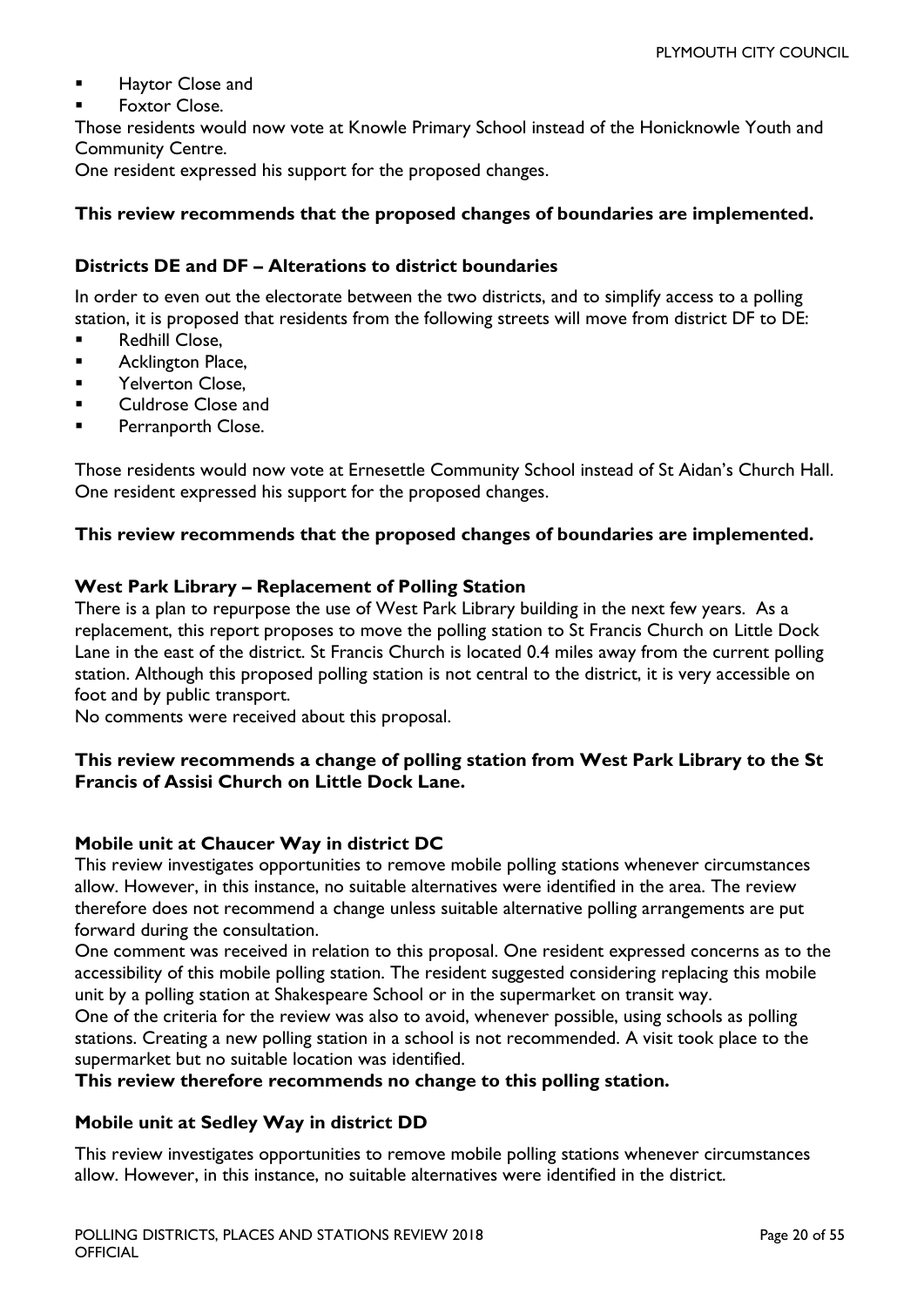- Haytor Close and
- Foxtor Close.

Those residents would now vote at Knowle Primary School instead of the Honicknowle Youth and Community Centre.

One resident expressed his support for the proposed changes.

#### **This review recommends that the proposed changes of boundaries are implemented.**

#### **Districts DE and DF – Alterations to district boundaries**

In order to even out the electorate between the two districts, and to simplify access to a polling station, it is proposed that residents from the following streets will move from district DF to DE:

- Redhill Close,
- **Acklington Place,**
- Yelverton Close,
- **Culdrose Close and**
- **Perranporth Close.**

Those residents would now vote at Ernesettle Community School instead of St Aidan's Church Hall. One resident expressed his support for the proposed changes.

#### **This review recommends that the proposed changes of boundaries are implemented.**

#### **West Park Library – Replacement of Polling Station**

There is a plan to repurpose the use of West Park Library building in the next few years. As a replacement, this report proposes to move the polling station to St Francis Church on Little Dock Lane in the east of the district. St Francis Church is located 0.4 miles away from the current polling station. Although this proposed polling station is not central to the district, it is very accessible on foot and by public transport.

No comments were received about this proposal.

#### **This review recommends a change of polling station from West Park Library to the St Francis of Assisi Church on Little Dock Lane.**

#### **Mobile unit at Chaucer Way in district DC**

This review investigates opportunities to remove mobile polling stations whenever circumstances allow. However, in this instance, no suitable alternatives were identified in the area. The review therefore does not recommend a change unless suitable alternative polling arrangements are put forward during the consultation.

One comment was received in relation to this proposal. One resident expressed concerns as to the accessibility of this mobile polling station. The resident suggested considering replacing this mobile unit by a polling station at Shakespeare School or in the supermarket on transit way.

One of the criteria for the review was also to avoid, whenever possible, using schools as polling stations. Creating a new polling station in a school is not recommended. A visit took place to the supermarket but no suitable location was identified.

#### **This review therefore recommends no change to this polling station.**

#### **Mobile unit at Sedley Way in district DD**

This review investigates opportunities to remove mobile polling stations whenever circumstances allow. However, in this instance, no suitable alternatives were identified in the district.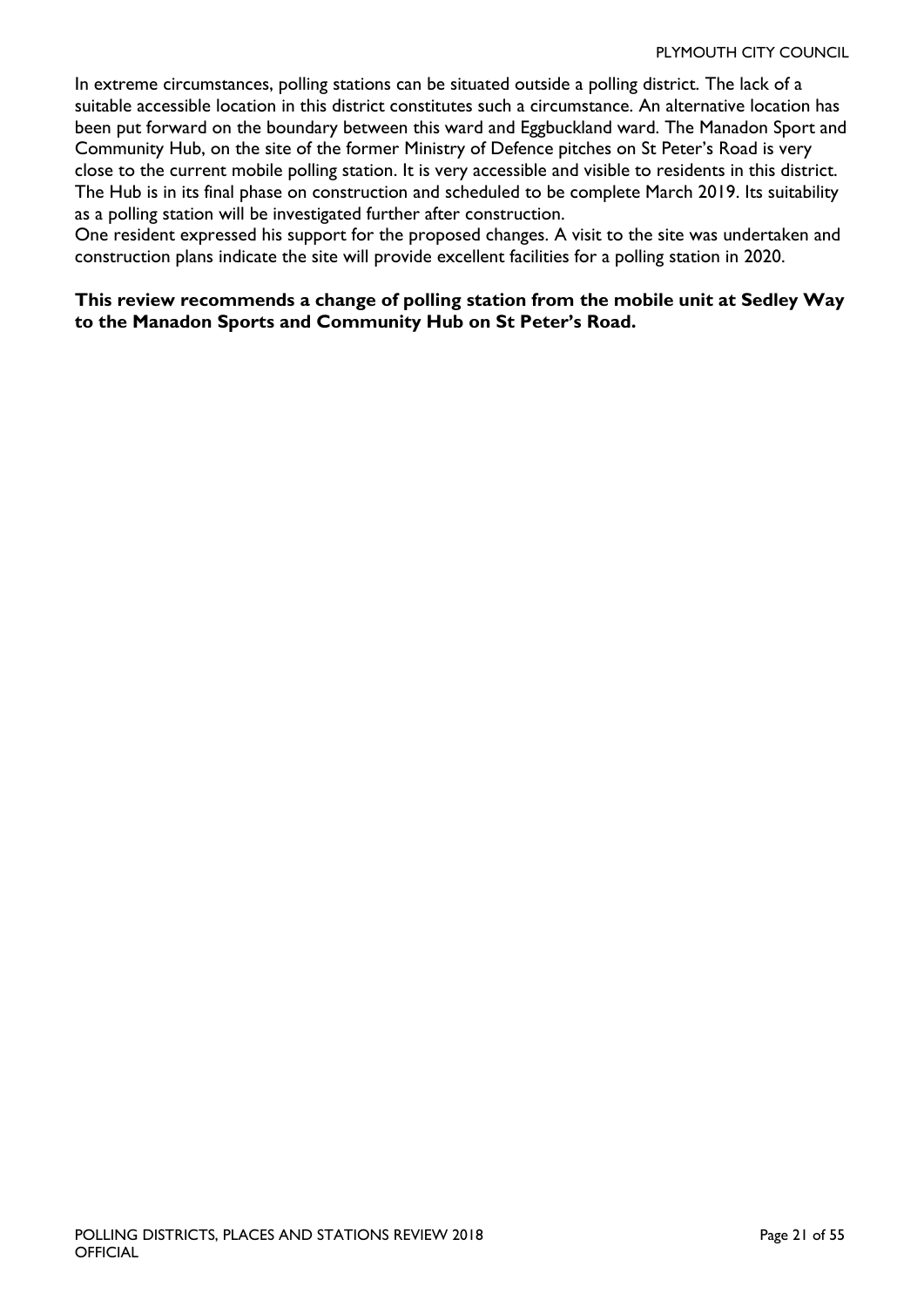In extreme circumstances, polling stations can be situated outside a polling district. The lack of a suitable accessible location in this district constitutes such a circumstance. An alternative location has been put forward on the boundary between this ward and Eggbuckland ward. The Manadon Sport and Community Hub, on the site of the former Ministry of Defence pitches on St Peter's Road is very close to the current mobile polling station. It is very accessible and visible to residents in this district. The Hub is in its final phase on construction and scheduled to be complete March 2019. Its suitability as a polling station will be investigated further after construction.

One resident expressed his support for the proposed changes. A visit to the site was undertaken and construction plans indicate the site will provide excellent facilities for a polling station in 2020.

#### **This review recommends a change of polling station from the mobile unit at Sedley Way to the Manadon Sports and Community Hub on St Peter's Road.**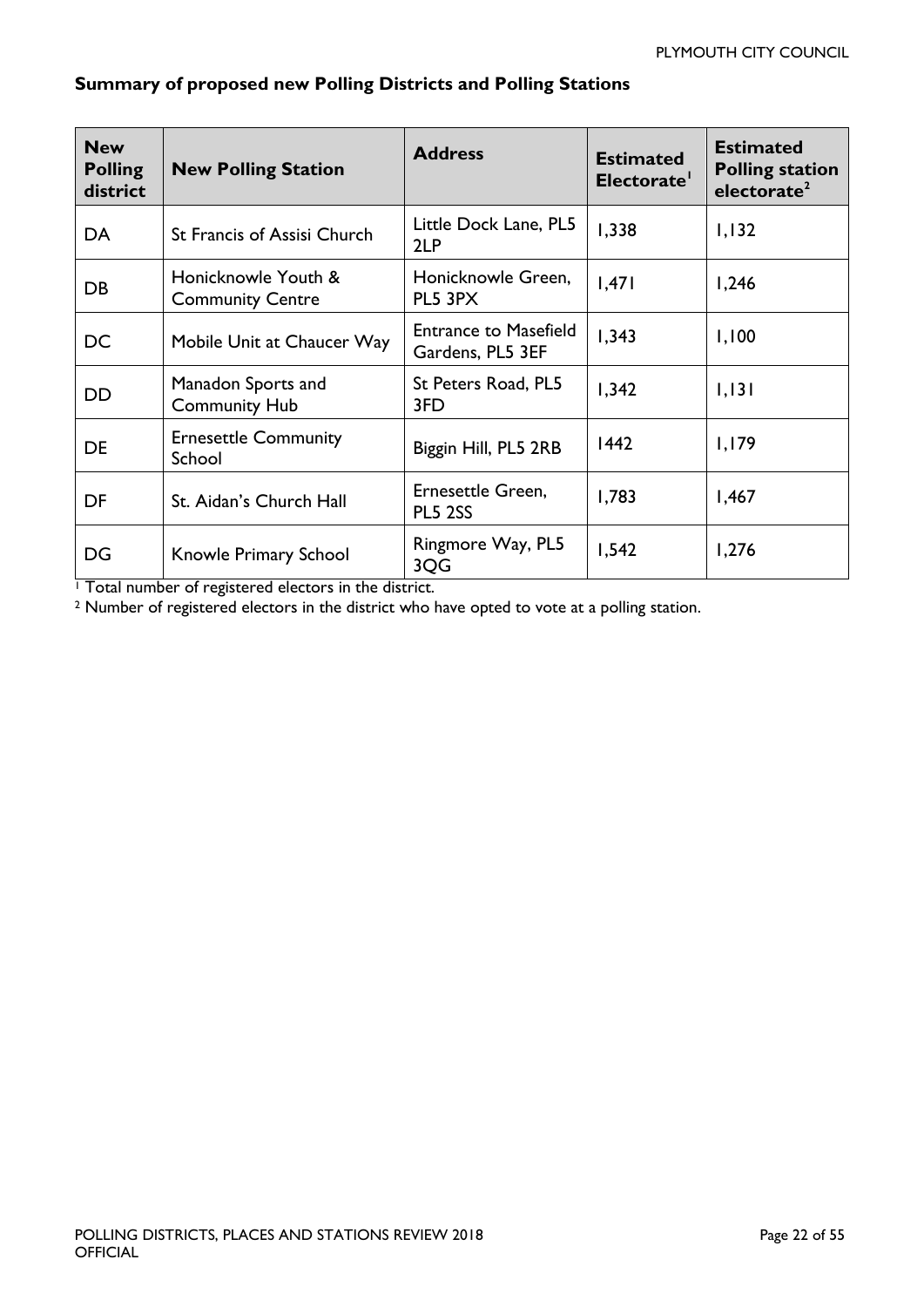| <b>New</b><br><b>Polling</b><br>district | <b>New Polling Station</b>                     | <b>Address</b>                                   | <b>Estimated</b><br>Electorate' | <b>Estimated</b><br><b>Polling station</b><br>electorate <sup>2</sup> |
|------------------------------------------|------------------------------------------------|--------------------------------------------------|---------------------------------|-----------------------------------------------------------------------|
| DA                                       | <b>St Francis of Assisi Church</b>             | Little Dock Lane, PL5<br>2LP                     | 1,338                           | 1,132                                                                 |
| DB                                       | Honicknowle Youth &<br><b>Community Centre</b> | Honicknowle Green,<br>PL5 3PX                    | .47                             | 1,246                                                                 |
| DC                                       | Mobile Unit at Chaucer Way                     | <b>Entrance to Masefield</b><br>Gardens, PL5 3EF | 1,343                           | 1,100                                                                 |
| <b>DD</b>                                | Manadon Sports and<br><b>Community Hub</b>     | St Peters Road, PL5<br>3FD                       | 1,342                           | 1,131                                                                 |
| <b>DE</b>                                | <b>Ernesettle Community</b><br>School          | Biggin Hill, PL5 2RB                             | 1442                            | 1,179                                                                 |
| DF                                       | St. Aidan's Church Hall                        | Ernesettle Green,<br><b>PL5 2SS</b>              | 1,783                           | 1,467                                                                 |
| DG                                       | Knowle Primary School                          | Ringmore Way, PL5<br>3QG                         | 1,542                           | 1,276                                                                 |

#### **Summary of proposed new Polling Districts and Polling Stations**

<sup>1</sup> Total number of registered electors in the district.

<sup>2</sup> Number of registered electors in the district who have opted to vote at a polling station.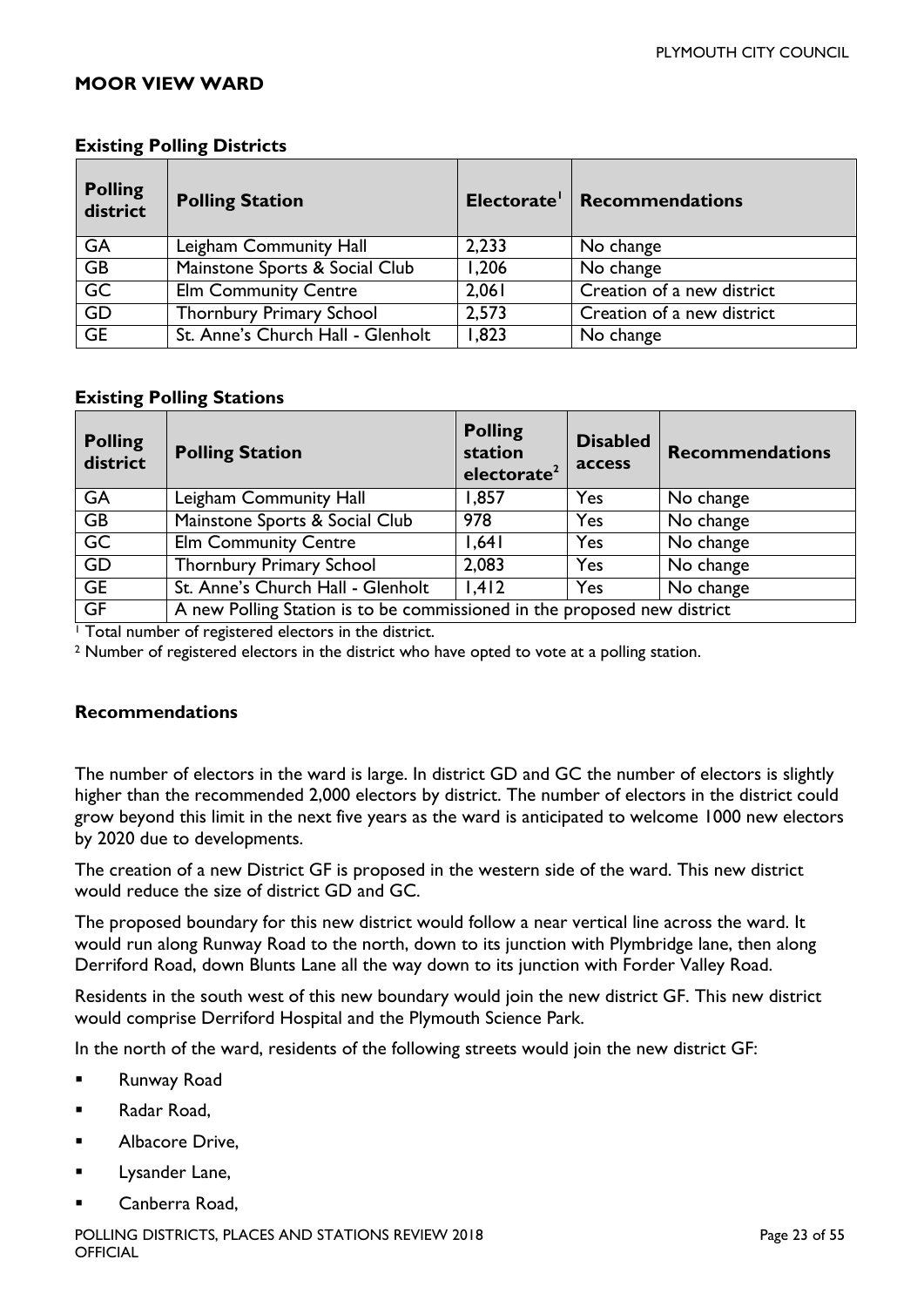#### <span id="page-22-0"></span>**MOOR VIEW WARD**

| <b>Polling</b><br>district | <b>Polling Station</b>            |       | Electorate   Recommendations |
|----------------------------|-----------------------------------|-------|------------------------------|
| <b>GA</b>                  | Leigham Community Hall            | 2,233 | No change                    |
| <b>GB</b>                  | Mainstone Sports & Social Club    | 1,206 | No change                    |
| GC                         | <b>Elm Community Centre</b>       | 2,061 | Creation of a new district   |
| GD                         | Thornbury Primary School          | 2,573 | Creation of a new district   |
| GE                         | St. Anne's Church Hall - Glenholt | 1,823 | No change                    |

#### **Existing Polling Districts**

#### **Existing Polling Stations**

| <b>Polling</b><br>district | <b>Polling Station</b>                                                   | <b>Polling</b><br>station<br>electorate <sup>2</sup> | <b>Disabled</b><br>access | <b>Recommendations</b> |
|----------------------------|--------------------------------------------------------------------------|------------------------------------------------------|---------------------------|------------------------|
| <b>GA</b>                  | Leigham Community Hall                                                   | 1,857                                                | Yes                       | No change              |
| <b>GB</b>                  | Mainstone Sports & Social Club                                           | 978                                                  | Yes                       | No change              |
| $\overline{GC}$            | <b>Elm Community Centre</b>                                              | 1,641                                                | Yes                       | No change              |
| GD                         | <b>Thornbury Primary School</b>                                          | 2,083                                                | Yes                       | No change              |
| GE                         | St. Anne's Church Hall - Glenholt                                        | 1,412                                                | Yes                       | No change              |
| GF                         | A new Polling Station is to be commissioned in the proposed new district |                                                      |                           |                        |

<sup>1</sup> Total number of registered electors in the district.

<sup>2</sup> Number of registered electors in the district who have opted to vote at a polling station.

#### **Recommendations**

The number of electors in the ward is large. In district GD and GC the number of electors is slightly higher than the recommended 2,000 electors by district. The number of electors in the district could grow beyond this limit in the next five years as the ward is anticipated to welcome 1000 new electors by 2020 due to developments.

The creation of a new District GF is proposed in the western side of the ward. This new district would reduce the size of district GD and GC.

The proposed boundary for this new district would follow a near vertical line across the ward. It would run along Runway Road to the north, down to its junction with Plymbridge lane, then along Derriford Road, down Blunts Lane all the way down to its junction with Forder Valley Road.

Residents in the south west of this new boundary would join the new district GF. This new district would comprise Derriford Hospital and the Plymouth Science Park.

In the north of the ward, residents of the following streets would join the new district GF:

- **Runway Road**
- **Radar Road,**
- Albacore Drive,
- Lysander Lane,
- Canberra Road,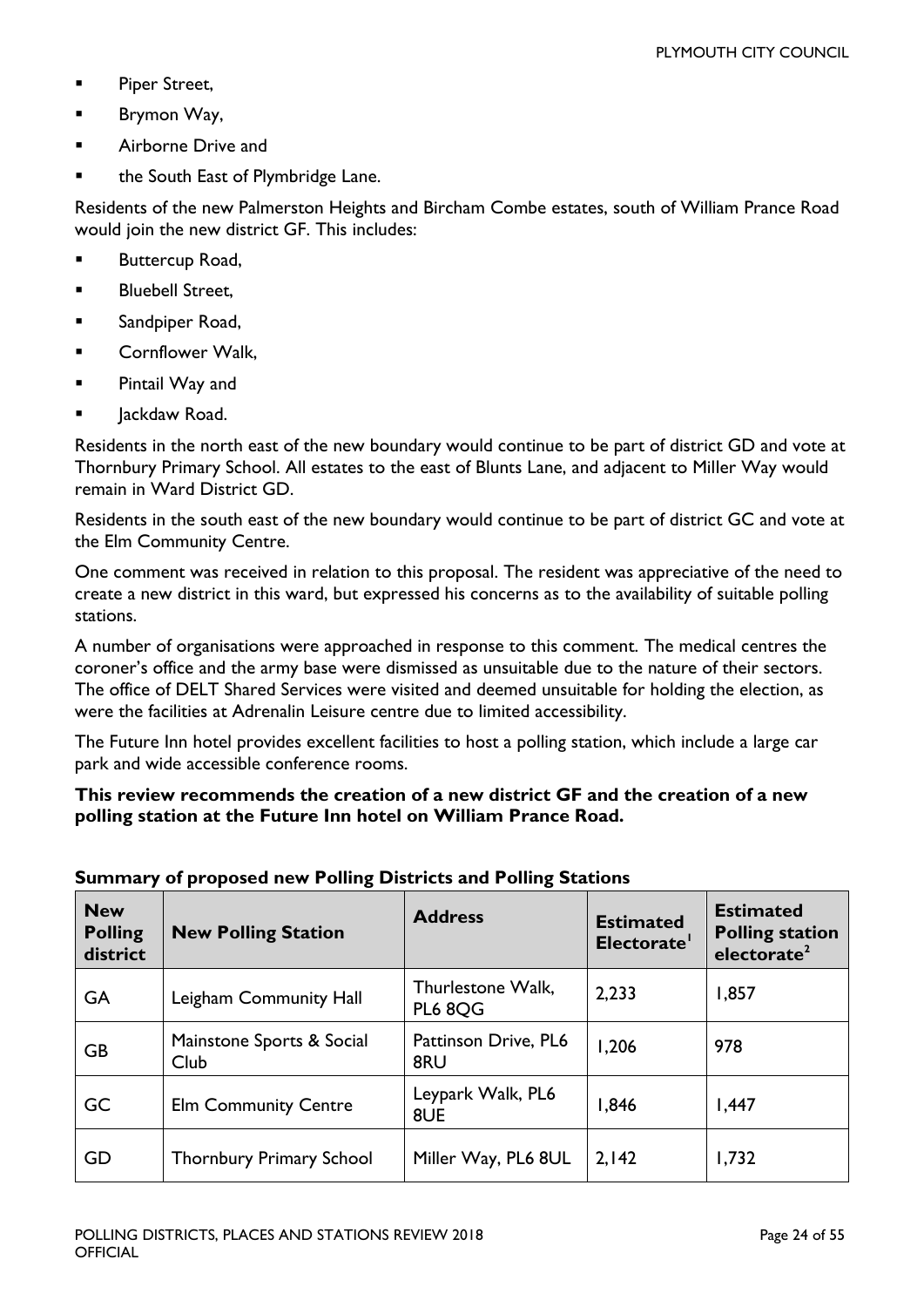- **Piper Street,**
- **Brymon Way,**
- Airborne Drive and
- the South East of Plymbridge Lane.

Residents of the new Palmerston Heights and Bircham Combe estates, south of William Prance Road would join the new district GF. This includes:

- **Buttercup Road,**
- **Bluebell Street,**
- **Sandpiper Road,**
- **E** Cornflower Walk,
- **Pintail Way and**
- **Jackdaw Road.**

Residents in the north east of the new boundary would continue to be part of district GD and vote at Thornbury Primary School. All estates to the east of Blunts Lane, and adjacent to Miller Way would remain in Ward District GD.

Residents in the south east of the new boundary would continue to be part of district GC and vote at the Elm Community Centre.

One comment was received in relation to this proposal. The resident was appreciative of the need to create a new district in this ward, but expressed his concerns as to the availability of suitable polling stations.

A number of organisations were approached in response to this comment. The medical centres the coroner's office and the army base were dismissed as unsuitable due to the nature of their sectors. The office of DELT Shared Services were visited and deemed unsuitable for holding the election, as were the facilities at Adrenalin Leisure centre due to limited accessibility.

The Future Inn hotel provides excellent facilities to host a polling station, which include a large car park and wide accessible conference rooms.

#### **This review recommends the creation of a new district GF and the creation of a new polling station at the Future Inn hotel on William Prance Road.**

| <b>New</b><br><b>Polling</b><br>district | <b>New Polling Station</b>        | <b>Address</b>                      | <b>Estimated</b><br>Electorate' | <b>Estimated</b><br><b>Polling station</b><br>electorate <sup>2</sup> |
|------------------------------------------|-----------------------------------|-------------------------------------|---------------------------------|-----------------------------------------------------------------------|
| GA                                       | Leigham Community Hall            | Thurlestone Walk,<br><b>PL6 8QG</b> | 2,233                           | 1,857                                                                 |
| <b>GB</b>                                | Mainstone Sports & Social<br>Club | Pattinson Drive, PL6<br>8RU         | 1,206                           | 978                                                                   |
| GC                                       | <b>Elm Community Centre</b>       | Leypark Walk, PL6<br>8UE            | 1,846                           | 1,447                                                                 |
| GD                                       | <b>Thornbury Primary School</b>   | Miller Way, PL6 8UL                 | 2,142                           | 1,732                                                                 |

#### **Summary of proposed new Polling Districts and Polling Stations**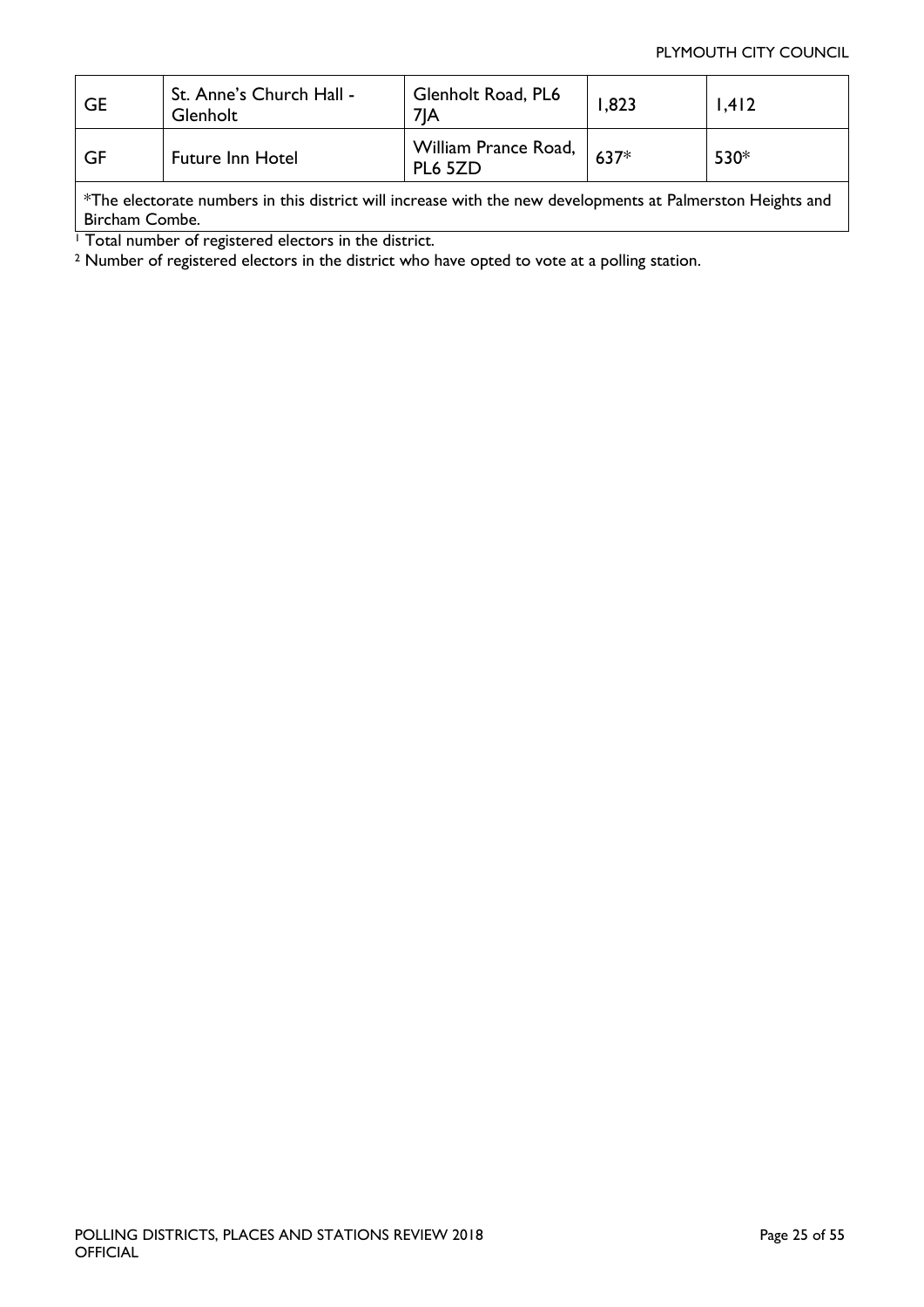#### PLYMOUTH CITY COUNCIL

| <b>GE</b>                                                                                                  | St. Anne's Church Hall -<br>Glenholt | Glenholt Road, PL6<br>71A       | 1.823  | 1,412 |
|------------------------------------------------------------------------------------------------------------|--------------------------------------|---------------------------------|--------|-------|
| GF                                                                                                         | <b>Future Inn Hotel</b>              | William Prance Road,<br>PL6 5ZD | $637*$ | 530*  |
| *The electorate numbers in this district will increase with the new developments at Palmerston Heights and |                                      |                                 |        |       |

Bircham Combe.

<sup>1</sup> Total number of registered electors in the district.

<span id="page-24-0"></span><sup>2</sup> Number of registered electors in the district who have opted to vote at a polling station.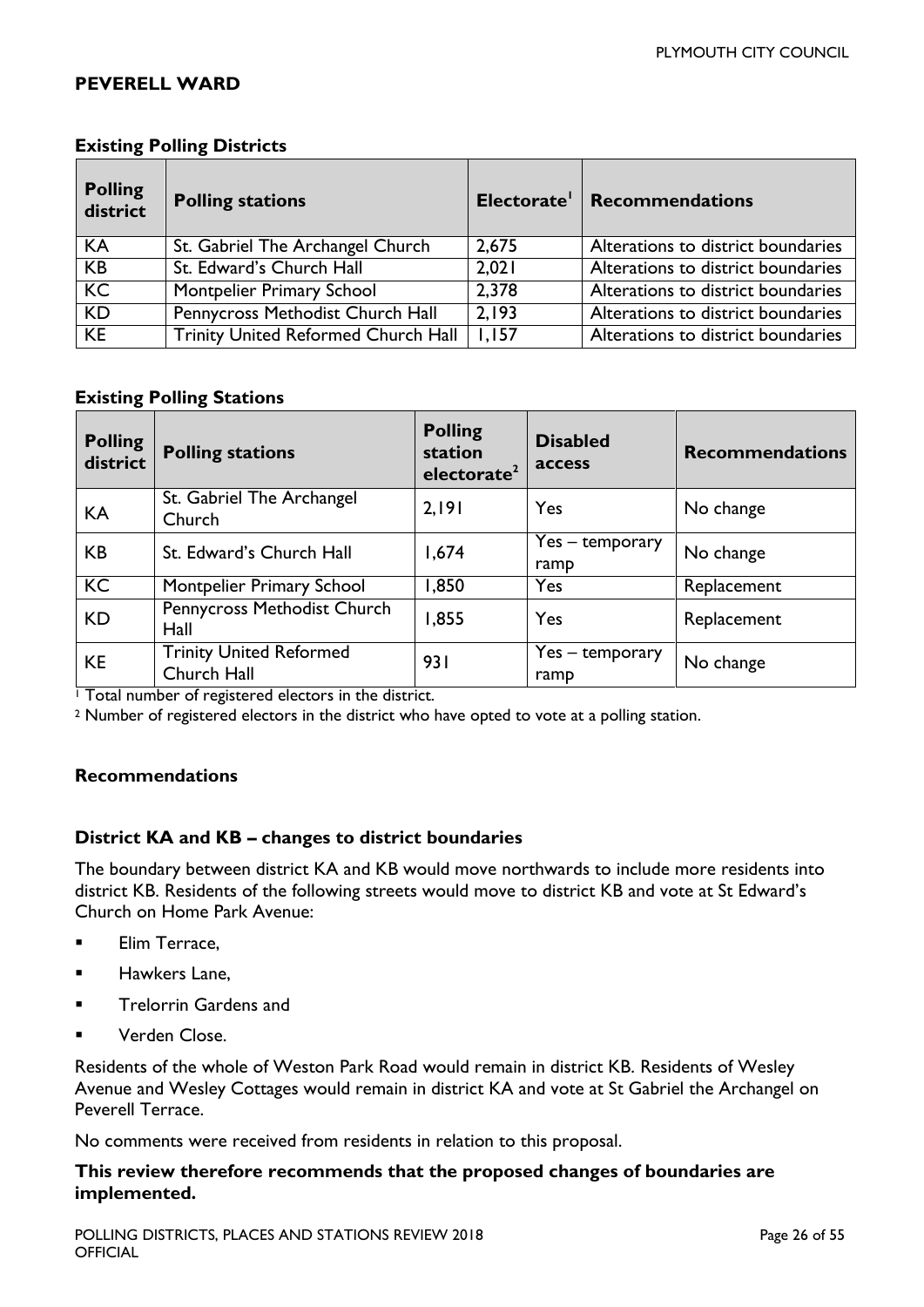#### **PEVERELL WARD**

| <b>Polling</b><br>district | <b>Polling stations</b>                    | Electorate' | <b>Recommendations</b>             |
|----------------------------|--------------------------------------------|-------------|------------------------------------|
| KA                         | St. Gabriel The Archangel Church           | 2,675       | Alterations to district boundaries |
| KB                         | St. Edward's Church Hall                   | 2,021       | Alterations to district boundaries |
| K <sub>C</sub>             | Montpelier Primary School                  | 2.378       | Alterations to district boundaries |
| $\overline{KD}$            | Pennycross Methodist Church Hall           | 2,193       | Alterations to district boundaries |
| $\overline{KE}$            | <b>Trinity United Reformed Church Hall</b> | 1,157       | Alterations to district boundaries |

#### **Existing Polling Districts**

#### **Existing Polling Stations**

| <b>Polling</b><br>district | <b>Polling stations</b>                       | <b>Polling</b><br>station<br>electorate <sup>2</sup> | <b>Disabled</b><br>access | <b>Recommendations</b> |
|----------------------------|-----------------------------------------------|------------------------------------------------------|---------------------------|------------------------|
| KA                         | St. Gabriel The Archangel<br>Church           | 2,191                                                | Yes                       | No change              |
| <b>KB</b>                  | St. Edward's Church Hall                      | 1,674                                                | Yes – temporary<br>ramp   | No change              |
| K <sub>C</sub>             | Montpelier Primary School                     | 1,850                                                | Yes                       | Replacement            |
| <b>KD</b>                  | Pennycross Methodist Church<br>Hall           | 1,855                                                | Yes                       | Replacement            |
| <b>KE</b>                  | <b>Trinity United Reformed</b><br>Church Hall | 931                                                  | Yes – temporary<br>ramp   | No change              |

<sup>1</sup> Total number of registered electors in the district.

<sup>2</sup> Number of registered electors in the district who have opted to vote at a polling station.

#### **Recommendations**

#### **District KA and KB – changes to district boundaries**

The boundary between district KA and KB would move northwards to include more residents into district KB. Residents of the following streets would move to district KB and vote at St Edward's Church on Home Park Avenue:

- **Elim Terrace,**
- **Hawkers Lane.**
- **Trelorrin Gardens and**
- Verden Close.

Residents of the whole of Weston Park Road would remain in district KB. Residents of Wesley Avenue and Wesley Cottages would remain in district KA and vote at St Gabriel the Archangel on Peverell Terrace.

No comments were received from residents in relation to this proposal.

#### **This review therefore recommends that the proposed changes of boundaries are implemented.**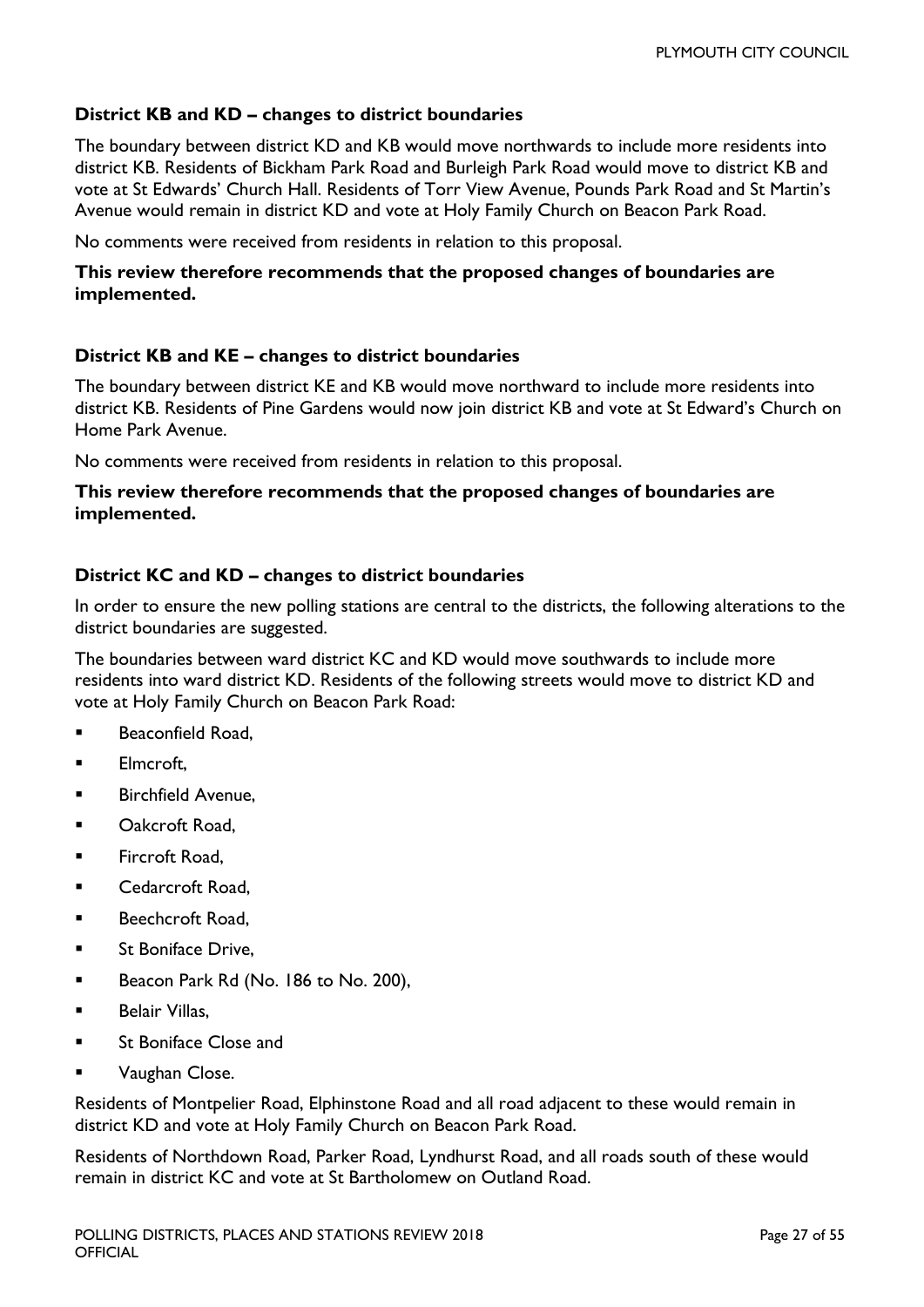#### **District KB and KD – changes to district boundaries**

The boundary between district KD and KB would move northwards to include more residents into district KB. Residents of Bickham Park Road and Burleigh Park Road would move to district KB and vote at St Edwards' Church Hall. Residents of Torr View Avenue, Pounds Park Road and St Martin's Avenue would remain in district KD and vote at Holy Family Church on Beacon Park Road.

No comments were received from residents in relation to this proposal.

#### **This review therefore recommends that the proposed changes of boundaries are implemented.**

#### **District KB and KE – changes to district boundaries**

The boundary between district KE and KB would move northward to include more residents into district KB. Residents of Pine Gardens would now join district KB and vote at St Edward's Church on Home Park Avenue.

No comments were received from residents in relation to this proposal.

#### **This review therefore recommends that the proposed changes of boundaries are implemented.**

#### **District KC and KD – changes to district boundaries**

In order to ensure the new polling stations are central to the districts, the following alterations to the district boundaries are suggested.

The boundaries between ward district KC and KD would move southwards to include more residents into ward district KD. Residents of the following streets would move to district KD and vote at Holy Family Church on Beacon Park Road:

- Beaconfield Road,
- **Elmcroft,**
- Birchfield Avenue,
- Oakcroft Road,
- Fircroft Road,
- Cedarcroft Road,
- **Beechcroft Road,**
- **St Boniface Drive.**
- Beacon Park Rd (No. 186 to No. 200),
- Belair Villas,
- St Boniface Close and
- Vaughan Close.

Residents of Montpelier Road, Elphinstone Road and all road adjacent to these would remain in district KD and vote at Holy Family Church on Beacon Park Road.

Residents of Northdown Road, Parker Road, Lyndhurst Road, and all roads south of these would remain in district KC and vote at St Bartholomew on Outland Road.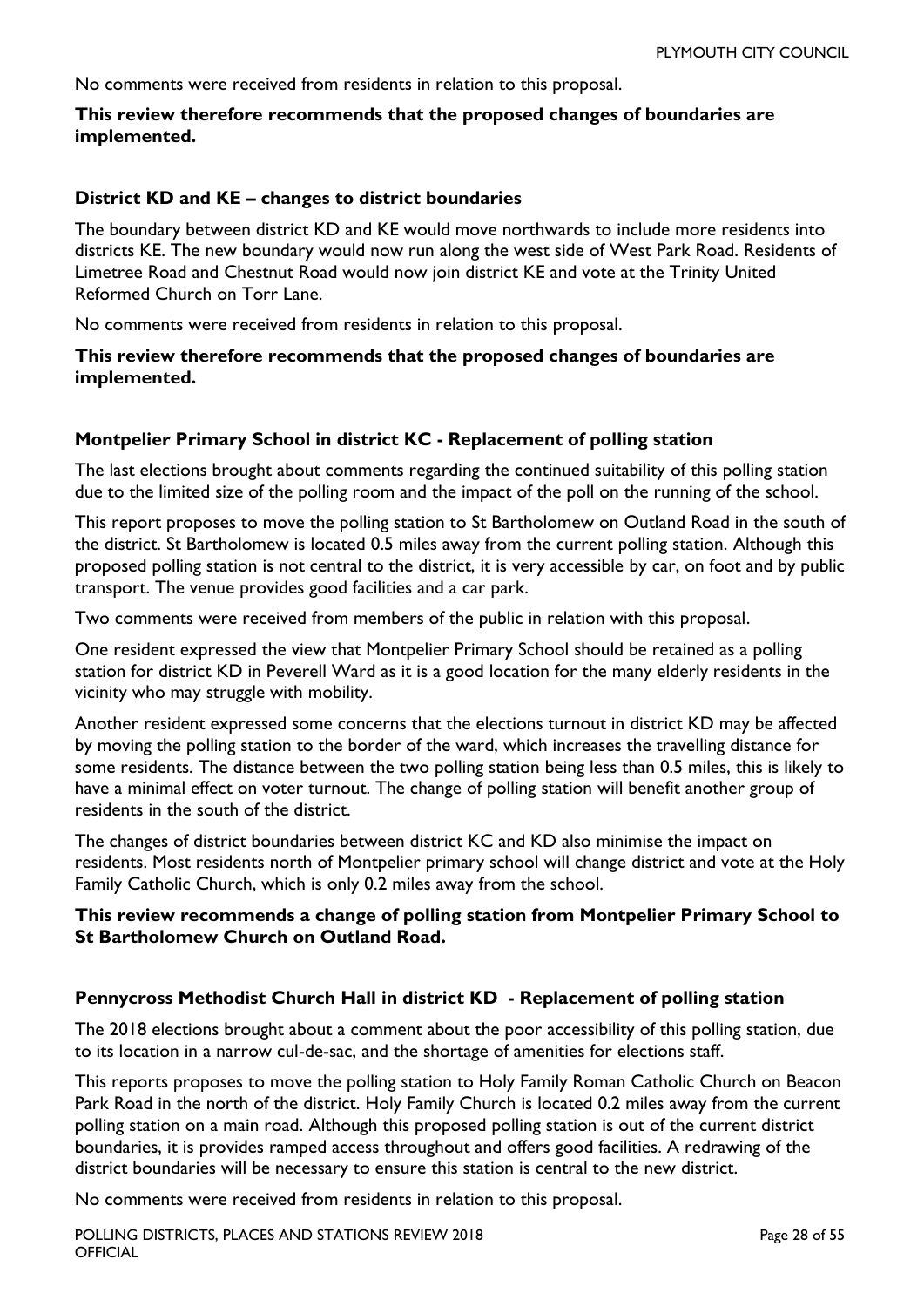No comments were received from residents in relation to this proposal.

#### **This review therefore recommends that the proposed changes of boundaries are implemented.**

#### **District KD and KE – changes to district boundaries**

The boundary between district KD and KE would move northwards to include more residents into districts KE. The new boundary would now run along the west side of West Park Road. Residents of Limetree Road and Chestnut Road would now join district KE and vote at the Trinity United Reformed Church on Torr Lane.

No comments were received from residents in relation to this proposal.

#### **This review therefore recommends that the proposed changes of boundaries are implemented.**

#### **Montpelier Primary School in district KC - Replacement of polling station**

The last elections brought about comments regarding the continued suitability of this polling station due to the limited size of the polling room and the impact of the poll on the running of the school.

This report proposes to move the polling station to St Bartholomew on Outland Road in the south of the district. St Bartholomew is located 0.5 miles away from the current polling station. Although this proposed polling station is not central to the district, it is very accessible by car, on foot and by public transport. The venue provides good facilities and a car park.

Two comments were received from members of the public in relation with this proposal.

One resident expressed the view that Montpelier Primary School should be retained as a polling station for district KD in Peverell Ward as it is a good location for the many elderly residents in the vicinity who may struggle with mobility.

Another resident expressed some concerns that the elections turnout in district KD may be affected by moving the polling station to the border of the ward, which increases the travelling distance for some residents. The distance between the two polling station being less than 0.5 miles, this is likely to have a minimal effect on voter turnout. The change of polling station will benefit another group of residents in the south of the district.

The changes of district boundaries between district KC and KD also minimise the impact on residents. Most residents north of Montpelier primary school will change district and vote at the Holy Family Catholic Church, which is only 0.2 miles away from the school.

#### **This review recommends a change of polling station from Montpelier Primary School to St Bartholomew Church on Outland Road.**

#### **Pennycross Methodist Church Hall in district KD - Replacement of polling station**

The 2018 elections brought about a comment about the poor accessibility of this polling station, due to its location in a narrow cul-de-sac, and the shortage of amenities for elections staff.

This reports proposes to move the polling station to Holy Family Roman Catholic Church on Beacon Park Road in the north of the district. Holy Family Church is located 0.2 miles away from the current polling station on a main road. Although this proposed polling station is out of the current district boundaries, it is provides ramped access throughout and offers good facilities. A redrawing of the district boundaries will be necessary to ensure this station is central to the new district.

No comments were received from residents in relation to this proposal.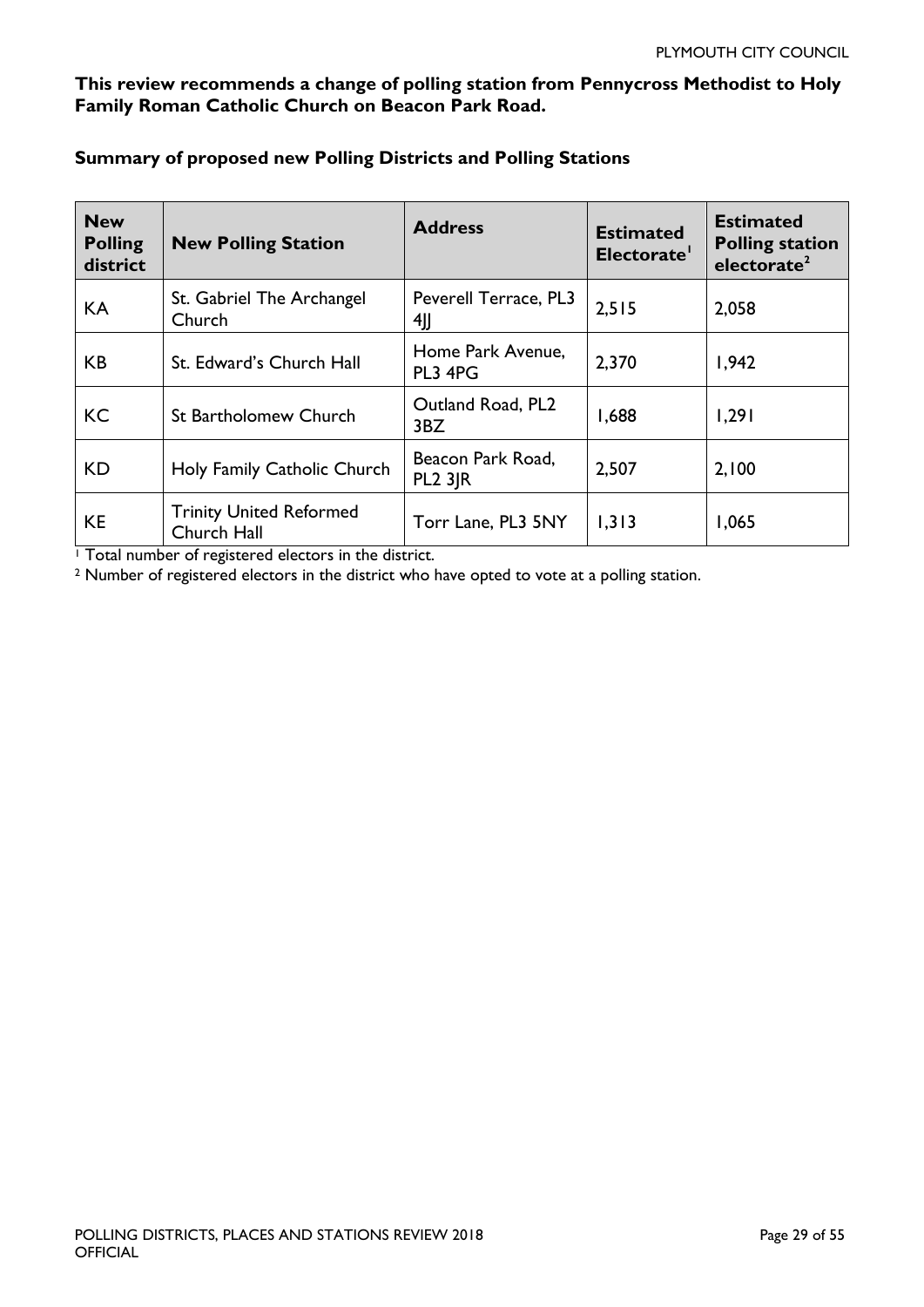#### **This review recommends a change of polling station from Pennycross Methodist to Holy Family Roman Catholic Church on Beacon Park Road.**

| <b>New</b><br><b>Polling</b><br>district | <b>New Polling Station</b>                    | <b>Address</b>                      | <b>Estimated</b><br>Electorate' | <b>Estimated</b><br><b>Polling station</b><br>electorate <sup>2</sup> |
|------------------------------------------|-----------------------------------------------|-------------------------------------|---------------------------------|-----------------------------------------------------------------------|
| KA                                       | St. Gabriel The Archangel<br>Church           | Peverell Terrace, PL3<br>4JJ        | 2,515                           | 2,058                                                                 |
| <b>KB</b>                                | St. Edward's Church Hall                      | Home Park Avenue,<br>PL3 4PG        | 2,370                           | 1,942                                                                 |
| <b>KC</b>                                | <b>St Bartholomew Church</b>                  | Outland Road, PL2<br>3BZ            | 1,688                           | 1,291                                                                 |
| KD.                                      | Holy Family Catholic Church                   | Beacon Park Road,<br><b>PL2 3JR</b> | 2,507                           | 2,100                                                                 |
| <b>KE</b>                                | <b>Trinity United Reformed</b><br>Church Hall | Torr Lane, PL3 5NY                  | 1,313                           | 1,065                                                                 |

#### **Summary of proposed new Polling Districts and Polling Stations**

<sup>1</sup> Total number of registered electors in the district.

<sup>2</sup> Number of registered electors in the district who have opted to vote at a polling station.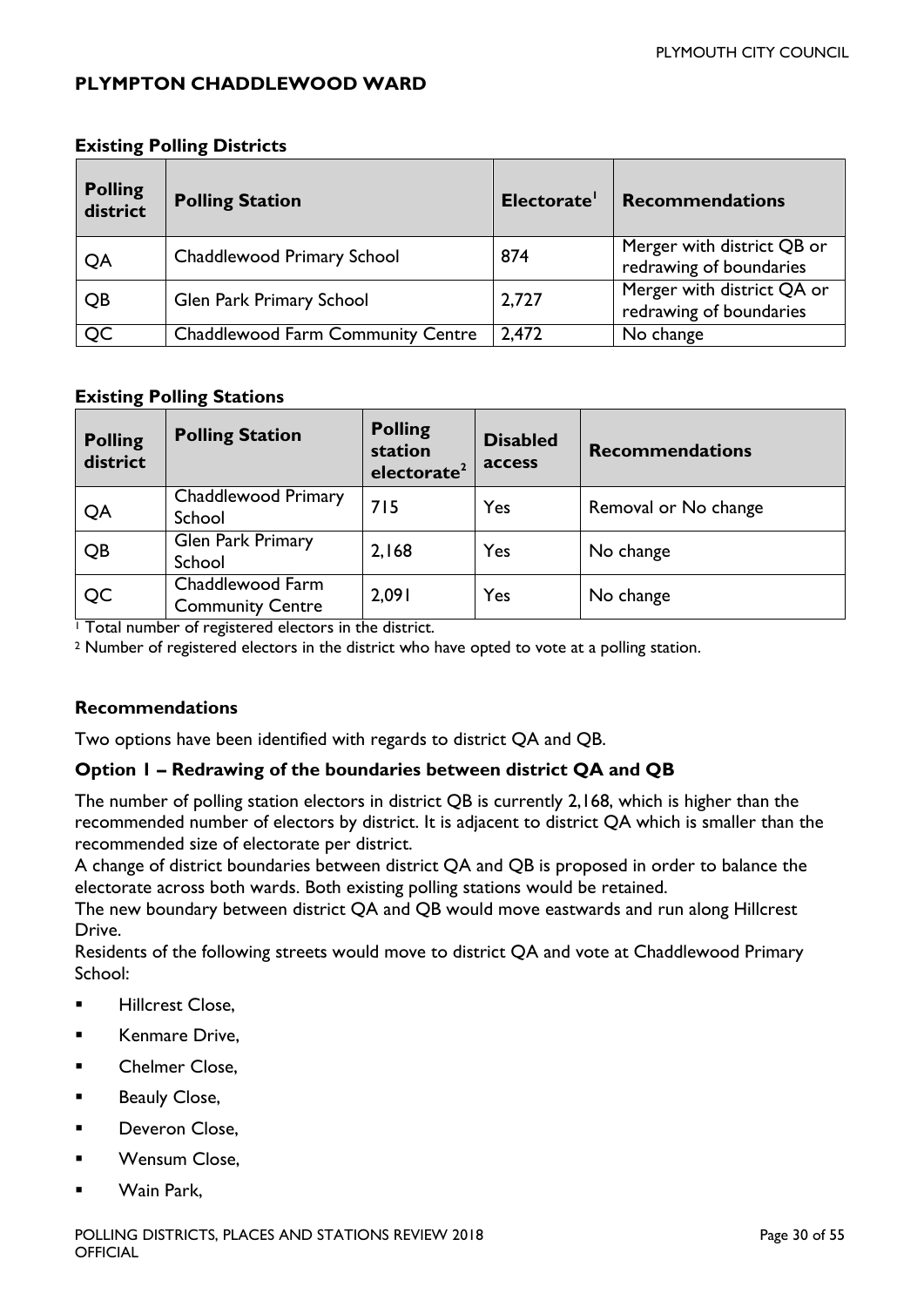#### <span id="page-29-0"></span>**PLYMPTON CHADDLEWOOD WARD**

| <b>Polling</b><br>district | <b>Polling Station</b>                   | Electorate' | <b>Recommendations</b>                                |
|----------------------------|------------------------------------------|-------------|-------------------------------------------------------|
| QA                         | Chaddlewood Primary School               | 874         | Merger with district QB or<br>redrawing of boundaries |
| QB                         | Glen Park Primary School                 | 2,727       | Merger with district QA or<br>redrawing of boundaries |
| QC                         | <b>Chaddlewood Farm Community Centre</b> | 2,472       | No change                                             |

#### **Existing Polling Districts**

#### **Existing Polling Stations**

| <b>Polling</b><br>district | <b>Polling Station</b>                      | <b>Polling</b><br>station<br>electorate <sup>2</sup> | <b>Disabled</b><br>access | <b>Recommendations</b> |
|----------------------------|---------------------------------------------|------------------------------------------------------|---------------------------|------------------------|
| QA                         | Chaddlewood Primary<br>School               | 715                                                  | Yes                       | Removal or No change   |
| QB                         | Glen Park Primary<br>School                 | 2,168                                                | Yes                       | No change              |
| QC<br>.                    | Chaddlewood Farm<br><b>Community Centre</b> | 2,091                                                | Yes                       | No change              |

<sup>1</sup> Total number of registered electors in the district.

<sup>2</sup> Number of registered electors in the district who have opted to vote at a polling station.

#### **Recommendations**

Two options have been identified with regards to district QA and QB.

#### **Option 1 – Redrawing of the boundaries between district QA and QB**

The number of polling station electors in district QB is currently 2,168, which is higher than the recommended number of electors by district. It is adjacent to district QA which is smaller than the recommended size of electorate per district.

A change of district boundaries between district QA and QB is proposed in order to balance the electorate across both wards. Both existing polling stations would be retained.

The new boundary between district QA and QB would move eastwards and run along Hillcrest Drive.

Residents of the following streets would move to district QA and vote at Chaddlewood Primary School:

- **Hillcrest Close,**
- **Kenmare Drive.**
- **EXEC** Chelmer Close,
- **Beauly Close,**
- **Deveron Close,**
- Wensum Close,
- Wain Park,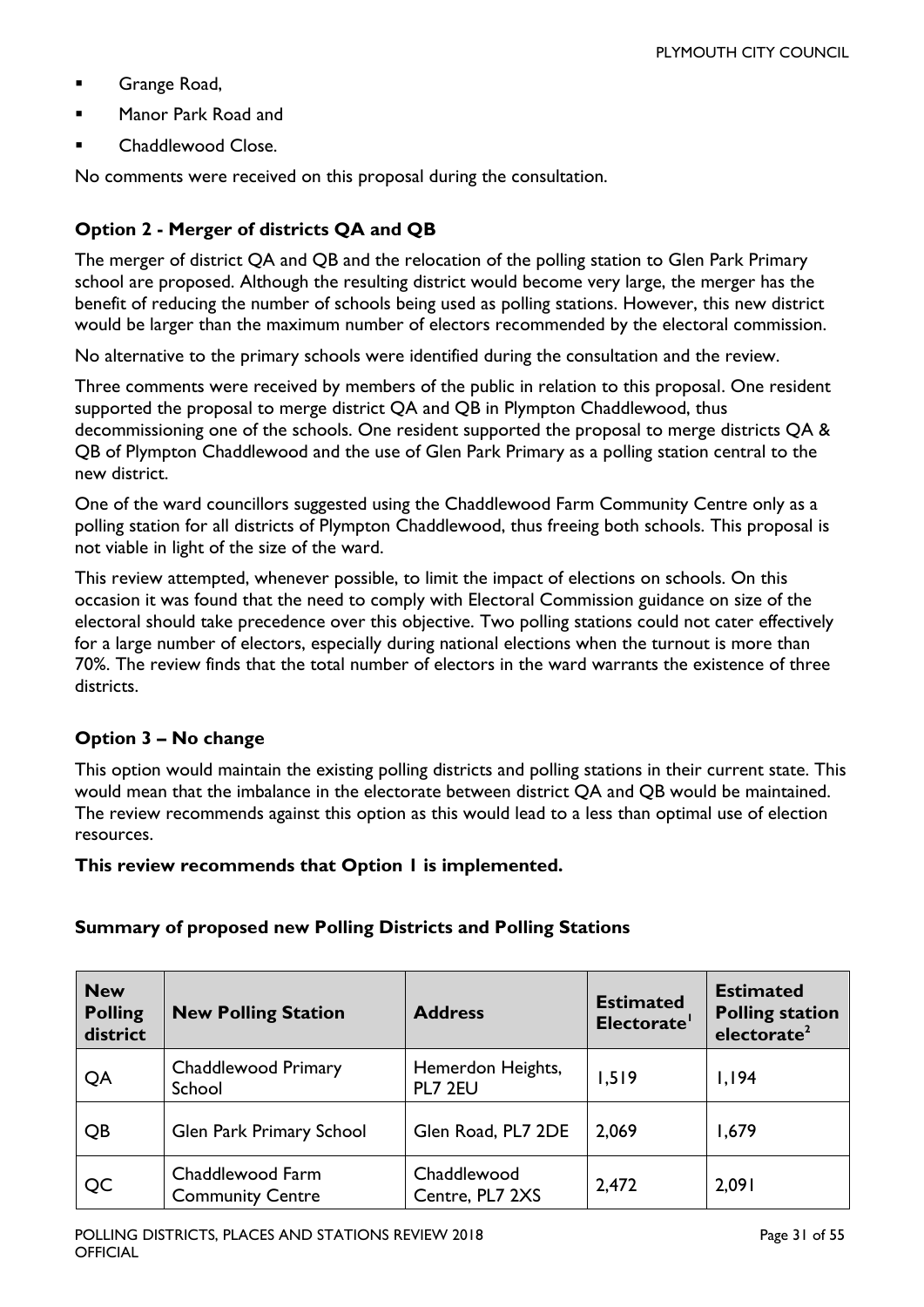- Grange Road,
- Manor Park Road and
- Chaddlewood Close.

No comments were received on this proposal during the consultation.

#### **Option 2 - Merger of districts QA and QB**

The merger of district QA and QB and the relocation of the polling station to Glen Park Primary school are proposed. Although the resulting district would become very large, the merger has the benefit of reducing the number of schools being used as polling stations. However, this new district would be larger than the maximum number of electors recommended by the electoral commission.

No alternative to the primary schools were identified during the consultation and the review.

Three comments were received by members of the public in relation to this proposal. One resident supported the proposal to merge district QA and QB in Plympton Chaddlewood, thus decommissioning one of the schools. One resident supported the proposal to merge districts QA & QB of Plympton Chaddlewood and the use of Glen Park Primary as a polling station central to the new district.

One of the ward councillors suggested using the Chaddlewood Farm Community Centre only as a polling station for all districts of Plympton Chaddlewood, thus freeing both schools. This proposal is not viable in light of the size of the ward.

This review attempted, whenever possible, to limit the impact of elections on schools. On this occasion it was found that the need to comply with Electoral Commission guidance on size of the electoral should take precedence over this objective. Two polling stations could not cater effectively for a large number of electors, especially during national elections when the turnout is more than 70%. The review finds that the total number of electors in the ward warrants the existence of three districts.

#### **Option 3 – No change**

This option would maintain the existing polling districts and polling stations in their current state. This would mean that the imbalance in the electorate between district QA and QB would be maintained. The review recommends against this option as this would lead to a less than optimal use of election resources.

**This review recommends that Option 1 is implemented.**

#### **Summary of proposed new Polling Districts and Polling Stations**

| <b>New</b><br><b>Polling</b><br>district | <b>New Polling Station</b>                  | <b>Address</b>                 | <b>Estimated</b><br>Electorate' | <b>Estimated</b><br><b>Polling station</b><br>electorate <sup>2</sup> |
|------------------------------------------|---------------------------------------------|--------------------------------|---------------------------------|-----------------------------------------------------------------------|
| QA                                       | Chaddlewood Primary<br>School               | Hemerdon Heights,<br>PL7 2EU   | 1,519                           | 1,194                                                                 |
| QB                                       | Glen Park Primary School                    | Glen Road, PL7 2DE             | 2,069                           | 1,679                                                                 |
| QC                                       | Chaddlewood Farm<br><b>Community Centre</b> | Chaddlewood<br>Centre, PL7 2XS | 2,472                           | 2,091                                                                 |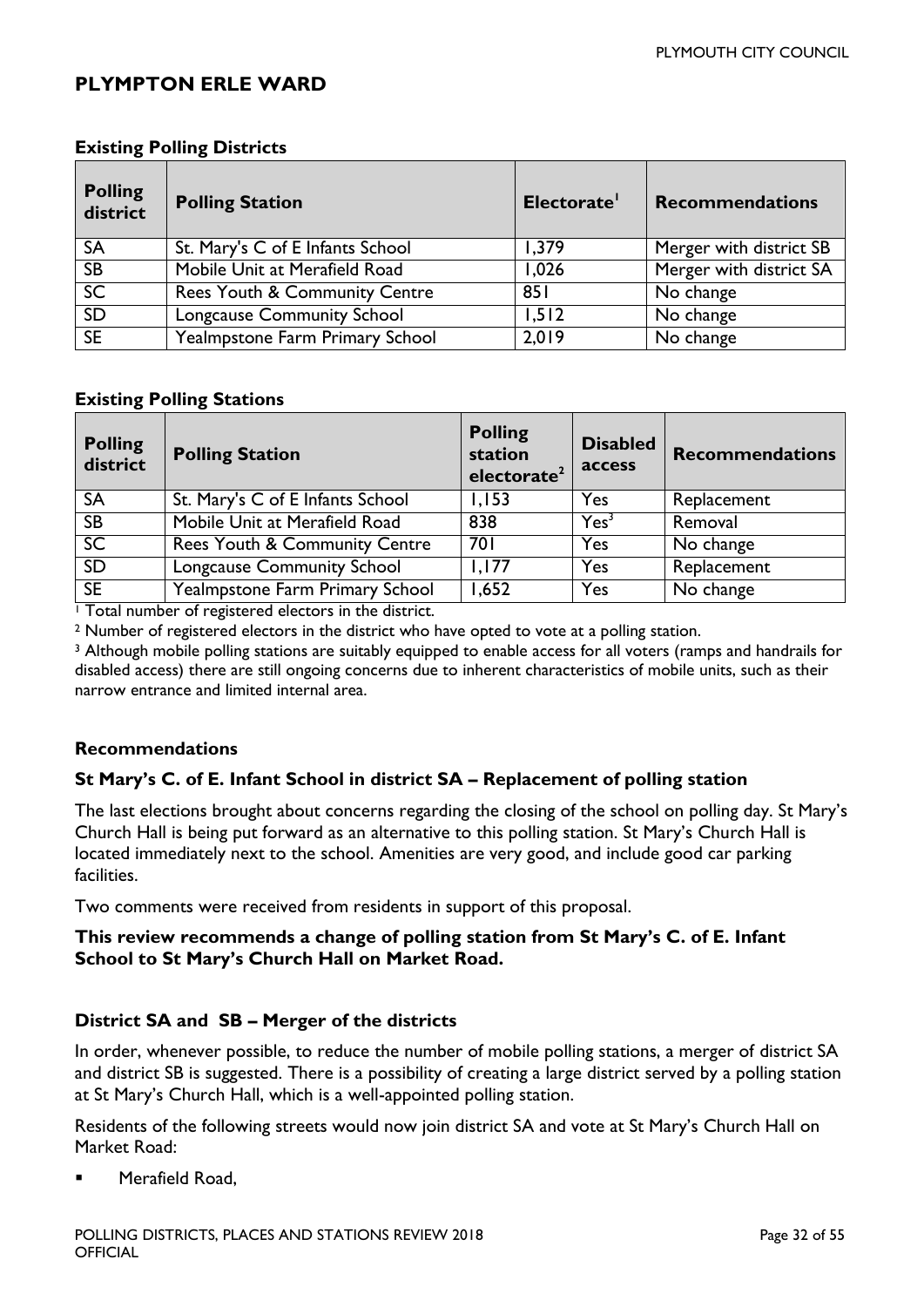#### <span id="page-31-0"></span>**PLYMPTON ERLE WARD**

| <b>Polling</b><br>district | <b>Polling Station</b>           | Electorate' | <b>Recommendations</b>  |
|----------------------------|----------------------------------|-------------|-------------------------|
| <b>SA</b>                  | St. Mary's C of E Infants School | 1,379       | Merger with district SB |
| SB                         | Mobile Unit at Merafield Road    | 1,026       | Merger with district SA |
| SC                         | Rees Youth & Community Centre    | 851         | No change               |
| SD                         | Longcause Community School       | 1,512       | No change               |
| SE                         | Yealmpstone Farm Primary School  | 2,019       | No change               |

#### **Existing Polling Districts**

#### **Existing Polling Stations**

| <b>Polling</b><br>district | <b>Polling Station</b>                   | <b>Polling</b><br>station<br>electorate <sup>2</sup> | <b>Disabled</b><br>access | <b>Recommendations</b> |
|----------------------------|------------------------------------------|------------------------------------------------------|---------------------------|------------------------|
| <b>SA</b>                  | St. Mary's C of E Infants School         | 1,153                                                | Yes                       | Replacement            |
| $\overline{SB}$            | Mobile Unit at Merafield Road            | 838                                                  | Yes <sup>3</sup>          | Removal                |
| SC                         | <b>Rees Youth &amp; Community Centre</b> | 701                                                  | Yes                       | No change              |
| <b>SD</b>                  | Longcause Community School               | 1.177                                                | Yes                       | Replacement            |
| SE                         | Yealmpstone Farm Primary School          | 1,652                                                | Yes                       | No change              |

<sup>1</sup> Total number of registered electors in the district.

<sup>2</sup> Number of registered electors in the district who have opted to vote at a polling station.

<sup>3</sup> Although mobile polling stations are suitably equipped to enable access for all voters (ramps and handrails for disabled access) there are still ongoing concerns due to inherent characteristics of mobile units, such as their narrow entrance and limited internal area.

#### **Recommendations**

#### **St Mary's C. of E. Infant School in district SA – Replacement of polling station**

The last elections brought about concerns regarding the closing of the school on polling day. St Mary's Church Hall is being put forward as an alternative to this polling station. St Mary's Church Hall is located immediately next to the school. Amenities are very good, and include good car parking facilities.

Two comments were received from residents in support of this proposal.

#### **This review recommends a change of polling station from St Mary's C. of E. Infant School to St Mary's Church Hall on Market Road.**

#### **District SA and SB – Merger of the districts**

In order, whenever possible, to reduce the number of mobile polling stations, a merger of district SA and district SB is suggested. There is a possibility of creating a large district served by a polling station at St Mary's Church Hall, which is a well-appointed polling station.

Residents of the following streets would now join district SA and vote at St Mary's Church Hall on Market Road:

Merafield Road,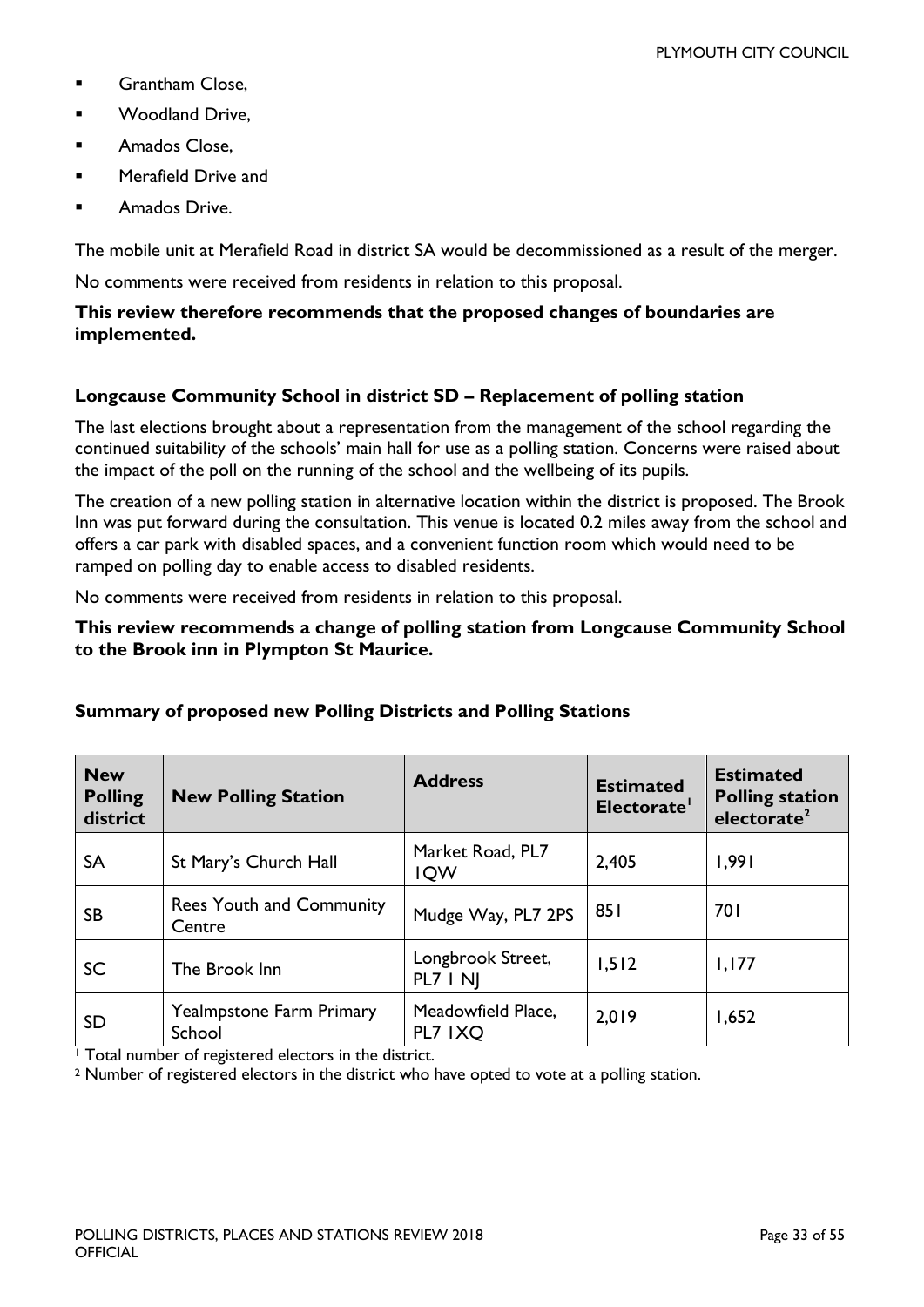- **Grantham Close.**
- **Noodland Drive.**
- Amados Close,
- Merafield Drive and
- Amados Drive.

The mobile unit at Merafield Road in district SA would be decommissioned as a result of the merger.

No comments were received from residents in relation to this proposal.

#### **This review therefore recommends that the proposed changes of boundaries are implemented.**

#### **Longcause Community School in district SD – Replacement of polling station**

The last elections brought about a representation from the management of the school regarding the continued suitability of the schools' main hall for use as a polling station. Concerns were raised about the impact of the poll on the running of the school and the wellbeing of its pupils.

The creation of a new polling station in alternative location within the district is proposed. The Brook Inn was put forward during the consultation. This venue is located 0.2 miles away from the school and offers a car park with disabled spaces, and a convenient function room which would need to be ramped on polling day to enable access to disabled residents.

No comments were received from residents in relation to this proposal.

#### **This review recommends a change of polling station from Longcause Community School to the Brook inn in Plympton St Maurice.**

| <b>New</b><br><b>Polling</b><br>district | <b>New Polling Station</b>                | <b>Address</b>                 | <b>Estimated</b><br>Electorate' | <b>Estimated</b><br><b>Polling station</b><br>electorate <sup>2</sup> |
|------------------------------------------|-------------------------------------------|--------------------------------|---------------------------------|-----------------------------------------------------------------------|
| SA                                       | St Mary's Church Hall                     | Market Road, PL7<br><b>IQW</b> | 2,405                           | 1,991                                                                 |
| <b>SB</b>                                | <b>Rees Youth and Community</b><br>Centre | Mudge Way, PL7 2PS             | 851                             | 701                                                                   |
| SC                                       | The Brook Inn                             | Longbrook Street,<br>PL7   N   | 1,512                           | 1,177                                                                 |
| <b>SD</b>                                | <b>Yealmpstone Farm Primary</b><br>School | Meadowfield Place,<br>PL7 IXQ  | 2,019                           | 1,652                                                                 |

#### **Summary of proposed new Polling Districts and Polling Stations**

<sup>1</sup> Total number of registered electors in the district.

<sup>2</sup> Number of registered electors in the district who have opted to vote at a polling station.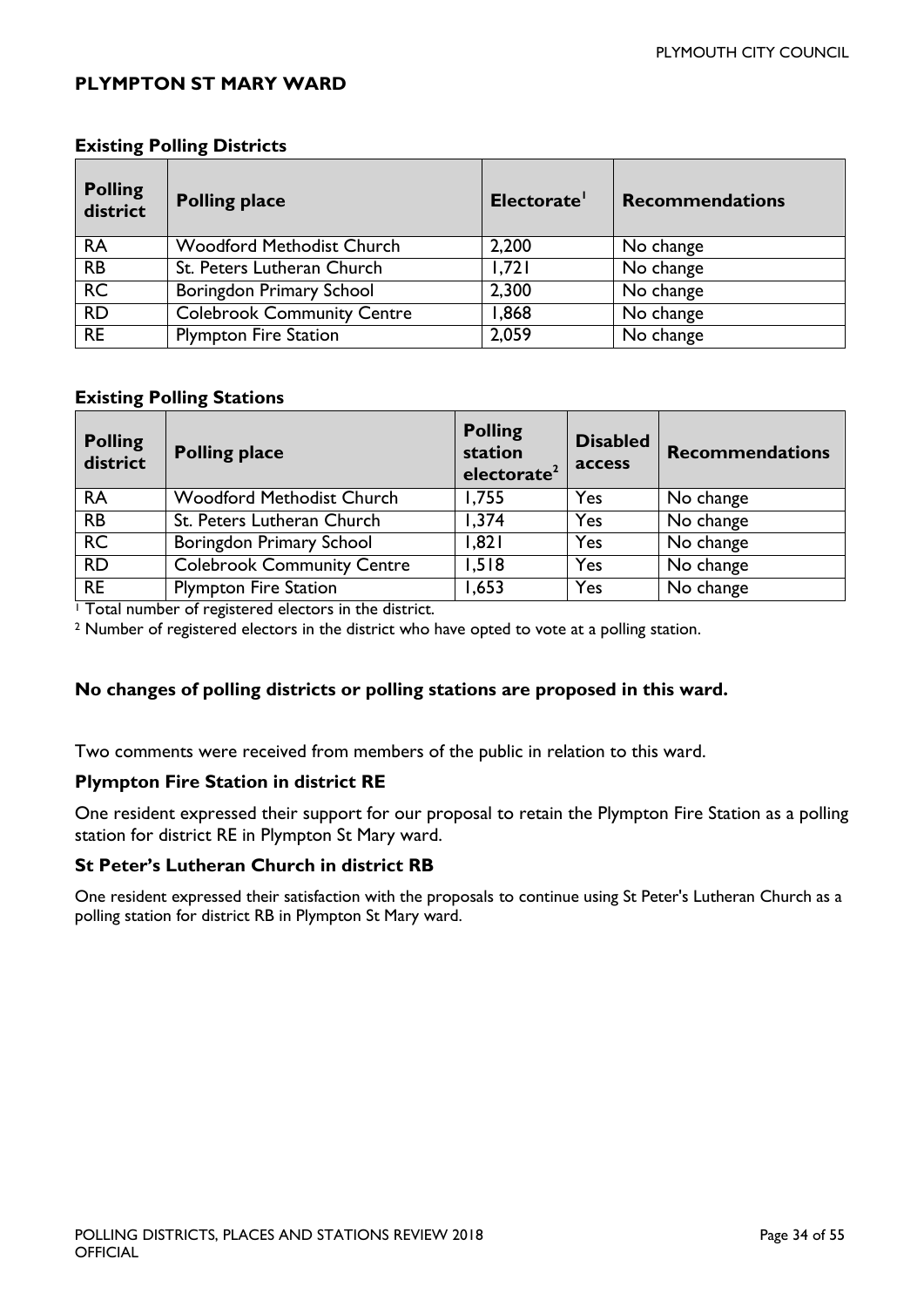#### <span id="page-33-0"></span>**PLYMPTON ST MARY WARD**

| <b>Polling</b><br>district | <b>Polling place</b>              | Electorate' | <b>Recommendations</b> |
|----------------------------|-----------------------------------|-------------|------------------------|
| <b>RA</b>                  | <b>Woodford Methodist Church</b>  | 2,200       | No change              |
| <b>RB</b>                  | St. Peters Lutheran Church        | 1.721       | No change              |
| <b>RC</b>                  | Boringdon Primary School          | 2,300       | No change              |
| <b>RD</b>                  | <b>Colebrook Community Centre</b> | 868,1       | No change              |
| <b>RE</b>                  | <b>Plympton Fire Station</b>      | 2,059       | No change              |

#### **Existing Polling Districts**

#### **Existing Polling Stations**

| <b>Polling</b><br>district | <b>Polling place</b>              | <b>Polling</b><br>station<br>electorate <sup>2</sup> | <b>Disabled</b><br>access | <b>Recommendations</b> |
|----------------------------|-----------------------------------|------------------------------------------------------|---------------------------|------------------------|
| <b>RA</b>                  | <b>Woodford Methodist Church</b>  | 1,755                                                | Yes                       | No change              |
| <b>RB</b>                  | St. Peters Lutheran Church        | 1,374                                                | Yes                       | No change              |
| <b>RC</b>                  | Boringdon Primary School          | 1,821                                                | Yes                       | No change              |
| <b>RD</b>                  | <b>Colebrook Community Centre</b> | 1,518                                                | Yes                       | No change              |
| <b>RE</b>                  | <b>Plympton Fire Station</b>      | 1,653                                                | Yes                       | No change              |

<sup>1</sup> Total number of registered electors in the district.

<sup>2</sup> Number of registered electors in the district who have opted to vote at a polling station.

#### **No changes of polling districts or polling stations are proposed in this ward.**

Two comments were received from members of the public in relation to this ward.

#### **Plympton Fire Station in district RE**

One resident expressed their support for our proposal to retain the Plympton Fire Station as a polling station for district RE in Plympton St Mary ward.

#### **St Peter's Lutheran Church in district RB**

One resident expressed their satisfaction with the proposals to continue using St Peter's Lutheran Church as a polling station for district RB in Plympton St Mary ward.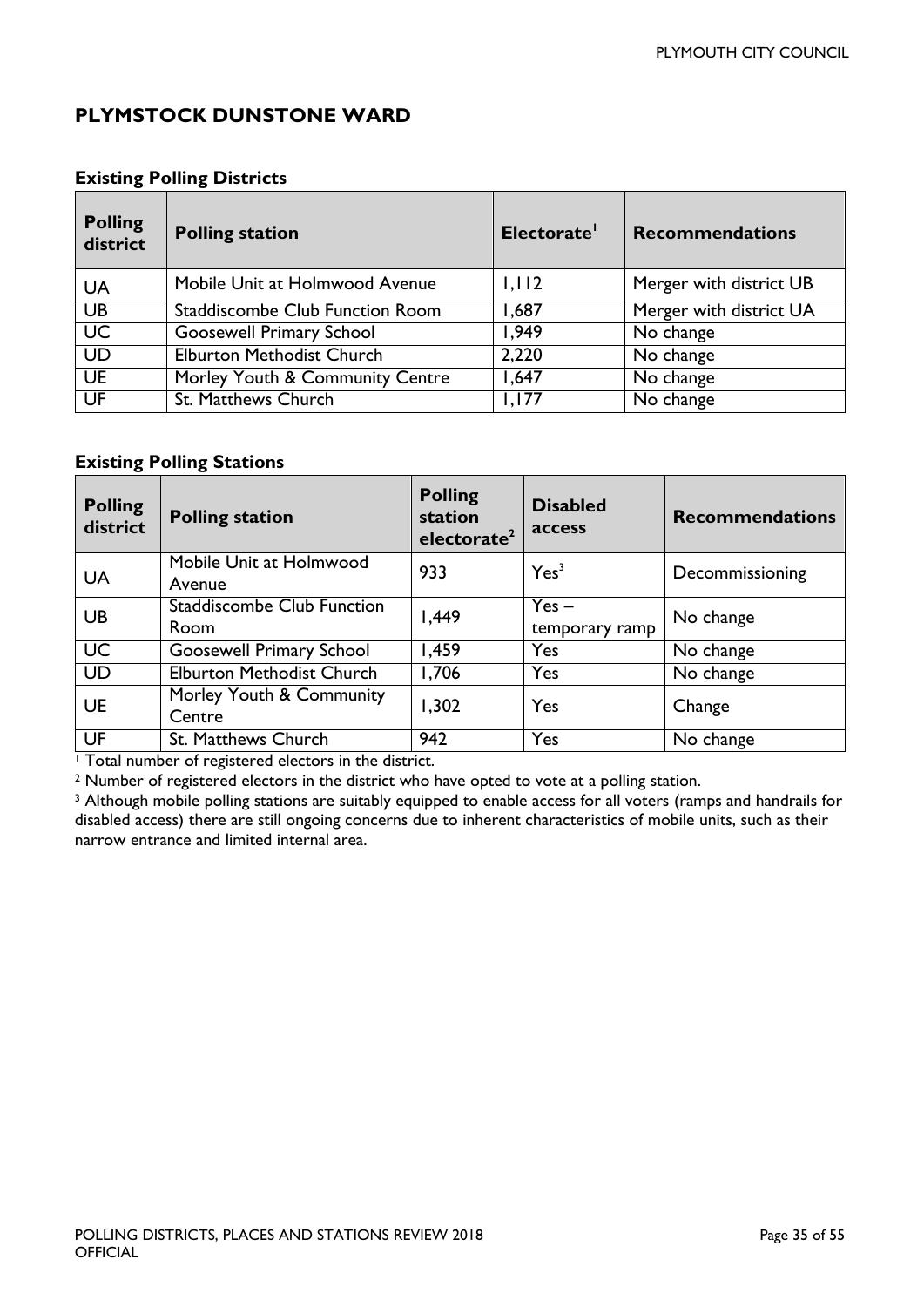### <span id="page-34-0"></span>**PLYMSTOCK DUNSTONE WARD**

#### **Existing Polling Districts**

| <b>Polling</b><br>district | <b>Polling station</b>           | Electorate' | <b>Recommendations</b>  |
|----------------------------|----------------------------------|-------------|-------------------------|
| UA                         | Mobile Unit at Holmwood Avenue   | 1,112       | Merger with district UB |
| <b>UB</b>                  | Staddiscombe Club Function Room  | 1,687       | Merger with district UA |
| $\overline{\mathsf{UC}}$   | <b>Goosewell Primary School</b>  | 1,949       | No change               |
| <b>UD</b>                  | <b>Elburton Methodist Church</b> | 2,220       | No change               |
| <b>UE</b>                  | Morley Youth & Community Centre  | 1,647       | $\overline{No}$ change  |
| UF                         | St. Matthews Church              | 1,177       | No change               |

#### **Existing Polling Stations**

| <b>Polling</b><br>district | <b>Polling station</b>                    | <b>Polling</b><br>station<br>electorate <sup>2</sup> | <b>Disabled</b><br>access | <b>Recommendations</b> |
|----------------------------|-------------------------------------------|------------------------------------------------------|---------------------------|------------------------|
| <b>UA</b>                  | Mobile Unit at Holmwood<br>Avenue         | 933                                                  | Yes <sup>3</sup>          | Decommissioning        |
| UB                         | <b>Staddiscombe Club Function</b><br>Room | 1,449                                                | $Yes -$<br>temporary ramp | No change              |
| <b>UC</b>                  | <b>Goosewell Primary School</b>           | 1,459                                                | Yes                       | No change              |
| <b>UD</b>                  | <b>Elburton Methodist Church</b>          | 1,706                                                | Yes                       | No change              |
| <b>UE</b>                  | Morley Youth & Community<br>Centre        | 1,302                                                | Yes                       | Change                 |
| UF                         | St. Matthews Church                       | 942                                                  | Yes                       | No change              |

<sup>1</sup> Total number of registered electors in the district.

<sup>2</sup> Number of registered electors in the district who have opted to vote at a polling station.

<sup>3</sup> Although mobile polling stations are suitably equipped to enable access for all voters (ramps and handrails for disabled access) there are still ongoing concerns due to inherent characteristics of mobile units, such as their narrow entrance and limited internal area.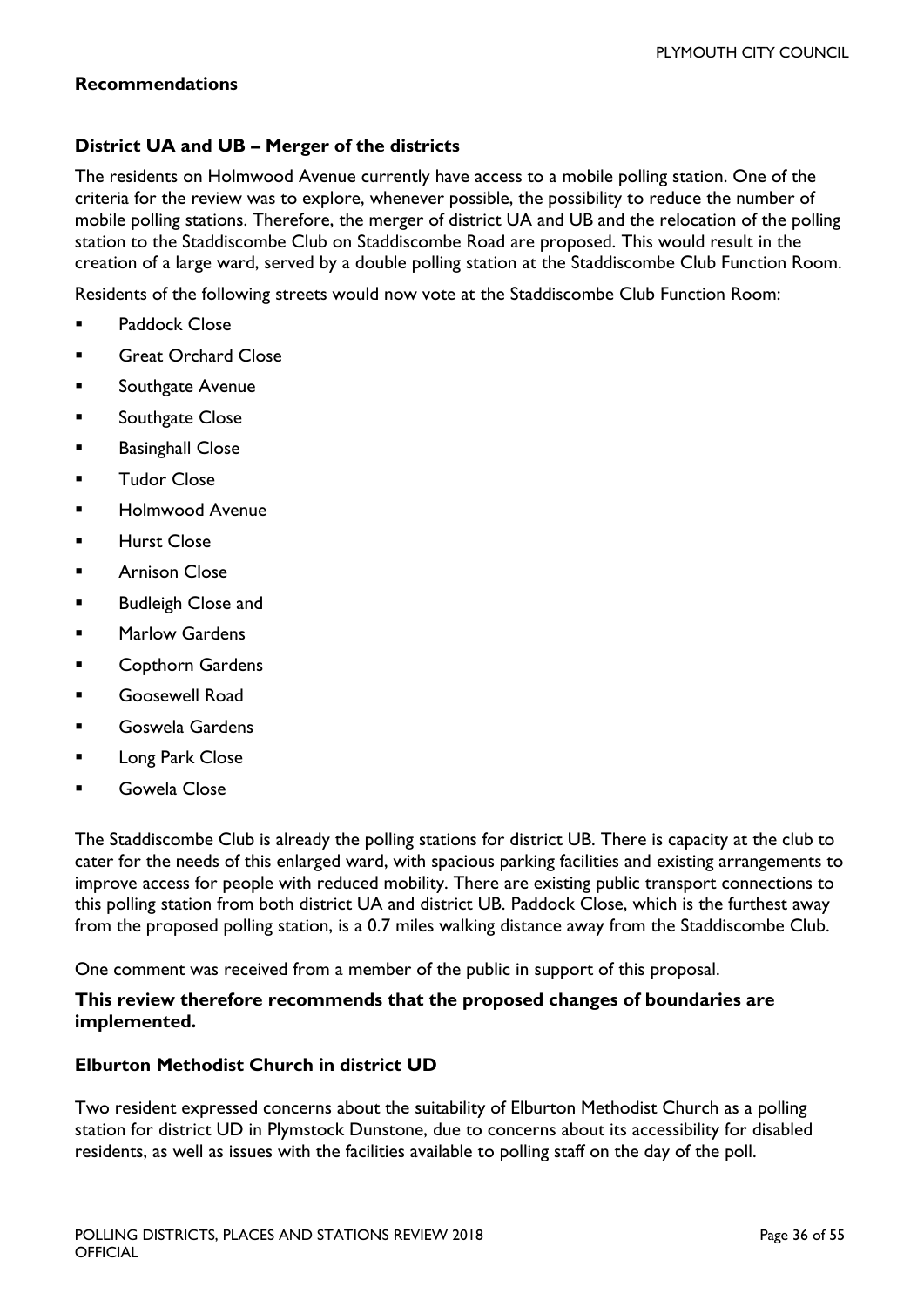#### **Recommendations**

#### **District UA and UB – Merger of the districts**

The residents on Holmwood Avenue currently have access to a mobile polling station. One of the criteria for the review was to explore, whenever possible, the possibility to reduce the number of mobile polling stations. Therefore, the merger of district UA and UB and the relocation of the polling station to the Staddiscombe Club on Staddiscombe Road are proposed. This would result in the creation of a large ward, served by a double polling station at the Staddiscombe Club Function Room.

Residents of the following streets would now vote at the Staddiscombe Club Function Room:

- **Paddock Close**
- Great Orchard Close
- **EXECO** Southgate Avenue
- **Southgate Close**
- **Basinghall Close**
- **Tudor Close**
- Holmwood Avenue
- Hurst Close
- Arnison Close
- Budleigh Close and
- Marlow Gardens
- Copthorn Gardens
- Goosewell Road
- Goswela Gardens
- **Long Park Close**
- Gowela Close

The Staddiscombe Club is already the polling stations for district UB. There is capacity at the club to cater for the needs of this enlarged ward, with spacious parking facilities and existing arrangements to improve access for people with reduced mobility. There are existing public transport connections to this polling station from both district UA and district UB. Paddock Close, which is the furthest away from the proposed polling station, is a 0.7 miles walking distance away from the Staddiscombe Club.

One comment was received from a member of the public in support of this proposal.

#### **This review therefore recommends that the proposed changes of boundaries are implemented.**

#### **Elburton Methodist Church in district UD**

Two resident expressed concerns about the suitability of Elburton Methodist Church as a polling station for district UD in Plymstock Dunstone, due to concerns about its accessibility for disabled residents, as well as issues with the facilities available to polling staff on the day of the poll.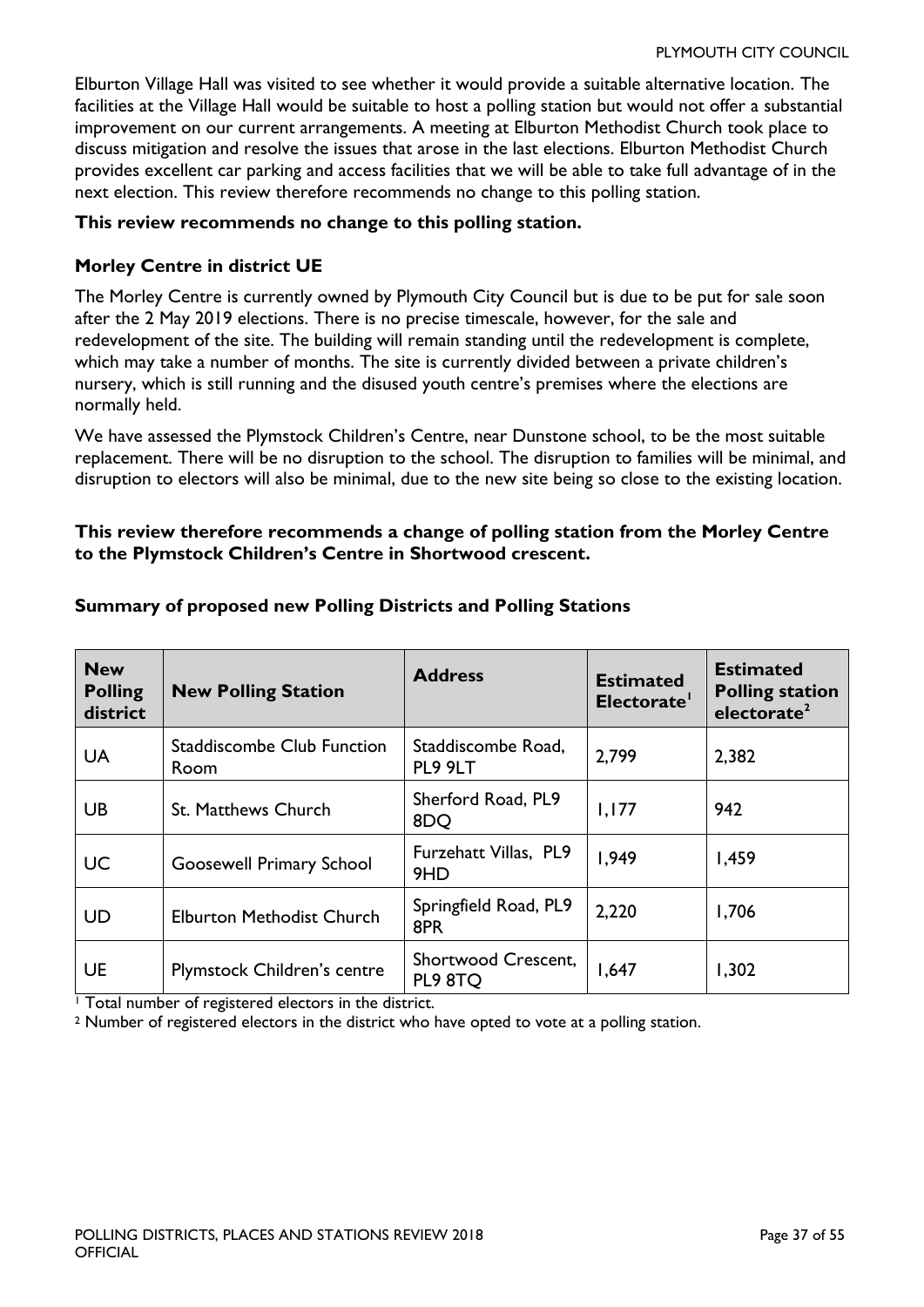Elburton Village Hall was visited to see whether it would provide a suitable alternative location. The facilities at the Village Hall would be suitable to host a polling station but would not offer a substantial improvement on our current arrangements. A meeting at Elburton Methodist Church took place to discuss mitigation and resolve the issues that arose in the last elections. Elburton Methodist Church provides excellent car parking and access facilities that we will be able to take full advantage of in the next election. This review therefore recommends no change to this polling station.

#### **This review recommends no change to this polling station.**

#### **Morley Centre in district UE**

The Morley Centre is currently owned by Plymouth City Council but is due to be put for sale soon after the 2 May 2019 elections. There is no precise timescale, however, for the sale and redevelopment of the site. The building will remain standing until the redevelopment is complete, which may take a number of months. The site is currently divided between a private children's nursery, which is still running and the disused youth centre's premises where the elections are normally held.

We have assessed the Plymstock Children's Centre, near Dunstone school, to be the most suitable replacement. There will be no disruption to the school. The disruption to families will be minimal, and disruption to electors will also be minimal, due to the new site being so close to the existing location.

#### **This review therefore recommends a change of polling station from the Morley Centre to the Plymstock Children's Centre in Shortwood crescent.**

| <b>New</b><br><b>Polling</b><br>district | <b>New Polling Station</b>                | <b>Address</b>                 | <b>Estimated</b><br>Electorate' | <b>Estimated</b><br><b>Polling station</b><br>electorate <sup>2</sup> |
|------------------------------------------|-------------------------------------------|--------------------------------|---------------------------------|-----------------------------------------------------------------------|
| <b>UA</b>                                | <b>Staddiscombe Club Function</b><br>Room | Staddiscombe Road,<br>PL9 9LT  | 2,799                           | 2,382                                                                 |
| UB                                       | St. Matthews Church                       | Sherford Road, PL9<br>8DQ      | 1,177                           | 942                                                                   |
| <b>UC</b>                                | <b>Goosewell Primary School</b>           | Furzehatt Villas, PL9<br>9HD   | 1,949                           | 1,459                                                                 |
| <b>UD</b>                                | <b>Elburton Methodist Church</b>          | Springfield Road, PL9<br>8PR   | 2,220                           | 1,706                                                                 |
| <b>UE</b>                                | <b>Plymstock Children's centre</b>        | Shortwood Crescent,<br>PL9 8TQ | 1,647                           | 1,302                                                                 |

#### **Summary of proposed new Polling Districts and Polling Stations**

 $\overline{1}$  Total number of registered electors in the district.

<sup>2</sup> Number of registered electors in the district who have opted to vote at a polling station.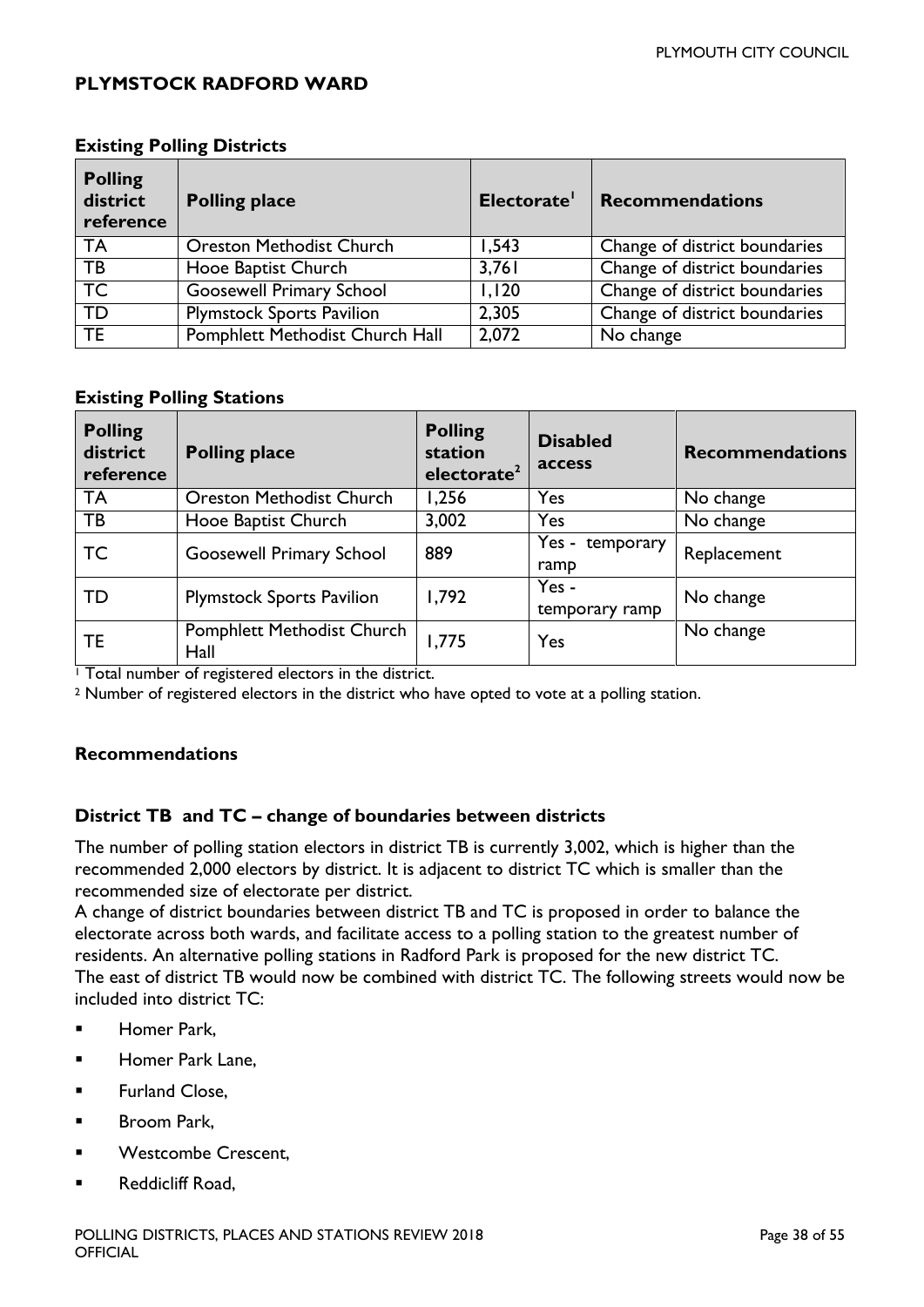#### <span id="page-37-0"></span>**PLYMSTOCK RADFORD WARD**

| <b>Polling</b><br>district<br>reference | <b>Polling place</b>             | Electorate' | <b>Recommendations</b>        |
|-----------------------------------------|----------------------------------|-------------|-------------------------------|
| TA                                      | <b>Oreston Methodist Church</b>  | 1,543       | Change of district boundaries |
| <b>TB</b>                               | Hooe Baptist Church              | 3,761       | Change of district boundaries |
| TC                                      | <b>Goosewell Primary School</b>  | 1,120       | Change of district boundaries |
| TD                                      | <b>Plymstock Sports Pavilion</b> | 2,305       | Change of district boundaries |
| <b>TE</b>                               | Pomphlett Methodist Church Hall  | 2,072       | No change                     |

#### **Existing Polling Districts**

#### **Existing Polling Stations**

| <b>Polling</b><br>district<br>reference | <b>Polling place</b>                      | <b>Polling</b><br>station<br>electorate <sup>2</sup> | <b>Disabled</b><br>access | <b>Recommendations</b> |
|-----------------------------------------|-------------------------------------------|------------------------------------------------------|---------------------------|------------------------|
| <b>TA</b>                               | <b>Oreston Methodist Church</b>           | 1,256                                                | Yes                       | No change              |
| TB                                      | Hooe Baptist Church                       | 3,002                                                | Yes                       | No change              |
| <b>TC</b>                               | <b>Goosewell Primary School</b>           | 889                                                  | Yes - temporary<br>ramp   | Replacement            |
| TD                                      | <b>Plymstock Sports Pavilion</b>          | 1,792                                                | $Yes -$<br>temporary ramp | No change              |
| TE.                                     | <b>Pomphlett Methodist Church</b><br>Hall | 1,775                                                | Yes                       | No change              |

<sup>1</sup> Total number of registered electors in the district.

<sup>2</sup> Number of registered electors in the district who have opted to vote at a polling station.

#### **Recommendations**

#### **District TB and TC – change of boundaries between districts**

The number of polling station electors in district TB is currently 3,002, which is higher than the recommended 2,000 electors by district. It is adjacent to district TC which is smaller than the recommended size of electorate per district.

A change of district boundaries between district TB and TC is proposed in order to balance the electorate across both wards, and facilitate access to a polling station to the greatest number of residents. An alternative polling stations in Radford Park is proposed for the new district TC. The east of district TB would now be combined with district TC. The following streets would now be included into district TC:

- Homer Park,
- Homer Park Lane,
- **Furland Close,**
- **Broom Park,**
- Westcombe Crescent,
- Reddicliff Road,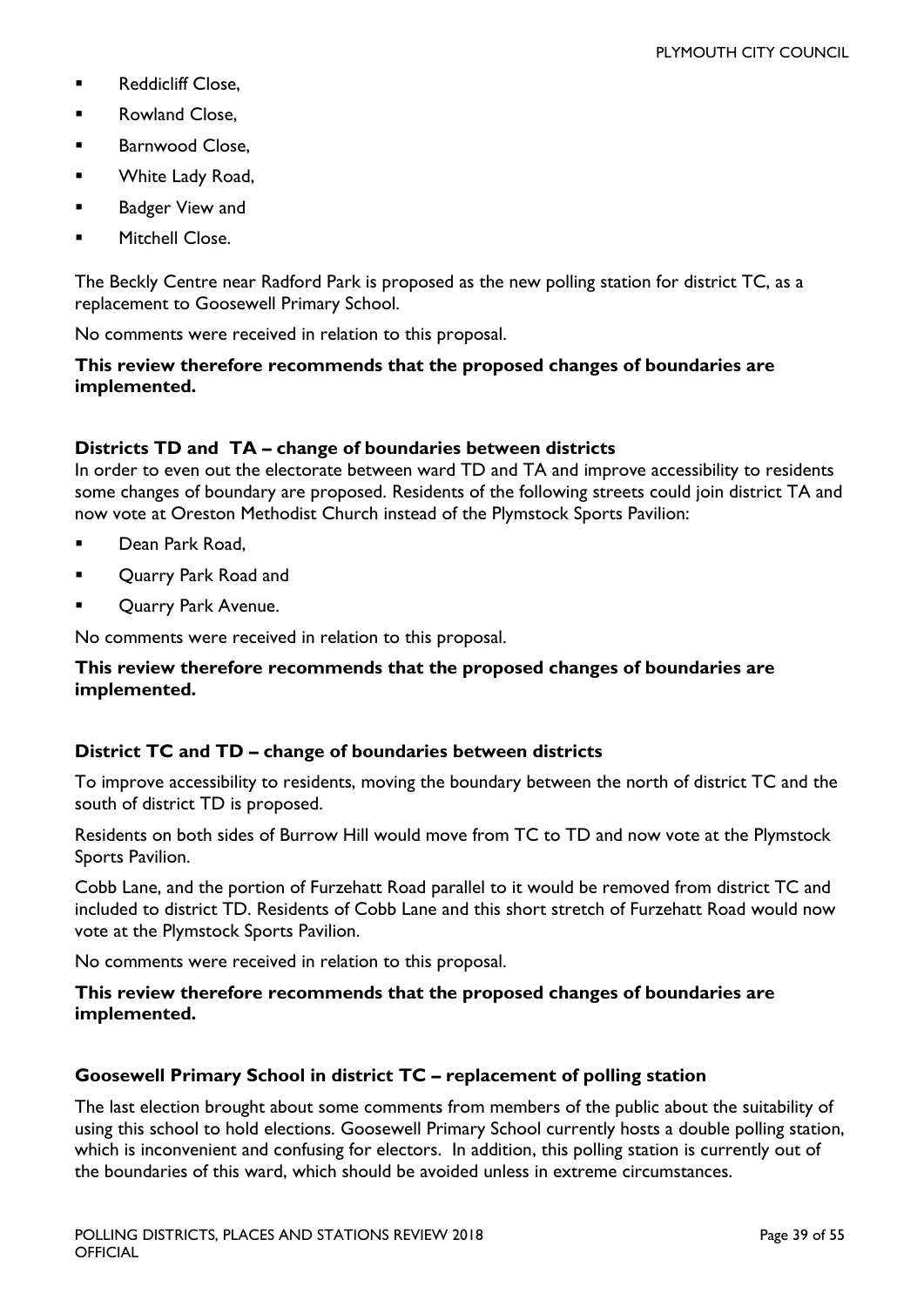- **Reddicliff Close.**
- **Rowland Close,**
- **Barnwood Close,**
- **White Lady Road,**
- **Badger View and**
- Mitchell Close.

The Beckly Centre near Radford Park is proposed as the new polling station for district TC, as a replacement to Goosewell Primary School.

No comments were received in relation to this proposal.

#### **This review therefore recommends that the proposed changes of boundaries are implemented.**

#### **Districts TD and TA – change of boundaries between districts**

In order to even out the electorate between ward TD and TA and improve accessibility to residents some changes of boundary are proposed. Residents of the following streets could join district TA and now vote at Oreston Methodist Church instead of the Plymstock Sports Pavilion:

- Dean Park Road,
- **Quarry Park Road and**
- **DECOUTATE:** Quarry Park Avenue.

No comments were received in relation to this proposal.

#### **This review therefore recommends that the proposed changes of boundaries are implemented.**

#### **District TC and TD – change of boundaries between districts**

To improve accessibility to residents, moving the boundary between the north of district TC and the south of district TD is proposed.

Residents on both sides of Burrow Hill would move from TC to TD and now vote at the Plymstock Sports Pavilion.

Cobb Lane, and the portion of Furzehatt Road parallel to it would be removed from district TC and included to district TD. Residents of Cobb Lane and this short stretch of Furzehatt Road would now vote at the Plymstock Sports Pavilion.

No comments were received in relation to this proposal.

#### **This review therefore recommends that the proposed changes of boundaries are implemented.**

#### **Goosewell Primary School in district TC – replacement of polling station**

The last election brought about some comments from members of the public about the suitability of using this school to hold elections. Goosewell Primary School currently hosts a double polling station, which is inconvenient and confusing for electors. In addition, this polling station is currently out of the boundaries of this ward, which should be avoided unless in extreme circumstances.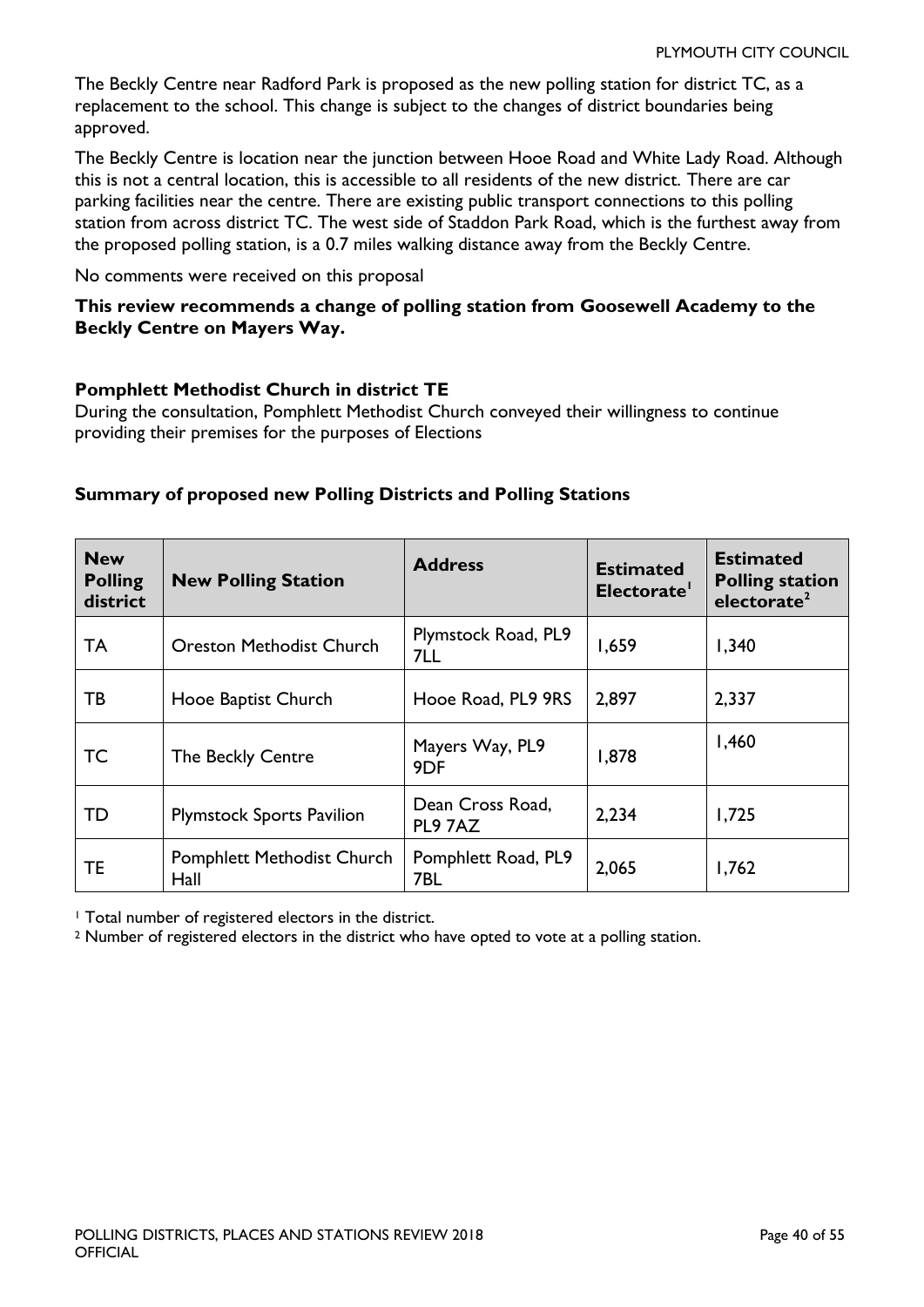The Beckly Centre near Radford Park is proposed as the new polling station for district TC, as a replacement to the school. This change is subject to the changes of district boundaries being approved.

The Beckly Centre is location near the junction between Hooe Road and White Lady Road. Although this is not a central location, this is accessible to all residents of the new district. There are car parking facilities near the centre. There are existing public transport connections to this polling station from across district TC. The west side of Staddon Park Road, which is the furthest away from the proposed polling station, is a 0.7 miles walking distance away from the Beckly Centre.

No comments were received on this proposal

#### **This review recommends a change of polling station from Goosewell Academy to the Beckly Centre on Mayers Way.**

#### **Pomphlett Methodist Church in district TE**

During the consultation, Pomphlett Methodist Church conveyed their willingness to continue providing their premises for the purposes of Elections

| <b>New</b><br><b>Polling</b><br>district | <b>New Polling Station</b>                | <b>Address</b>                     | <b>Estimated</b><br>Electorate' | <b>Estimated</b><br><b>Polling station</b><br>electorate <sup>2</sup> |
|------------------------------------------|-------------------------------------------|------------------------------------|---------------------------------|-----------------------------------------------------------------------|
| <b>TA</b>                                | <b>Oreston Methodist Church</b>           | Plymstock Road, PL9<br>7LL         | 1,659                           | 1,340                                                                 |
| ТB                                       | Hooe Baptist Church                       | Hooe Road, PL9 9RS                 | 2,897                           | 2,337                                                                 |
| TC                                       | The Beckly Centre                         | Mayers Way, PL9<br>9 <sub>DF</sub> | 1,878                           | 1,460                                                                 |
| TD                                       | <b>Plymstock Sports Pavilion</b>          | Dean Cross Road,<br>PL9 7AZ        | 2,234                           | 1,725                                                                 |
| TE                                       | <b>Pomphlett Methodist Church</b><br>Hall | Pomphlett Road, PL9<br>7BL         | 2,065                           | 1,762                                                                 |

#### **Summary of proposed new Polling Districts and Polling Stations**

<sup>1</sup> Total number of registered electors in the district.

<sup>2</sup> Number of registered electors in the district who have opted to vote at a polling station.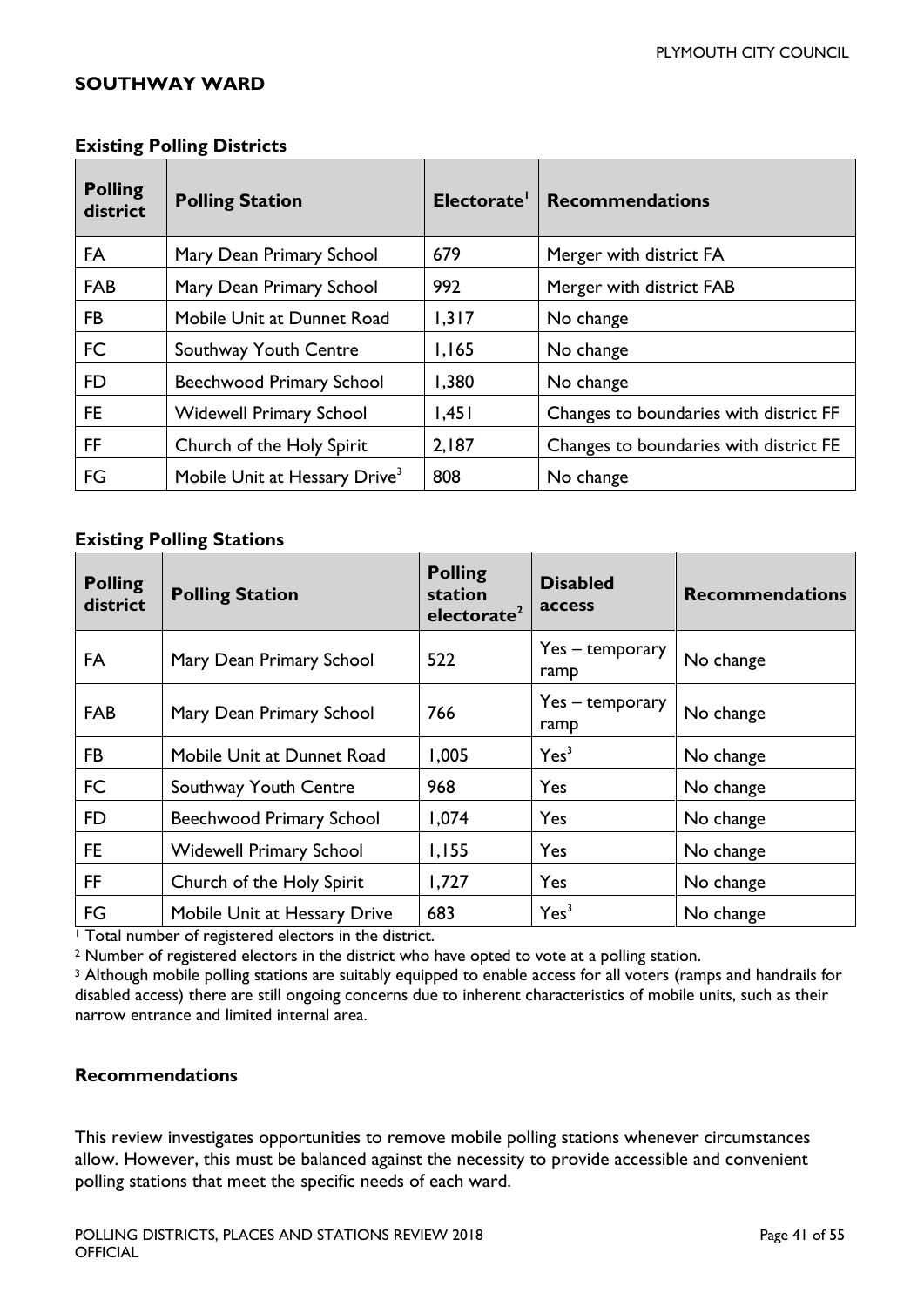#### <span id="page-40-0"></span>**SOUTHWAY WARD**

| ັ<br><b>Polling</b><br>district | <b>Polling Station</b>                    | Electorate <sup>1</sup> | <b>Recommendations</b>                 |
|---------------------------------|-------------------------------------------|-------------------------|----------------------------------------|
| FA                              | Mary Dean Primary School                  | 679                     | Merger with district FA                |
| <b>FAB</b>                      | Mary Dean Primary School                  | 992                     | Merger with district FAB               |
| FB                              | Mobile Unit at Dunnet Road                | 1,317                   | No change                              |
| <b>FC</b>                       | Southway Youth Centre                     | 1,165                   | No change                              |
| FD.                             | <b>Beechwood Primary School</b>           | 1,380                   | No change                              |
| FE.                             | <b>Widewell Primary School</b>            | 1,451                   | Changes to boundaries with district FF |
| FF.                             | Church of the Holy Spirit                 | 2,187                   | Changes to boundaries with district FE |
| FG                              | Mobile Unit at Hessary Drive <sup>3</sup> | 808                     | No change                              |

#### **Existing Polling Districts**

#### **Existing Polling Stations**

| <b>Polling</b><br>district | <b>Polling Station</b>          | <b>Polling</b><br>station<br>electorate <sup>2</sup> | <b>Disabled</b><br>access | <b>Recommendations</b> |
|----------------------------|---------------------------------|------------------------------------------------------|---------------------------|------------------------|
| FA                         | Mary Dean Primary School        | 522                                                  | Yes – temporary<br>ramp   | No change              |
| <b>FAB</b>                 | Mary Dean Primary School        | 766                                                  | Yes – temporary<br>ramp   | No change              |
| <b>FB</b>                  | Mobile Unit at Dunnet Road      | 1,005                                                | Yes <sup>3</sup>          | No change              |
| <b>FC</b>                  | Southway Youth Centre           | 968                                                  | Yes                       | No change              |
| FD                         | <b>Beechwood Primary School</b> | 1,074                                                | Yes                       | No change              |
| FE.                        | <b>Widewell Primary School</b>  | 1,155                                                | Yes                       | No change              |
| FF.                        | Church of the Holy Spirit       | 1,727                                                | Yes                       | No change              |
| FG                         | Mobile Unit at Hessary Drive    | 683                                                  | Yes <sup>3</sup>          | No change              |

<sup>1</sup> Total number of registered electors in the district.

<sup>2</sup> Number of registered electors in the district who have opted to vote at a polling station.

<sup>3</sup> Although mobile polling stations are suitably equipped to enable access for all voters (ramps and handrails for disabled access) there are still ongoing concerns due to inherent characteristics of mobile units, such as their narrow entrance and limited internal area.

#### **Recommendations**

This review investigates opportunities to remove mobile polling stations whenever circumstances allow. However, this must be balanced against the necessity to provide accessible and convenient polling stations that meet the specific needs of each ward.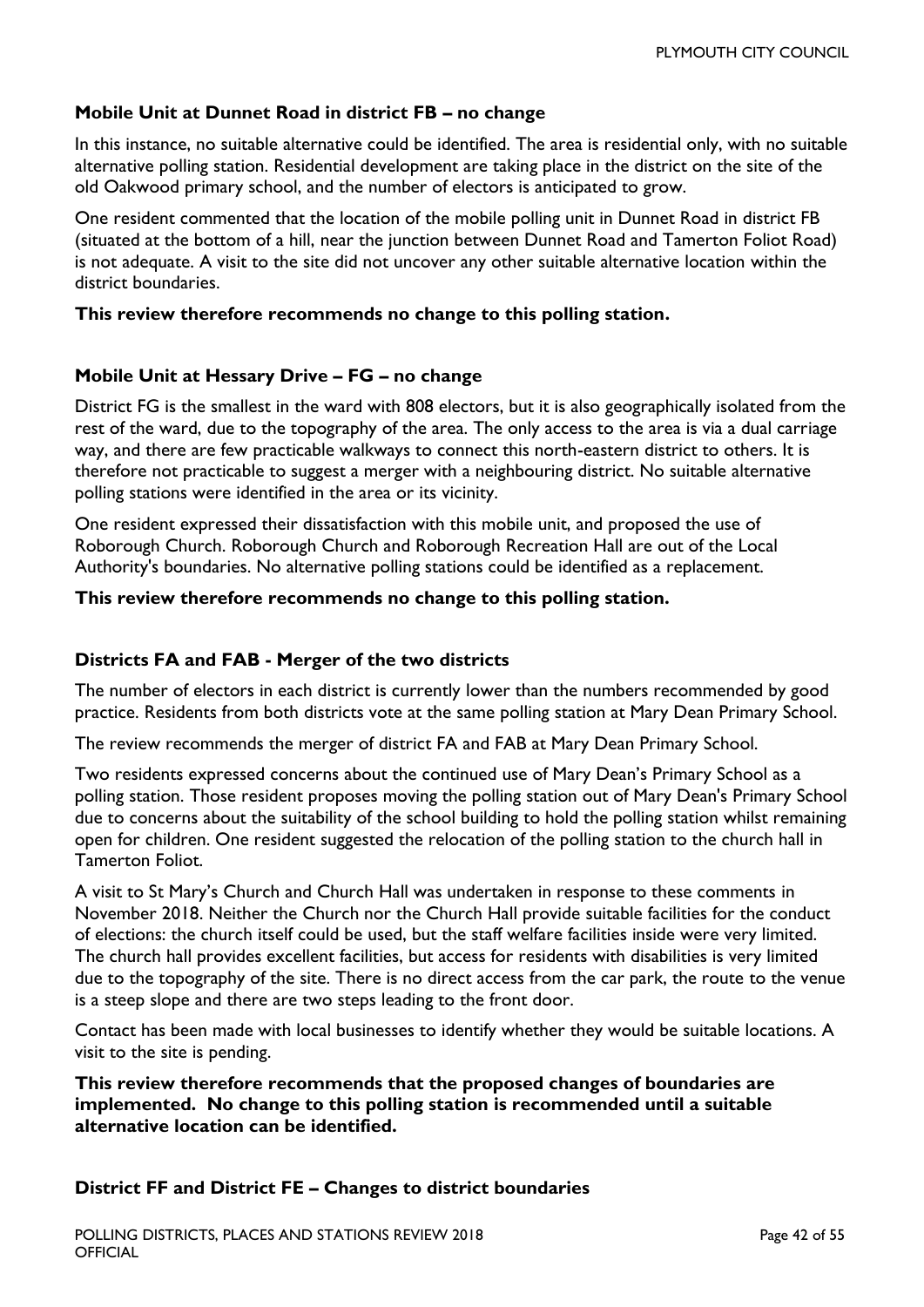#### **Mobile Unit at Dunnet Road in district FB – no change**

In this instance, no suitable alternative could be identified. The area is residential only, with no suitable alternative polling station. Residential development are taking place in the district on the site of the old Oakwood primary school, and the number of electors is anticipated to grow.

One resident commented that the location of the mobile polling unit in Dunnet Road in district FB (situated at the bottom of a hill, near the junction between Dunnet Road and Tamerton Foliot Road) is not adequate. A visit to the site did not uncover any other suitable alternative location within the district boundaries.

#### **This review therefore recommends no change to this polling station.**

#### **Mobile Unit at Hessary Drive – FG – no change**

District FG is the smallest in the ward with 808 electors, but it is also geographically isolated from the rest of the ward, due to the topography of the area. The only access to the area is via a dual carriage way, and there are few practicable walkways to connect this north-eastern district to others. It is therefore not practicable to suggest a merger with a neighbouring district. No suitable alternative polling stations were identified in the area or its vicinity.

One resident expressed their dissatisfaction with this mobile unit, and proposed the use of Roborough Church. Roborough Church and Roborough Recreation Hall are out of the Local Authority's boundaries. No alternative polling stations could be identified as a replacement.

#### **This review therefore recommends no change to this polling station.**

#### **Districts FA and FAB - Merger of the two districts**

The number of electors in each district is currently lower than the numbers recommended by good practice. Residents from both districts vote at the same polling station at Mary Dean Primary School.

The review recommends the merger of district FA and FAB at Mary Dean Primary School.

Two residents expressed concerns about the continued use of Mary Dean's Primary School as a polling station. Those resident proposes moving the polling station out of Mary Dean's Primary School due to concerns about the suitability of the school building to hold the polling station whilst remaining open for children. One resident suggested the relocation of the polling station to the church hall in Tamerton Foliot.

A visit to St Mary's Church and Church Hall was undertaken in response to these comments in November 2018. Neither the Church nor the Church Hall provide suitable facilities for the conduct of elections: the church itself could be used, but the staff welfare facilities inside were very limited. The church hall provides excellent facilities, but access for residents with disabilities is very limited due to the topography of the site. There is no direct access from the car park, the route to the venue is a steep slope and there are two steps leading to the front door.

Contact has been made with local businesses to identify whether they would be suitable locations. A visit to the site is pending.

**This review therefore recommends that the proposed changes of boundaries are implemented. No change to this polling station is recommended until a suitable alternative location can be identified.** 

#### **District FF and District FE – Changes to district boundaries**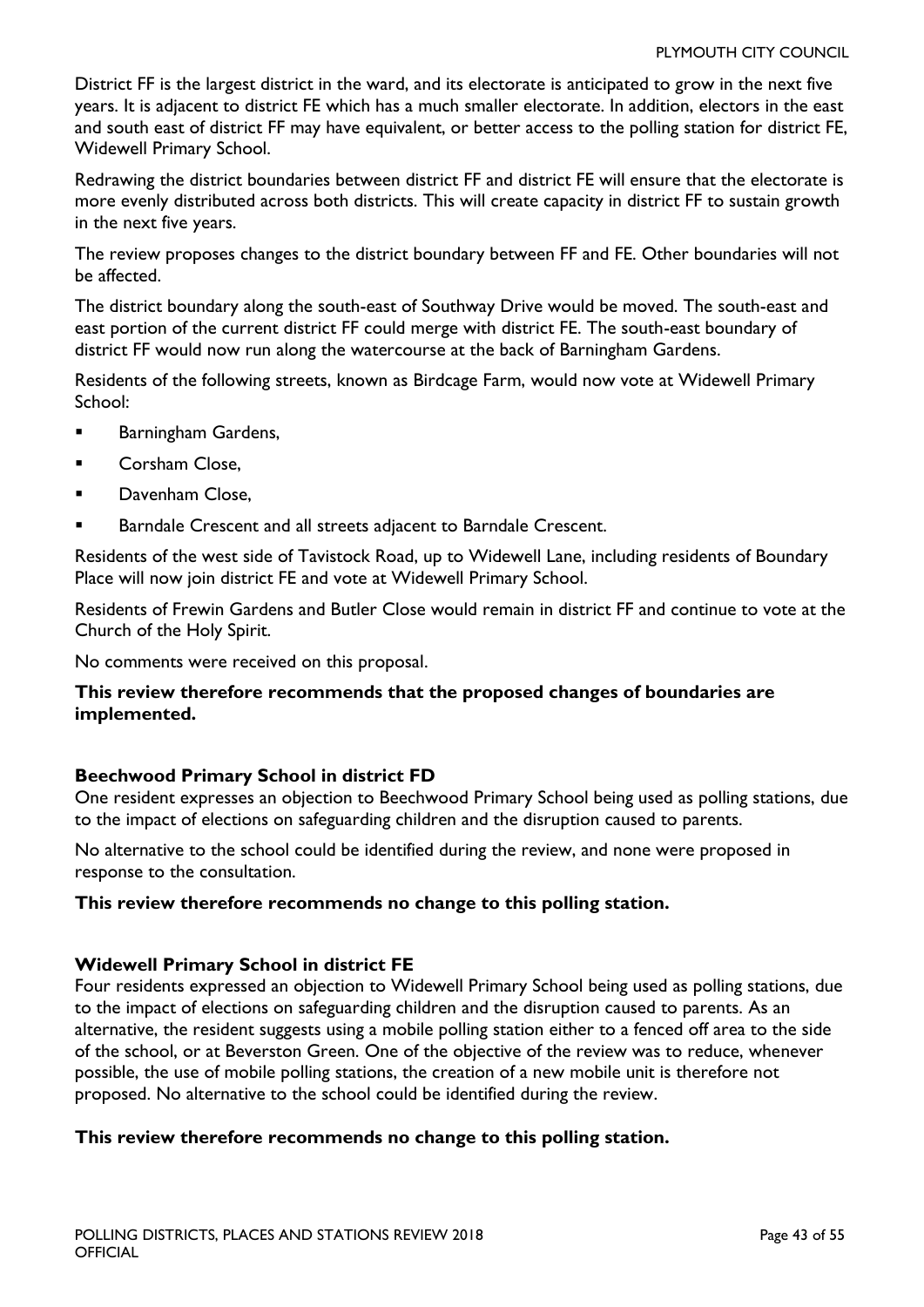District FF is the largest district in the ward, and its electorate is anticipated to grow in the next five years. It is adjacent to district FE which has a much smaller electorate. In addition, electors in the east and south east of district FF may have equivalent, or better access to the polling station for district FE, Widewell Primary School.

Redrawing the district boundaries between district FF and district FE will ensure that the electorate is more evenly distributed across both districts. This will create capacity in district FF to sustain growth in the next five years.

The review proposes changes to the district boundary between FF and FE. Other boundaries will not be affected.

The district boundary along the south-east of Southway Drive would be moved. The south-east and east portion of the current district FF could merge with district FE. The south-east boundary of district FF would now run along the watercourse at the back of Barningham Gardens.

Residents of the following streets, known as Birdcage Farm, would now vote at Widewell Primary School:

- Barningham Gardens,
- **Corsham Close,**
- Davenham Close,
- Barndale Crescent and all streets adjacent to Barndale Crescent.

Residents of the west side of Tavistock Road, up to Widewell Lane, including residents of Boundary Place will now join district FE and vote at Widewell Primary School.

Residents of Frewin Gardens and Butler Close would remain in district FF and continue to vote at the Church of the Holy Spirit.

No comments were received on this proposal.

#### **This review therefore recommends that the proposed changes of boundaries are implemented.**

#### **Beechwood Primary School in district FD**

One resident expresses an objection to Beechwood Primary School being used as polling stations, due to the impact of elections on safeguarding children and the disruption caused to parents.

No alternative to the school could be identified during the review, and none were proposed in response to the consultation.

#### **This review therefore recommends no change to this polling station.**

#### **Widewell Primary School in district FE**

Four residents expressed an objection to Widewell Primary School being used as polling stations, due to the impact of elections on safeguarding children and the disruption caused to parents. As an alternative, the resident suggests using a mobile polling station either to a fenced off area to the side of the school, or at Beverston Green. One of the objective of the review was to reduce, whenever possible, the use of mobile polling stations, the creation of a new mobile unit is therefore not proposed. No alternative to the school could be identified during the review.

#### **This review therefore recommends no change to this polling station.**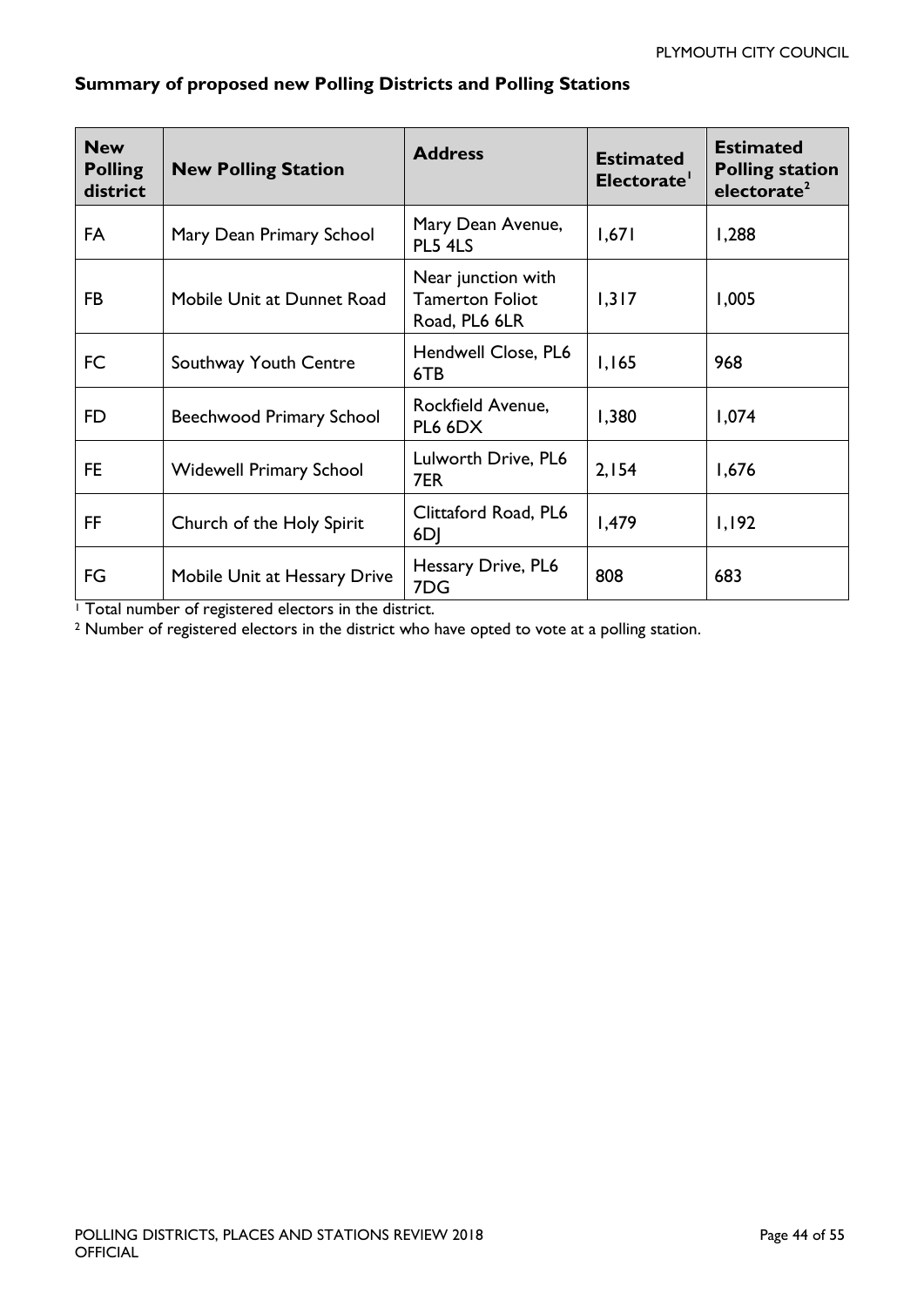| <b>New</b><br><b>Polling</b><br>district | <b>New Polling Station</b>      | <b>Address</b>                                                | <b>Estimated</b><br>Electorate' | <b>Estimated</b><br><b>Polling station</b><br>electorate <sup>2</sup> |
|------------------------------------------|---------------------------------|---------------------------------------------------------------|---------------------------------|-----------------------------------------------------------------------|
| <b>FA</b>                                | Mary Dean Primary School        | Mary Dean Avenue,<br>PL5 4LS                                  | 1,671                           | 1,288                                                                 |
| FB                                       | Mobile Unit at Dunnet Road      | Near junction with<br><b>Tamerton Foliot</b><br>Road, PL6 6LR | 1,317                           | 1,005                                                                 |
| FC                                       | Southway Youth Centre           | Hendwell Close, PL6<br>6TB                                    | 1,165                           | 968                                                                   |
| FD.                                      | <b>Beechwood Primary School</b> | Rockfield Avenue,<br>PL6 6DX                                  | 1,380                           | 1,074                                                                 |
| FE.                                      | <b>Widewell Primary School</b>  | Lulworth Drive, PL6<br>7ER                                    | 2,154                           | 1,676                                                                 |
| FF                                       | Church of the Holy Spirit       | Clittaford Road, PL6<br>6DJ                                   | 1,479                           | 1,192                                                                 |
| FG                                       | Mobile Unit at Hessary Drive    | Hessary Drive, PL6<br>7DG                                     | 808                             | 683                                                                   |

### **Summary of proposed new Polling Districts and Polling Stations**

<sup>1</sup> Total number of registered electors in the district.

<sup>2</sup> Number of registered electors in the district who have opted to vote at a polling station.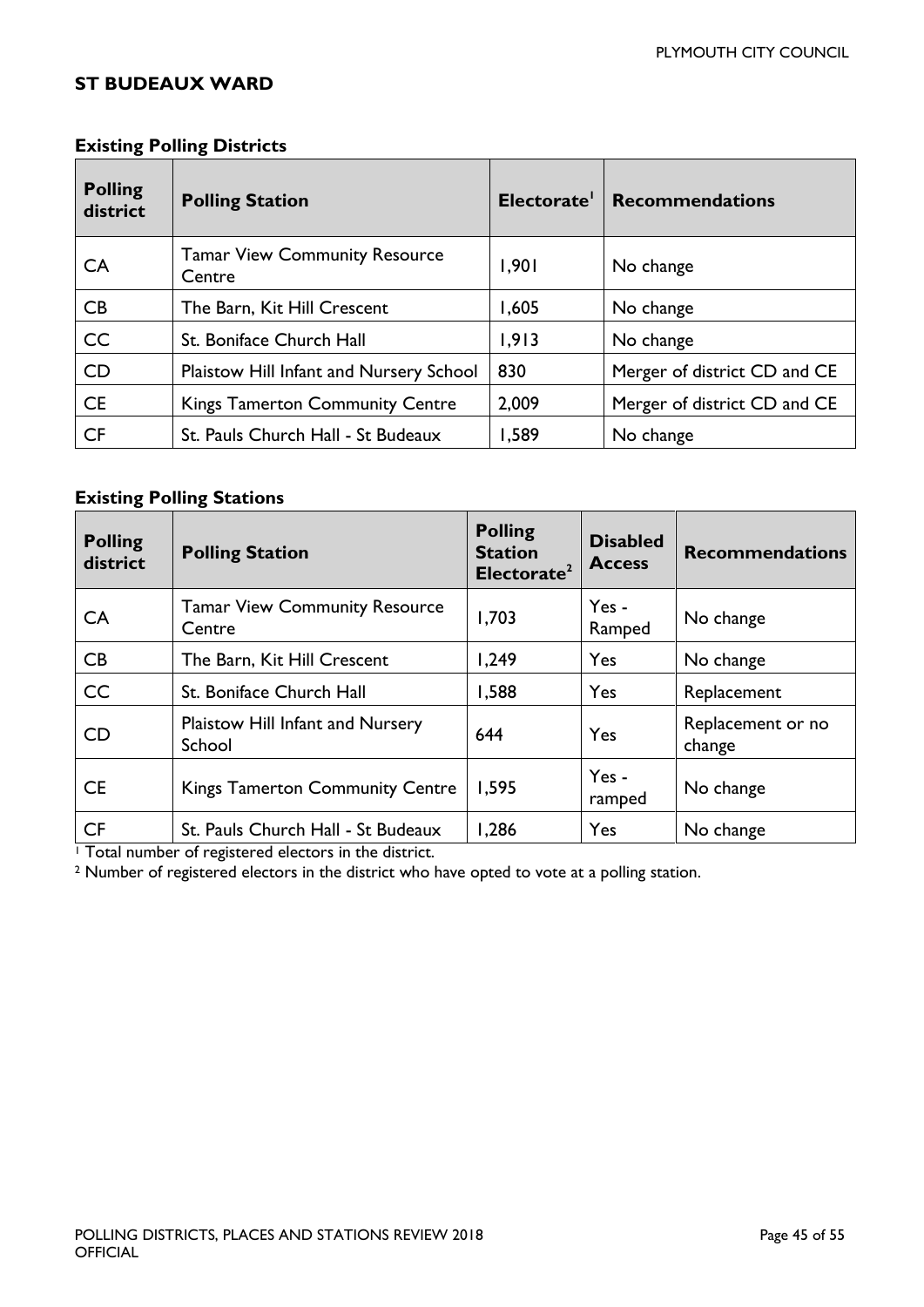#### <span id="page-44-0"></span>**ST BUDEAUX WARD**

| <b>Polling</b><br>district | <b>Polling Station</b>                         | Electorate' | <b>Recommendations</b>       |
|----------------------------|------------------------------------------------|-------------|------------------------------|
| <b>CA</b>                  | <b>Tamar View Community Resource</b><br>Centre | 1,901       | No change                    |
| CB                         | The Barn, Kit Hill Crescent                    | 1,605       | No change                    |
| CC                         | St. Boniface Church Hall                       | 1,913       | No change                    |
| <b>CD</b>                  | Plaistow Hill Infant and Nursery School        | 830         | Merger of district CD and CE |
| <b>CE</b>                  | <b>Kings Tamerton Community Centre</b>         | 2,009       | Merger of district CD and CE |
| <b>CF</b>                  | St. Pauls Church Hall - St Budeaux             | 1,589       | No change                    |

#### **Existing Polling Districts**

#### **Existing Polling Stations**

| <b>Polling</b><br>district | <b>Polling Station</b>                         | <b>Polling</b><br><b>Station</b><br>Electorate <sup>2</sup> | <b>Disabled</b><br><b>Access</b> | <b>Recommendations</b>      |
|----------------------------|------------------------------------------------|-------------------------------------------------------------|----------------------------------|-----------------------------|
| CA                         | <b>Tamar View Community Resource</b><br>Centre | 1,703                                                       | Yes -<br>Ramped                  | No change                   |
| CB                         | The Barn, Kit Hill Crescent                    | 1,249                                                       | Yes                              | No change                   |
| CC                         | St. Boniface Church Hall                       | 1,588                                                       | Yes                              | Replacement                 |
| <b>CD</b>                  | Plaistow Hill Infant and Nursery<br>School     | 644                                                         | Yes                              | Replacement or no<br>change |
| <b>CE</b>                  | <b>Kings Tamerton Community Centre</b>         | 1,595                                                       | Yes -<br>ramped                  | No change                   |
| <b>CF</b>                  | St. Pauls Church Hall - St Budeaux             | 1,286                                                       | Yes                              | No change                   |

<sup>1</sup> Total number of registered electors in the district.

<sup>2</sup> Number of registered electors in the district who have opted to vote at a polling station.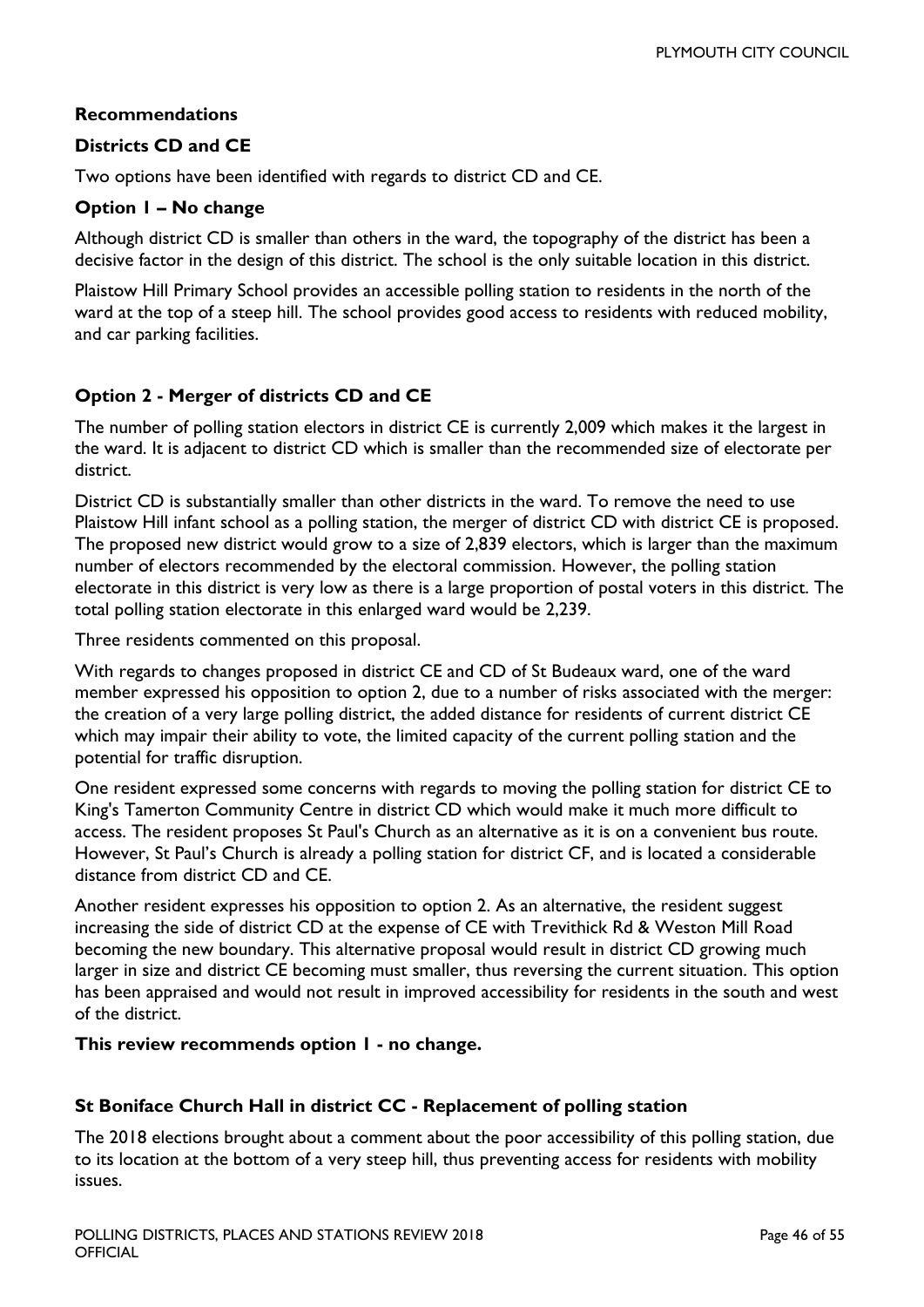#### **Recommendations**

#### **Districts CD and CE**

Two options have been identified with regards to district CD and CE.

#### **Option 1 – No change**

Although district CD is smaller than others in the ward, the topography of the district has been a decisive factor in the design of this district. The school is the only suitable location in this district.

Plaistow Hill Primary School provides an accessible polling station to residents in the north of the ward at the top of a steep hill. The school provides good access to residents with reduced mobility, and car parking facilities.

#### **Option 2 - Merger of districts CD and CE**

The number of polling station electors in district CE is currently 2,009 which makes it the largest in the ward. It is adjacent to district CD which is smaller than the recommended size of electorate per district.

District CD is substantially smaller than other districts in the ward. To remove the need to use Plaistow Hill infant school as a polling station, the merger of district CD with district CE is proposed. The proposed new district would grow to a size of 2,839 electors, which is larger than the maximum number of electors recommended by the electoral commission. However, the polling station electorate in this district is very low as there is a large proportion of postal voters in this district. The total polling station electorate in this enlarged ward would be 2,239.

Three residents commented on this proposal.

With regards to changes proposed in district CE and CD of St Budeaux ward, one of the ward member expressed his opposition to option 2, due to a number of risks associated with the merger: the creation of a very large polling district, the added distance for residents of current district CE which may impair their ability to vote, the limited capacity of the current polling station and the potential for traffic disruption.

One resident expressed some concerns with regards to moving the polling station for district CE to King's Tamerton Community Centre in district CD which would make it much more difficult to access. The resident proposes St Paul's Church as an alternative as it is on a convenient bus route. However, St Paul's Church is already a polling station for district CF, and is located a considerable distance from district CD and CE.

Another resident expresses his opposition to option 2. As an alternative, the resident suggest increasing the side of district CD at the expense of CE with Trevithick Rd & Weston Mill Road becoming the new boundary. This alternative proposal would result in district CD growing much larger in size and district CE becoming must smaller, thus reversing the current situation. This option has been appraised and would not result in improved accessibility for residents in the south and west of the district.

#### **This review recommends option 1 - no change.**

#### **St Boniface Church Hall in district CC - Replacement of polling station**

The 2018 elections brought about a comment about the poor accessibility of this polling station, due to its location at the bottom of a very steep hill, thus preventing access for residents with mobility issues.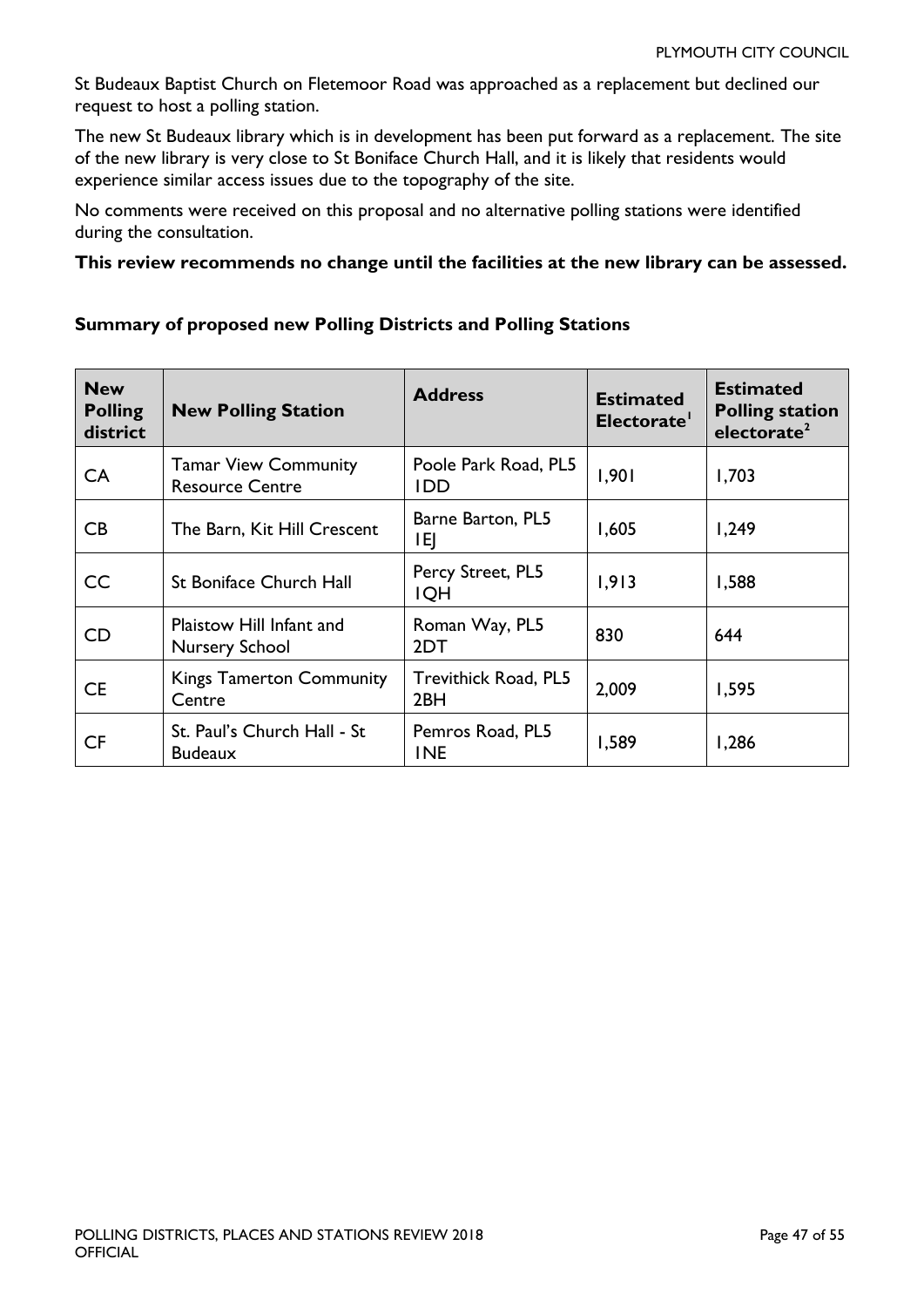St Budeaux Baptist Church on Fletemoor Road was approached as a replacement but declined our request to host a polling station.

The new St Budeaux library which is in development has been put forward as a replacement. The site of the new library is very close to St Boniface Church Hall, and it is likely that residents would experience similar access issues due to the topography of the site.

No comments were received on this proposal and no alternative polling stations were identified during the consultation.

#### **This review recommends no change until the facilities at the new library can be assessed.**

# **Summary of proposed new Polling Districts and Polling Stations**

| <b>New</b><br><b>Polling</b><br>district | <b>New Polling Station</b>                            | <b>Address</b>                          | <b>Estimated</b><br>Electorate' | <b>Estimated</b><br><b>Polling station</b><br>electorate <sup>2</sup> |
|------------------------------------------|-------------------------------------------------------|-----------------------------------------|---------------------------------|-----------------------------------------------------------------------|
| CA                                       | <b>Tamar View Community</b><br><b>Resource Centre</b> | Poole Park Road, PL5<br><b>IDD</b>      | 1,901                           | 1,703                                                                 |
| CB.                                      | The Barn, Kit Hill Crescent                           | Barne Barton, PL5<br>ΙEΙ                | 1,605                           | 1,249                                                                 |
| CC.                                      | <b>St Boniface Church Hall</b>                        | Percy Street, PL5<br><b>IQH</b>         | 1,913                           | 1,588                                                                 |
| <b>CD</b>                                | Plaistow Hill Infant and<br>Nursery School            | Roman Way, PL5<br>2DT                   | 830                             | 644                                                                   |
| <b>CE</b>                                | <b>Kings Tamerton Community</b><br>Centre             | Trevithick Road, PL5<br>2 <sub>BH</sub> | 2,009                           | 1,595                                                                 |
| <b>CF</b>                                | St. Paul's Church Hall - St<br><b>Budeaux</b>         | Pemros Road, PL5<br><b>INE</b>          | 1,589                           | 1,286                                                                 |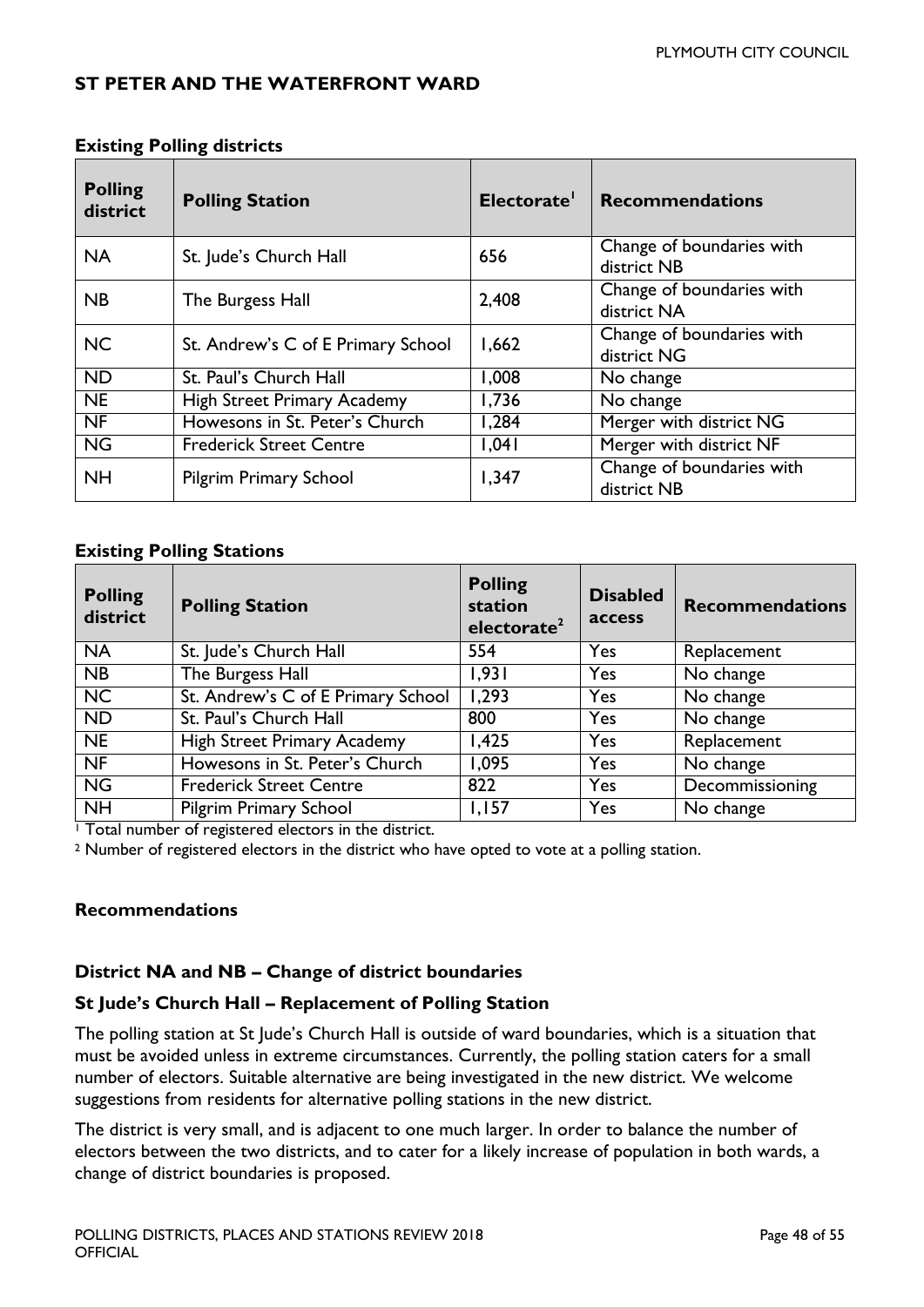#### <span id="page-47-0"></span>**ST PETER AND THE WATERFRONT WARD**

| <b>Polling</b><br>district | <b>Polling Station</b>             | Electorate <sup>1</sup> | <b>Recommendations</b>                   |
|----------------------------|------------------------------------|-------------------------|------------------------------------------|
| <b>NA</b>                  | St. Jude's Church Hall             | 656                     | Change of boundaries with<br>district NB |
| NB                         | The Burgess Hall                   | 2,408                   | Change of boundaries with<br>district NA |
| <b>NC</b>                  | St. Andrew's C of E Primary School | 1,662                   | Change of boundaries with<br>district NG |
| <b>ND</b>                  | St. Paul's Church Hall             | 1,008                   | No change                                |
| <b>NE</b>                  | <b>High Street Primary Academy</b> | 1,736                   | No change                                |
| <b>NF</b>                  | Howesons in St. Peter's Church     | 1,284                   | Merger with district NG                  |
| $\overline{\text{NG}}$     | <b>Frederick Street Centre</b>     | 1,041                   | Merger with district NF                  |
| <b>NH</b>                  | <b>Pilgrim Primary School</b>      | 1,347                   | Change of boundaries with<br>district NB |

#### **Existing Polling districts**

#### **Existing Polling Stations**

| <b>Polling</b><br>district | <b>Polling Station</b>             | <b>Polling</b><br>station<br>electorate <sup>2</sup> | <b>Disabled</b><br>access | <b>Recommendations</b> |
|----------------------------|------------------------------------|------------------------------------------------------|---------------------------|------------------------|
| <b>NA</b>                  | St. Jude's Church Hall             | 554                                                  | Yes                       | Replacement            |
| NB                         | The Burgess Hall                   | 1,931                                                | Yes                       | No change              |
| <b>NC</b>                  | St. Andrew's C of E Primary School | 1,293                                                | Yes                       | No change              |
| <b>ND</b>                  | St. Paul's Church Hall             | 800                                                  | Yes                       | No change              |
| <b>NE</b>                  | <b>High Street Primary Academy</b> | 1,425                                                | Yes                       | Replacement            |
| $N$ F                      | Howesons in St. Peter's Church     | 1,095                                                | Yes                       | No change              |
| <b>NG</b>                  | <b>Frederick Street Centre</b>     | 822                                                  | Yes                       | Decommissioning        |
| <b>NH</b>                  | <b>Pilgrim Primary School</b>      | 1,157                                                | Yes                       | No change              |

<sup>1</sup> Total number of registered electors in the district.

<sup>2</sup> Number of registered electors in the district who have opted to vote at a polling station.

#### **Recommendations**

#### **District NA and NB – Change of district boundaries**

#### **St Jude's Church Hall – Replacement of Polling Station**

The polling station at St Jude's Church Hall is outside of ward boundaries, which is a situation that must be avoided unless in extreme circumstances. Currently, the polling station caters for a small number of electors. Suitable alternative are being investigated in the new district. We welcome suggestions from residents for alternative polling stations in the new district.

The district is very small, and is adjacent to one much larger. In order to balance the number of electors between the two districts, and to cater for a likely increase of population in both wards, a change of district boundaries is proposed.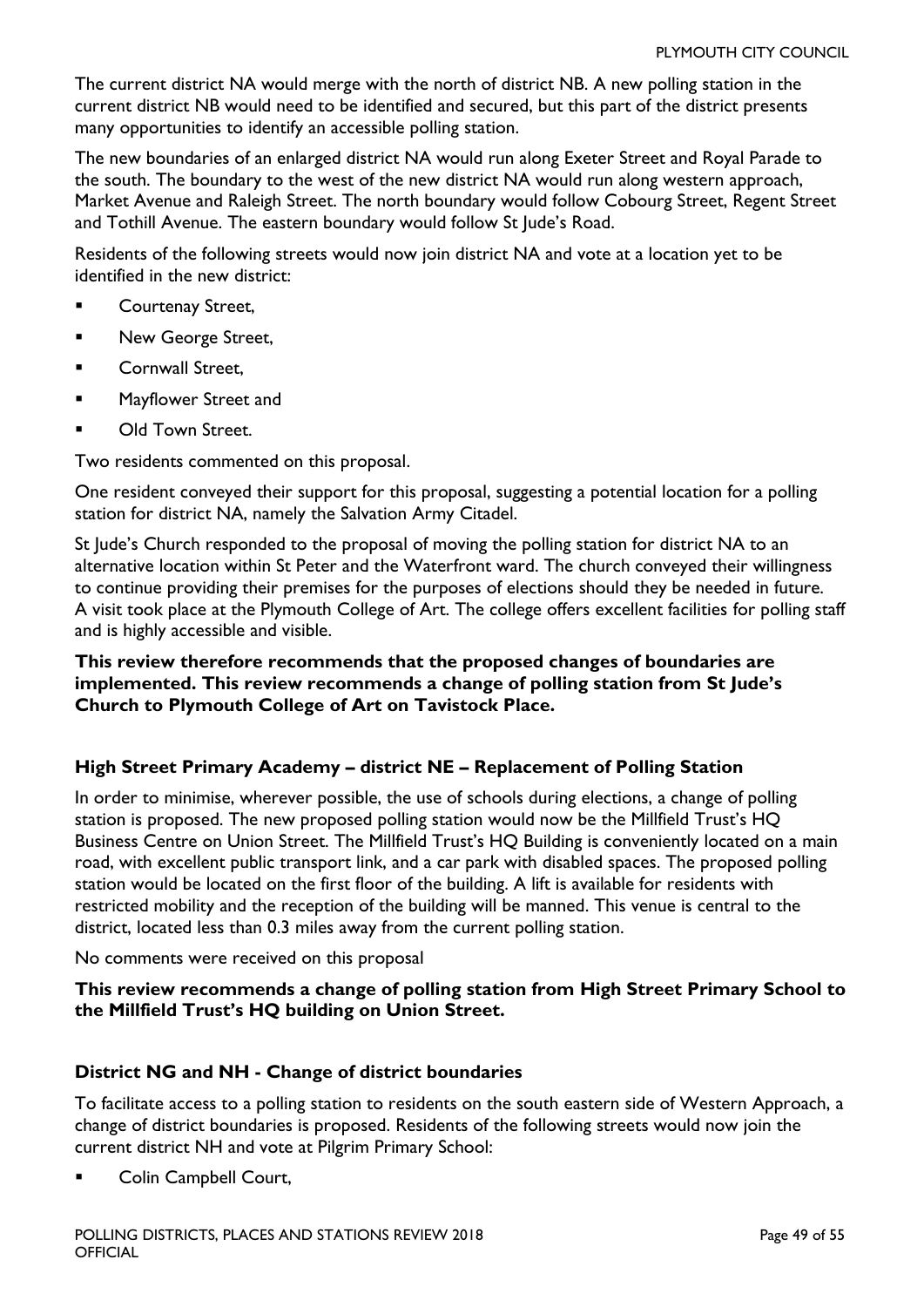The current district NA would merge with the north of district NB. A new polling station in the current district NB would need to be identified and secured, but this part of the district presents many opportunities to identify an accessible polling station.

The new boundaries of an enlarged district NA would run along Exeter Street and Royal Parade to the south. The boundary to the west of the new district NA would run along western approach, Market Avenue and Raleigh Street. The north boundary would follow Cobourg Street, Regent Street and Tothill Avenue. The eastern boundary would follow St Jude's Road.

Residents of the following streets would now join district NA and vote at a location yet to be identified in the new district:

- Courtenay Street,
- **New George Street,**
- Cornwall Street,
- **Mayflower Street and**
- **DID** Old Town Street.

Two residents commented on this proposal.

One resident conveyed their support for this proposal, suggesting a potential location for a polling station for district NA, namely the Salvation Army Citadel.

St Jude's Church responded to the proposal of moving the polling station for district NA to an alternative location within St Peter and the Waterfront ward. The church conveyed their willingness to continue providing their premises for the purposes of elections should they be needed in future. A visit took place at the Plymouth College of Art. The college offers excellent facilities for polling staff and is highly accessible and visible.

#### **This review therefore recommends that the proposed changes of boundaries are implemented. This review recommends a change of polling station from St Jude's Church to Plymouth College of Art on Tavistock Place.**

#### **High Street Primary Academy – district NE – Replacement of Polling Station**

In order to minimise, wherever possible, the use of schools during elections, a change of polling station is proposed. The new proposed polling station would now be the Millfield Trust's HQ Business Centre on Union Street. The Millfield Trust's HQ Building is conveniently located on a main road, with excellent public transport link, and a car park with disabled spaces. The proposed polling station would be located on the first floor of the building. A lift is available for residents with restricted mobility and the reception of the building will be manned. This venue is central to the district, located less than 0.3 miles away from the current polling station.

No comments were received on this proposal

#### **This review recommends a change of polling station from High Street Primary School to the Millfield Trust's HQ building on Union Street.**

#### **District NG and NH - Change of district boundaries**

To facilitate access to a polling station to residents on the south eastern side of Western Approach, a change of district boundaries is proposed. Residents of the following streets would now join the current district NH and vote at Pilgrim Primary School:

Colin Campbell Court,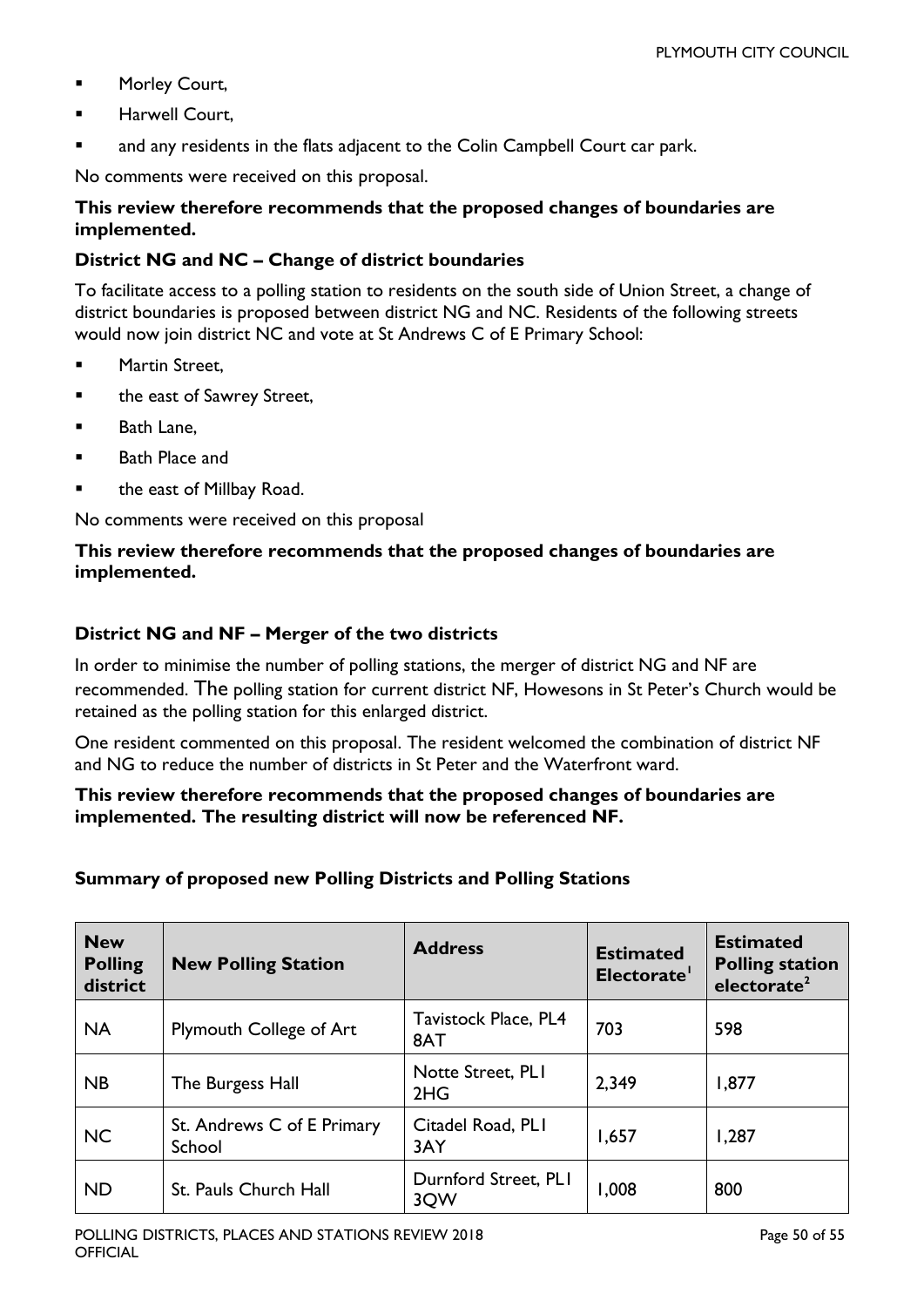- **Morley Court,**
- Harwell Court,
- and any residents in the flats adjacent to the Colin Campbell Court car park.

No comments were received on this proposal.

#### **This review therefore recommends that the proposed changes of boundaries are implemented.**

#### **District NG and NC – Change of district boundaries**

To facilitate access to a polling station to residents on the south side of Union Street, a change of district boundaries is proposed between district NG and NC. Residents of the following streets would now join district NC and vote at St Andrews C of E Primary School:

- **Martin Street,**
- **EXEC** the east of Sawrey Street,
- **Bath Lane.**
- Bath Place and
- the east of Millbay Road.

No comments were received on this proposal

#### **This review therefore recommends that the proposed changes of boundaries are implemented.**

#### **District NG and NF – Merger of the two districts**

In order to minimise the number of polling stations, the merger of district NG and NF are recommended. The polling station for current district NF, Howesons in St Peter's Church would be retained as the polling station for this enlarged district.

One resident commented on this proposal. The resident welcomed the combination of district NF and NG to reduce the number of districts in St Peter and the Waterfront ward.

#### **This review therefore recommends that the proposed changes of boundaries are implemented. The resulting district will now be referenced NF.**

#### **Summary of proposed new Polling Districts and Polling Stations**

| <b>New</b><br><b>Polling</b><br>district | <b>New Polling Station</b>           | <b>Address</b>              | <b>Estimated</b><br>Electorate' | <b>Estimated</b><br><b>Polling station</b><br>electorate <sup>2</sup> |
|------------------------------------------|--------------------------------------|-----------------------------|---------------------------------|-----------------------------------------------------------------------|
| <b>NA</b>                                | Plymouth College of Art              | Tavistock Place, PL4<br>8AT | 703                             | 598                                                                   |
| <b>NB</b>                                | The Burgess Hall                     | Notte Street, PLI<br>2HG    | 2,349                           | 1,877                                                                 |
| <b>NC</b>                                | St. Andrews C of E Primary<br>School | Citadel Road, PLI<br>3AY    | 1,657                           | 1,287                                                                 |
| <b>ND</b>                                | St. Pauls Church Hall                | Durnford Street, PLI<br>3QW | 1,008                           | 800                                                                   |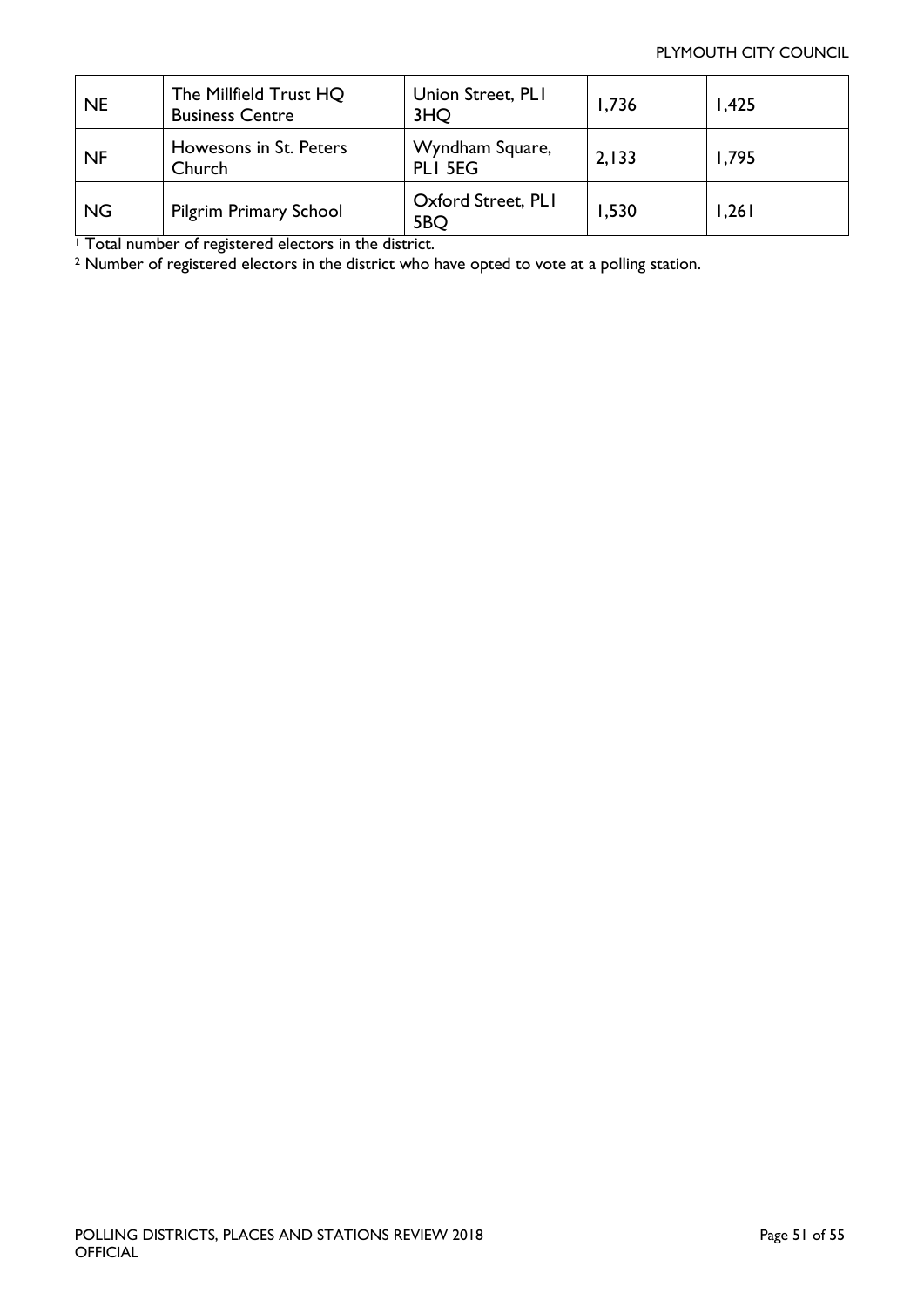#### PLYMOUTH CITY COUNCIL

| <b>NE</b> | The Millfield Trust HQ<br><b>Business Centre</b> | Union Street, PLI<br>3HQ   | 1,736 | 1,425 |
|-----------|--------------------------------------------------|----------------------------|-------|-------|
| NF        | Howesons in St. Peters<br>Church                 | Wyndham Square,<br>PLI 5EG | 2,133 | 1,795 |
| <b>NG</b> | <b>Pilgrim Primary School</b>                    | Oxford Street, PLI<br>5BQ  | 1,530 | 1,261 |

<sup>1</sup> Total number of registered electors in the district.

<sup>2</sup> Number of registered electors in the district who have opted to vote at a polling station.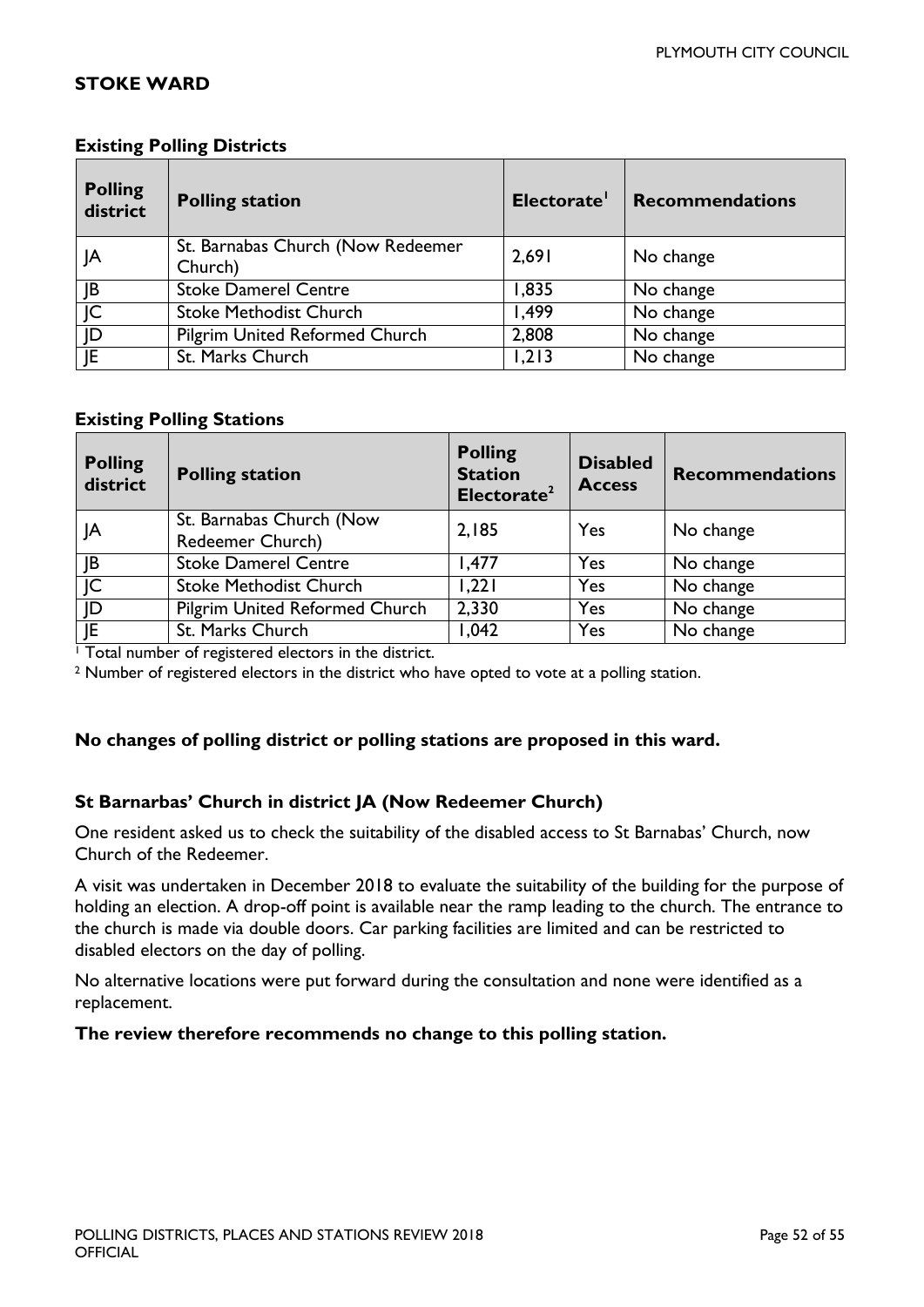#### <span id="page-51-0"></span>**STOKE WARD**

| <b>Polling</b><br>district | <b>Polling station</b>                       | Electorate' | <b>Recommendations</b>  |
|----------------------------|----------------------------------------------|-------------|-------------------------|
| JA                         | St. Barnabas Church (Now Redeemer<br>Church) | 2,691       | No change               |
| JB                         | <b>Stoke Damerel Centre</b>                  | 1,835       | No change               |
| JC                         | <b>Stoke Methodist Church</b>                | 1,499       | No change               |
| JD                         | <b>Pilgrim United Reformed Church</b>        | 2,808       | No change               |
| E                          | St. Marks Church                             | 1,213       | $\overline{N}$ o change |

#### **Existing Polling Districts**

#### **Existing Polling Stations**

| <b>Polling</b><br>district | <b>Polling station</b>                       | <b>Polling</b><br><b>Station</b><br>Electorate <sup>2</sup> | <b>Disabled</b><br><b>Access</b> | <b>Recommendations</b>  |
|----------------------------|----------------------------------------------|-------------------------------------------------------------|----------------------------------|-------------------------|
| JA                         | St. Barnabas Church (Now<br>Redeemer Church) | 2,185                                                       | Yes                              | No change               |
| JB                         | <b>Stoke Damerel Centre</b>                  | 1,477                                                       | Yes                              | No change               |
| C                          | <b>Stoke Methodist Church</b>                | 1,221                                                       | Yes                              | $\overline{N}$ o change |
| JD                         | <b>Pilgrim United Reformed Church</b>        | 2,330                                                       | Yes                              | No change               |
| JE                         | St. Marks Church                             | 1,042                                                       | Yes                              | No change               |

<sup>1</sup> Total number of registered electors in the district.

<sup>2</sup> Number of registered electors in the district who have opted to vote at a polling station.

#### **No changes of polling district or polling stations are proposed in this ward.**

#### **St Barnarbas' Church in district JA (Now Redeemer Church)**

One resident asked us to check the suitability of the disabled access to St Barnabas' Church, now Church of the Redeemer.

A visit was undertaken in December 2018 to evaluate the suitability of the building for the purpose of holding an election. A drop-off point is available near the ramp leading to the church. The entrance to the church is made via double doors. Car parking facilities are limited and can be restricted to disabled electors on the day of polling.

No alternative locations were put forward during the consultation and none were identified as a replacement.

#### **The review therefore recommends no change to this polling station.**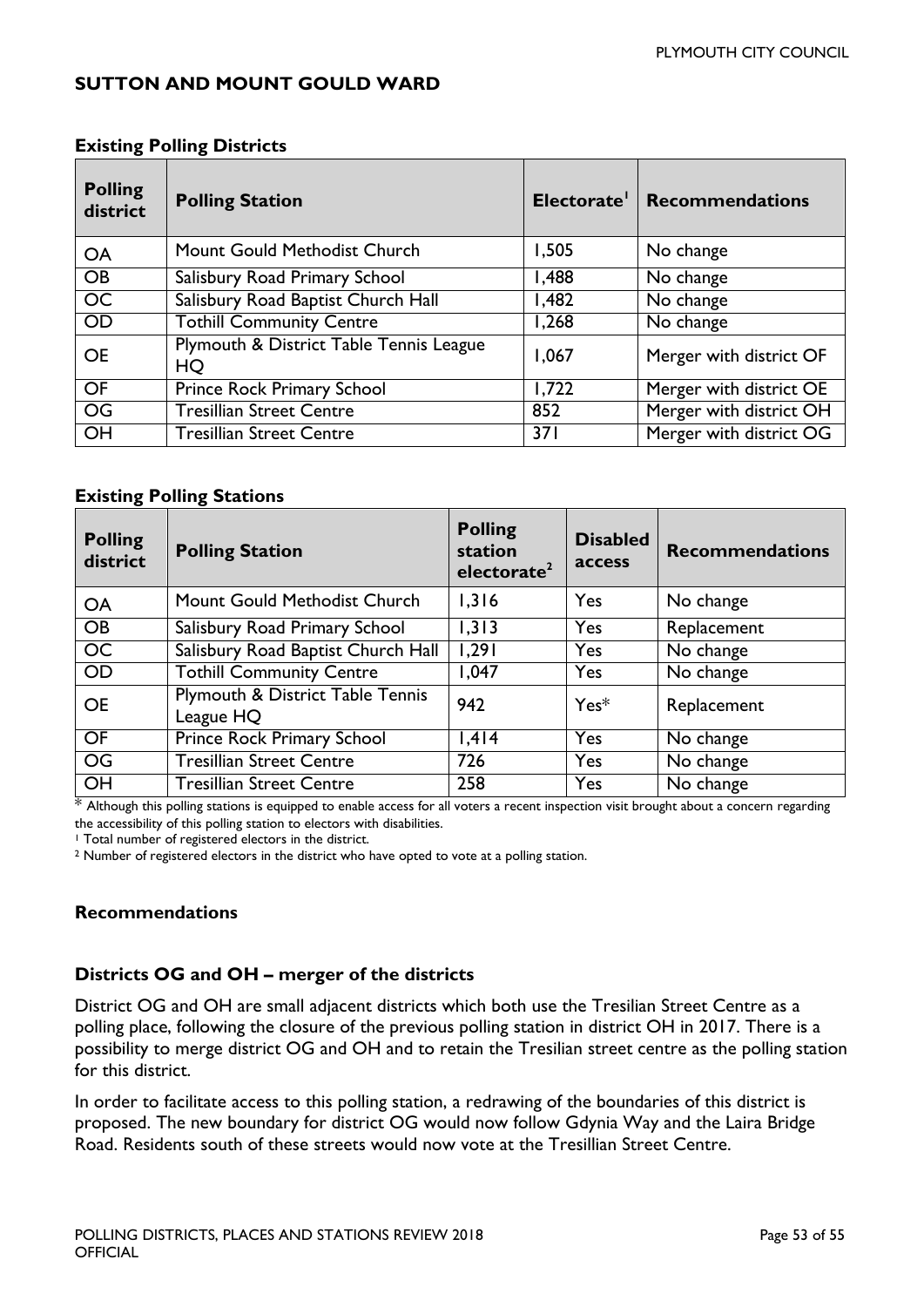#### <span id="page-52-0"></span>**SUTTON AND MOUNT GOULD WARD**

|                            | -8                                            |       |                              |  |  |
|----------------------------|-----------------------------------------------|-------|------------------------------|--|--|
| <b>Polling</b><br>district | <b>Polling Station</b>                        |       | Electorate   Recommendations |  |  |
| <b>OA</b>                  | Mount Gould Methodist Church                  | 1,505 | No change                    |  |  |
| <b>OB</b>                  | Salisbury Road Primary School                 | 1,488 | No change                    |  |  |
| $\overline{OC}$            | Salisbury Road Baptist Church Hall            | 1,482 | No change                    |  |  |
| <b>OD</b>                  | <b>Tothill Community Centre</b>               | 1,268 | No change                    |  |  |
| <b>OE</b>                  | Plymouth & District Table Tennis League<br>HQ | 1,067 | Merger with district OF      |  |  |
| OF                         | Prince Rock Primary School                    | 1,722 | Merger with district OE      |  |  |
| $\overline{OG}$            | <b>Tresillian Street Centre</b>               | 852   | Merger with district OH      |  |  |
| OH                         | <b>Tresillian Street Centre</b>               | 371   | Merger with district OG      |  |  |

#### **Existing Polling Districts**

#### **Existing Polling Stations**

| <b>Polling</b><br>district | <b>Polling Station</b>                        | <b>Polling</b><br>station<br>electorate <sup>2</sup> | <b>Disabled</b><br>access | <b>Recommendations</b> |
|----------------------------|-----------------------------------------------|------------------------------------------------------|---------------------------|------------------------|
| <b>OA</b>                  | Mount Gould Methodist Church                  | 1,316                                                | Yes                       | No change              |
| <b>OB</b>                  | Salisbury Road Primary School                 | 1,313                                                | Yes                       | Replacement            |
| <b>OC</b>                  | Salisbury Road Baptist Church Hall            | 1,291                                                | Yes                       | No change              |
| <b>OD</b>                  | <b>Tothill Community Centre</b>               | 1,047                                                | Yes                       | No change              |
| <b>OE</b>                  | Plymouth & District Table Tennis<br>League HQ | 942                                                  | $Yes*$                    | Replacement            |
| <b>OF</b>                  | Prince Rock Primary School                    | 1,414                                                | Yes                       | No change              |
| <b>OG</b>                  | <b>Tresillian Street Centre</b>               | 726                                                  | Yes                       | No change              |
| OH                         | <b>Tresillian Street Centre</b>               | 258                                                  | Yes                       | No change              |

\* Although this polling stations is equipped to enable access for all voters a recent inspection visit brought about a concern regarding the accessibility of this polling station to electors with disabilities.

<sup>1</sup> Total number of registered electors in the district.

<sup>2</sup> Number of registered electors in the district who have opted to vote at a polling station.

#### **Recommendations**

#### **Districts OG and OH – merger of the districts**

District OG and OH are small adjacent districts which both use the Tresilian Street Centre as a polling place, following the closure of the previous polling station in district OH in 2017. There is a possibility to merge district OG and OH and to retain the Tresilian street centre as the polling station for this district.

In order to facilitate access to this polling station, a redrawing of the boundaries of this district is proposed. The new boundary for district OG would now follow Gdynia Way and the Laira Bridge Road. Residents south of these streets would now vote at the Tresillian Street Centre.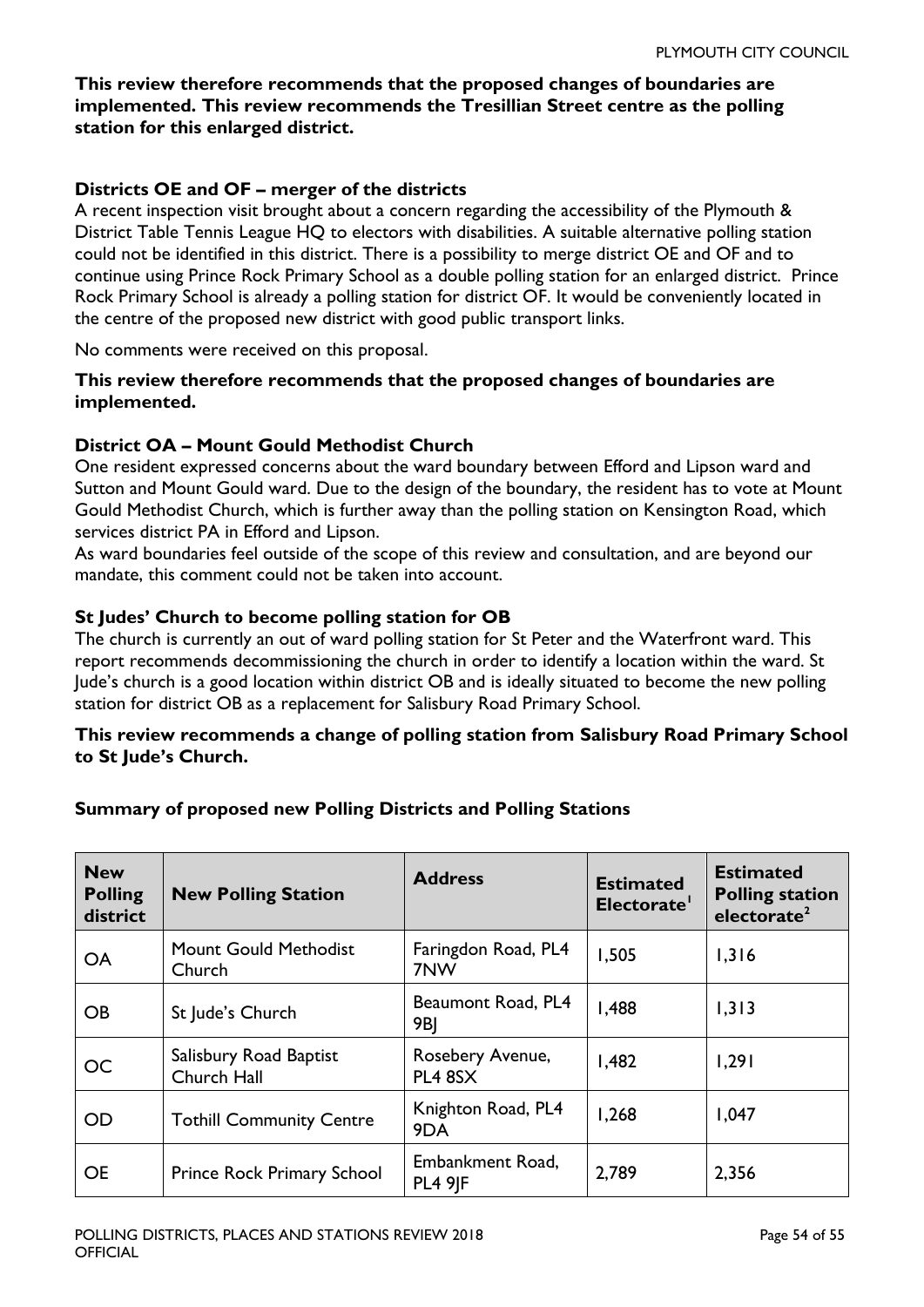#### **This review therefore recommends that the proposed changes of boundaries are implemented. This review recommends the Tresillian Street centre as the polling station for this enlarged district.**

#### **Districts OE and OF – merger of the districts**

A recent inspection visit brought about a concern regarding the accessibility of the Plymouth & District Table Tennis League HQ to electors with disabilities. A suitable alternative polling station could not be identified in this district. There is a possibility to merge district OE and OF and to continue using Prince Rock Primary School as a double polling station for an enlarged district. Prince Rock Primary School is already a polling station for district OF. It would be conveniently located in the centre of the proposed new district with good public transport links.

No comments were received on this proposal.

#### **This review therefore recommends that the proposed changes of boundaries are implemented.**

#### **District OA – Mount Gould Methodist Church**

One resident expressed concerns about the ward boundary between Efford and Lipson ward and Sutton and Mount Gould ward. Due to the design of the boundary, the resident has to vote at Mount Gould Methodist Church, which is further away than the polling station on Kensington Road, which services district PA in Efford and Lipson.

As ward boundaries feel outside of the scope of this review and consultation, and are beyond our mandate, this comment could not be taken into account.

#### **St Judes' Church to become polling station for OB**

The church is currently an out of ward polling station for St Peter and the Waterfront ward. This report recommends decommissioning the church in order to identify a location within the ward. St Jude's church is a good location within district OB and is ideally situated to become the new polling station for district OB as a replacement for Salisbury Road Primary School.

#### **This review recommends a change of polling station from Salisbury Road Primary School to St Jude's Church.**

# **Summary of proposed new Polling Districts and Polling Stations**

| <b>New</b><br><b>Polling</b><br>district | <b>New Polling Station</b>            | <b>Address</b>                     | <b>Estimated</b><br>Electorate' | <b>Estimated</b><br><b>Polling station</b><br>electorate <sup>2</sup> |
|------------------------------------------|---------------------------------------|------------------------------------|---------------------------------|-----------------------------------------------------------------------|
| <b>OA</b>                                | Mount Gould Methodist<br>Church       | Faringdon Road, PL4<br>7NW         | 1,505                           | 1,316                                                                 |
| <b>OB</b>                                | St Jude's Church                      | Beaumont Road, PL4<br>9BJ          | 1,488                           | 1,313                                                                 |
| <b>OC</b>                                | Salisbury Road Baptist<br>Church Hall | Rosebery Avenue,<br>PL4 8SX        | 1,482                           | 1,291                                                                 |
| <b>OD</b>                                | <b>Tothill Community Centre</b>       | Knighton Road, PL4<br>9DA          | 1,268                           | 1,047                                                                 |
| <b>OE</b>                                | Prince Rock Primary School            | Embankment Road,<br><b>PL4 9 F</b> | 2,789                           | 2,356                                                                 |